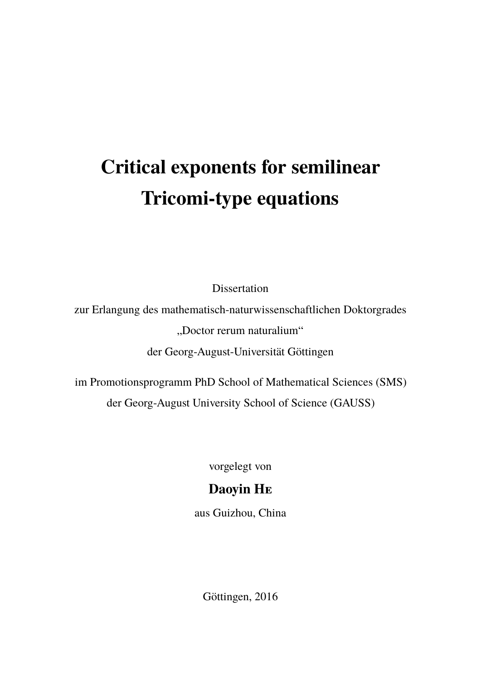# **Critical exponents for semilinear Tricomi-type equations**

Dissertation

zur Erlangung des mathematisch-naturwissenschaftlichen Doktorgrades "Doctor rerum naturalium"

der Georg-August-Universität Göttingen

im Promotionsprogramm PhD School of Mathematical Sciences (SMS) der Georg-August University School of Science (GAUSS)

vorgelegt von

### **Daoyin He**

aus Guizhou, China

Göttingen, 2016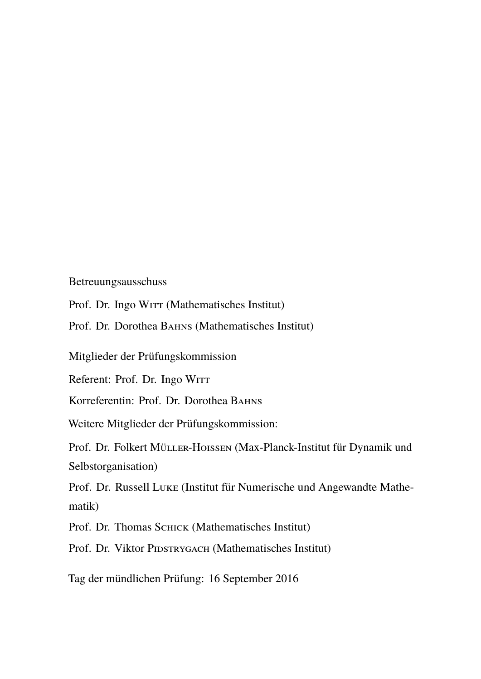Betreuungsausschuss

Prof. Dr. Ingo WITT (Mathematisches Institut)

Prof. Dr. Dorothea Bahns (Mathematisches Institut)

Mitglieder der Prüfungskommission

Referent: Prof. Dr. Ingo WITT

Korreferentin: Prof. Dr. Dorothea BAHNS

Weitere Mitglieder der Prüfungskommission:

Prof. Dr. Folkert Müller-Hoissen (Max-Planck-Institut für Dynamik und Selbstorganisation)

Prof. Dr. Russell Luke (Institut für Numerische und Angewandte Mathematik)

Prof. Dr. Thomas Schick (Mathematisches Institut)

Prof. Dr. Viktor PIDSTRYGACH (Mathematisches Institut)

Tag der mündlichen Prüfung: 16 September 2016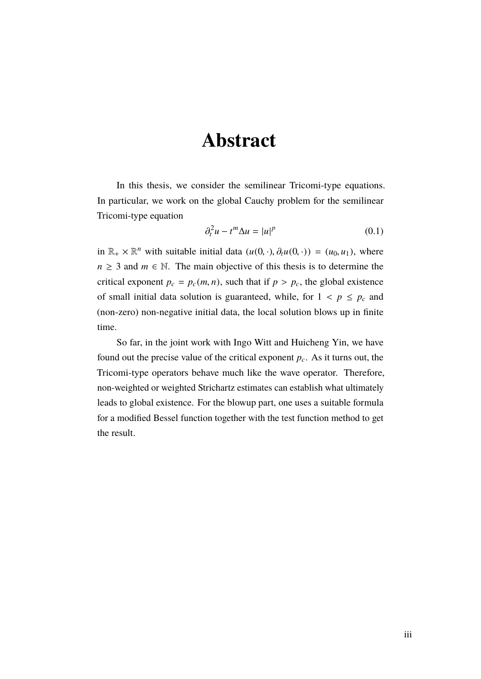### <span id="page-2-0"></span>**Abstract**

In this thesis, we consider the semilinear Tricomi-type equations. In particular, we work on the global Cauchy problem for the semilinear Tricomi-type equation

$$
\partial_t^2 u - t^m \Delta u = |u|^p \tag{0.1}
$$

in  $\mathbb{R}_+ \times \mathbb{R}^n$  with suitable initial data  $(u(0, \cdot), \partial_t u(0, \cdot)) = (u_0, u_1)$ , where  $n \geq 3$  and  $m \in \mathbb{N}$ . The main objective of this thesis is to determine the critical exponent  $p_c = p_c(m, n)$ , such that if  $p > p_c$ , the global existence of small initial data solution is guaranteed, while, for  $1 < p \leq p_c$  and (non-zero) non-negative initial data, the local solution blows up in finite time.

So far, in the joint work with Ingo Witt and Huicheng Yin, we have found out the precise value of the critical exponent *pc*. As it turns out, the Tricomi-type operators behave much like the wave operator. Therefore, non-weighted or weighted Strichartz estimates can establish what ultimately leads to global existence. For the blowup part, one uses a suitable formula for a modified Bessel function together with the test function method to get the result.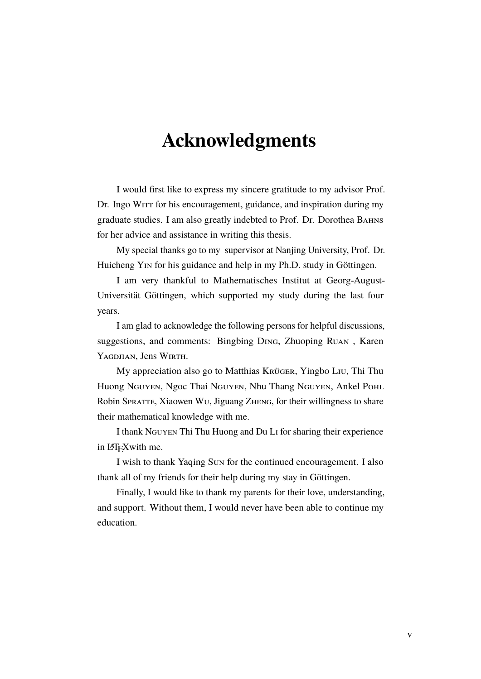### <span id="page-4-0"></span>**Acknowledgments**

I would first like to express my sincere gratitude to my advisor Prof. Dr. Ingo WITT for his encouragement, guidance, and inspiration during my graduate studies. I am also greatly indebted to Prof. Dr. Dorothea ВАНNS for her advice and assistance in writing this thesis.

My special thanks go to my supervisor at Nanjing University, Prof. Dr. Huicheng Yin for his guidance and help in my Ph.D. study in Göttingen.

I am very thankful to Mathematisches Institut at Georg-August-Universität Göttingen, which supported my study during the last four years.

I am glad to acknowledge the following persons for helpful discussions, suggestions, and comments: Bingbing Ding, Zhuoping Ruan , Karen YAGDJIAN, Jens WIRTH.

My appreciation also go to Matthias Krüger, Yingbo Liu, Thi Thu Huong Nguyen, Ngoc Thai Nguyen, Nhu Thang Nguyen, Ankel Pohl Robin Spratte, Xiaowen Wu, Jiguang Zheng, for their willingness to share their mathematical knowledge with me.

I thank Nguyen Thi Thu Huong and Du Li for sharing their experience in LATEXwith me.

I wish to thank Yaqing Sun for the continued encouragement. I also thank all of my friends for their help during my stay in Göttingen.

Finally, I would like to thank my parents for their love, understanding, and support. Without them, I would never have been able to continue my education.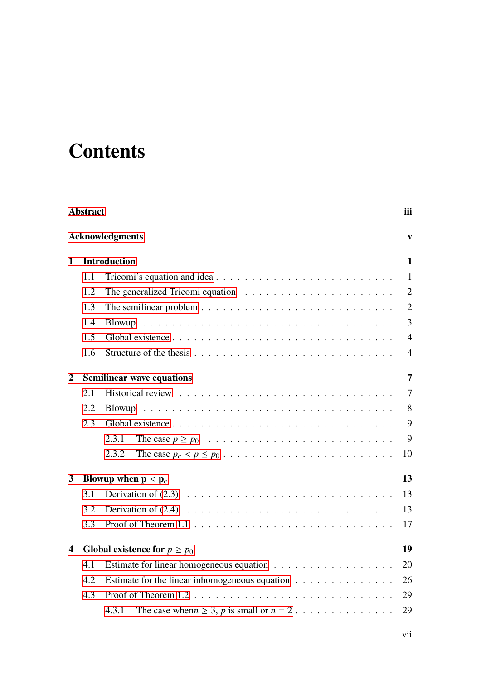# **Contents**

| <b>Abstract</b><br>iii<br><b>Acknowledgments</b> |                                                                                              |                                                                                                    |                |  |  |  |   |
|--------------------------------------------------|----------------------------------------------------------------------------------------------|----------------------------------------------------------------------------------------------------|----------------|--|--|--|---|
|                                                  |                                                                                              |                                                                                                    |                |  |  |  | 1 |
|                                                  | 1.1                                                                                          |                                                                                                    | $\mathbf{1}$   |  |  |  |   |
|                                                  | 1.2                                                                                          |                                                                                                    | $\overline{2}$ |  |  |  |   |
|                                                  | 1.3                                                                                          |                                                                                                    | $\overline{2}$ |  |  |  |   |
|                                                  | 1.4                                                                                          |                                                                                                    | 3              |  |  |  |   |
|                                                  | 1.5                                                                                          |                                                                                                    | $\overline{4}$ |  |  |  |   |
|                                                  | 1.6                                                                                          |                                                                                                    | 4              |  |  |  |   |
| $\overline{2}$                                   |                                                                                              | <b>Semilinear wave equations</b>                                                                   | 7              |  |  |  |   |
|                                                  | 2.1                                                                                          |                                                                                                    | 7              |  |  |  |   |
|                                                  | 2.2                                                                                          |                                                                                                    | 8              |  |  |  |   |
|                                                  | 2.3                                                                                          |                                                                                                    | 9              |  |  |  |   |
|                                                  |                                                                                              | 2.3.1                                                                                              | 9              |  |  |  |   |
|                                                  |                                                                                              | 2.3.2<br>The case $p_c < p \le p_0 \ldots \ldots \ldots \ldots \ldots \ldots \ldots \ldots \ldots$ | 10             |  |  |  |   |
| 3                                                |                                                                                              | Blowup when $p < p_c$<br>13                                                                        |                |  |  |  |   |
|                                                  | 3.1                                                                                          |                                                                                                    | 13             |  |  |  |   |
|                                                  | 3.2                                                                                          |                                                                                                    | 13             |  |  |  |   |
|                                                  | 3.3                                                                                          |                                                                                                    | 17             |  |  |  |   |
| 4                                                |                                                                                              | 19<br>Global existence for $p \ge p_0$                                                             |                |  |  |  |   |
|                                                  | 4.1                                                                                          |                                                                                                    | 20             |  |  |  |   |
|                                                  | 4.2<br>Estimate for the linear inhomogeneous equation $\dots \dots \dots \dots \dots$<br>4.3 |                                                                                                    |                |  |  |  |   |
|                                                  |                                                                                              |                                                                                                    |                |  |  |  |   |
|                                                  |                                                                                              | 4.3.1                                                                                              | 29             |  |  |  |   |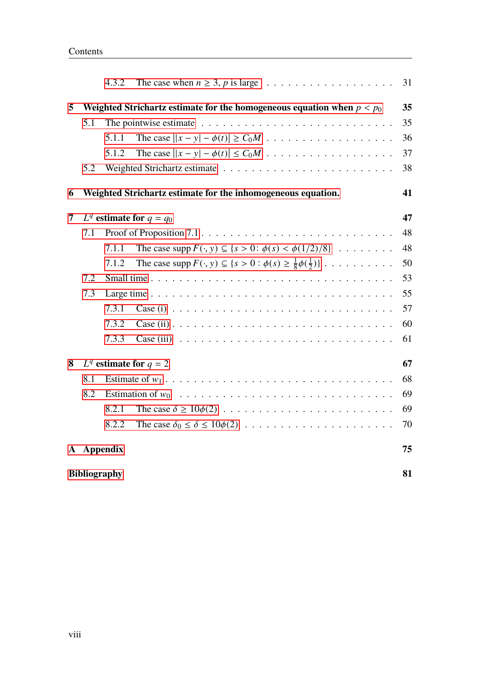|                                                                   |                                                                                | 4.3.2    |                                                                                                                 | 31 |  |  |
|-------------------------------------------------------------------|--------------------------------------------------------------------------------|----------|-----------------------------------------------------------------------------------------------------------------|----|--|--|
| 5                                                                 | 35<br>Weighted Strichartz estimate for the homogeneous equation when $p < p_0$ |          |                                                                                                                 |    |  |  |
|                                                                   | 5.1                                                                            |          | The pointwise estimate $\ldots \ldots \ldots \ldots \ldots \ldots \ldots \ldots \ldots$                         | 35 |  |  |
|                                                                   |                                                                                | 5.1.1    |                                                                                                                 | 36 |  |  |
|                                                                   |                                                                                | 5.1.2    |                                                                                                                 | 37 |  |  |
|                                                                   | 5.2                                                                            |          |                                                                                                                 | 38 |  |  |
| Weighted Strichartz estimate for the inhomogeneous equation.<br>6 |                                                                                |          |                                                                                                                 |    |  |  |
| 7                                                                 |                                                                                |          | $L^q$ estimate for $q = q_0$                                                                                    | 47 |  |  |
|                                                                   | 7.1                                                                            |          |                                                                                                                 | 48 |  |  |
|                                                                   |                                                                                | 7.1.1    | The case supp $F(\cdot, y) \subseteq \{s > 0 : \phi(s) < \phi(1/2)/8\} \dots \dots$                             | 48 |  |  |
|                                                                   |                                                                                | 7.1.2    | The case supp $F(\cdot, y) \subseteq \{s > 0 : \phi(s) \geq \frac{1}{8}\phi(\frac{1}{2})\}\ldots \ldots \ldots$ | 50 |  |  |
|                                                                   | 7.2                                                                            |          |                                                                                                                 |    |  |  |
|                                                                   | 7.3                                                                            |          |                                                                                                                 |    |  |  |
|                                                                   |                                                                                | 7.3.1    |                                                                                                                 | 57 |  |  |
|                                                                   |                                                                                | 7.3.2    | Case (ii) $\ldots \ldots \ldots \ldots \ldots \ldots \ldots \ldots \ldots \ldots \ldots \ldots$                 | 60 |  |  |
|                                                                   |                                                                                | 7.3.3    | Case (iii) $\ldots \ldots \ldots \ldots \ldots \ldots \ldots \ldots \ldots \ldots \ldots$                       | 61 |  |  |
| 8                                                                 |                                                                                |          | $L^q$ estimate for $q = 2$                                                                                      | 67 |  |  |
|                                                                   | 8.1                                                                            |          |                                                                                                                 | 68 |  |  |
|                                                                   | 8.2                                                                            |          |                                                                                                                 |    |  |  |
|                                                                   |                                                                                | 8.2.1    |                                                                                                                 | 69 |  |  |
|                                                                   |                                                                                | 8.2.2    |                                                                                                                 | 70 |  |  |
| ${\bf A}$                                                         |                                                                                | Appendix |                                                                                                                 |    |  |  |
| <b>Bibliography</b>                                               |                                                                                |          |                                                                                                                 |    |  |  |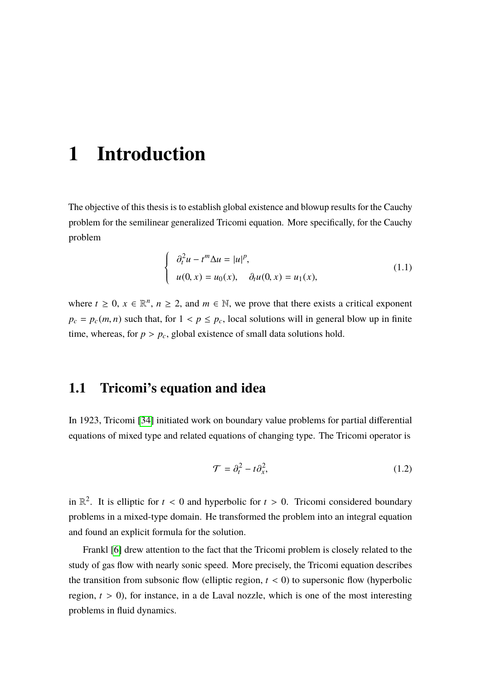### <span id="page-8-0"></span>**1 Introduction**

The objective of this thesis is to establish global existence and blowup results for the Cauchy problem for the semilinear generalized Tricomi equation. More specifically, for the Cauchy problem

<span id="page-8-2"></span>
$$
\begin{cases}\n\partial_t^2 u - t^m \Delta u = |u|^p, \\
u(0, x) = u_0(x), \quad \partial_t u(0, x) = u_1(x),\n\end{cases}
$$
\n(1.1)

where  $t \geq 0$ ,  $x \in \mathbb{R}^n$ ,  $n \geq 2$ , and  $m \in \mathbb{N}$ , we prove that there exists a critical exponent  $p_c = p_c(m, n)$  such that, for  $1 < p \leq p_c$ , local solutions will in general blow up in finite time, whereas, for  $p > p_c$ , global existence of small data solutions hold.

#### <span id="page-8-1"></span>**1.1 Tricomi's equation and idea**

In 1923, Tricomi [\[34\]](#page-90-0) initiated work on boundary value problems for partial differential equations of mixed type and related equations of changing type. The Tricomi operator is

$$
\mathcal{T} = \partial_t^2 - t \partial_x^2,\tag{1.2}
$$

in  $\mathbb{R}^2$ . It is elliptic for  $t < 0$  and hyperbolic for  $t > 0$ . Tricomi considered boundary problems in a mixed-type domain. He transformed the problem into an integral equation and found an explicit formula for the solution.

Frankl [\[6\]](#page-88-1) drew attention to the fact that the Tricomi problem is closely related to the study of gas flow with nearly sonic speed. More precisely, the Tricomi equation describes the transition from subsonic flow (elliptic region,  $t < 0$ ) to supersonic flow (hyperbolic region,  $t > 0$ ), for instance, in a de Laval nozzle, which is one of the most interesting problems in fluid dynamics.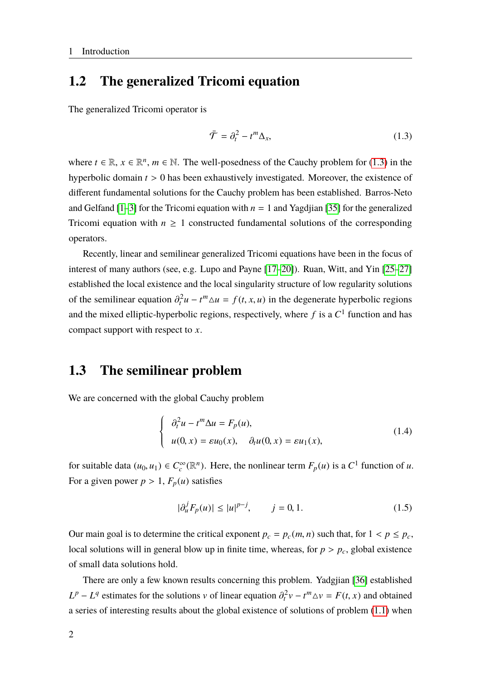#### <span id="page-9-0"></span>**1.2 The generalized Tricomi equation**

The generalized Tricomi operator is

<span id="page-9-2"></span>
$$
\bar{\mathcal{T}} = \partial_t^2 - t^m \Delta_x,\tag{1.3}
$$

where  $t \in \mathbb{R}, x \in \mathbb{R}^n, m \in \mathbb{N}$ . The well-posedness of the Cauchy problem for [\(1.3\)](#page-9-2) in the hyperbolic domain *<sup>t</sup>* > <sup>0</sup> has been exhaustively investigated. Moreover, the existence of different fundamental solutions for the Cauchy problem has been established. Barros-Neto and Gelfand  $[1-3]$  $[1-3]$  for the Tricomi equation with  $n = 1$  and Yagdjian [\[35\]](#page-90-1) for the generalized Tricomi equation with  $n \geq 1$  constructed fundamental solutions of the corresponding operators.

Recently, linear and semilinear generalized Tricomi equations have been in the focus of interest of many authors (see, e.g. Lupo and Payne [\[17](#page-89-0)[–20\]](#page-89-1)). Ruan, Witt, and Yin [\[25–](#page-89-2)[27\]](#page-90-2) established the local existence and the local singularity structure of low regularity solutions of the semilinear equation  $\partial_t^2 u - t^m \Delta u = f(t, x, u)$  in the degenerate hyperbolic regions and the mixed elliptic-hyperbolic regions, respectively, where  $f$  is a  $C^1$  function and has compact support with respect to *x*.

#### <span id="page-9-1"></span>**1.3 The semilinear problem**

We are concerned with the global Cauchy problem

<span id="page-9-3"></span>
$$
\begin{cases}\n\partial_t^2 u - t^m \Delta u = F_p(u), \\
u(0, x) = \varepsilon u_0(x), \quad \partial_t u(0, x) = \varepsilon u_1(x),\n\end{cases}
$$
\n(1.4)

for suitable data  $(u_0, u_1) \in C_c^{\infty}(\mathbb{R}^n)$ . Here, the nonlinear term  $F_p(u)$  is a  $C^1$  function of *u*. For a given power  $p > 1$ ,  $F_p(u)$  satisfies

$$
|\partial_u^j F_p(u)| \le |u|^{p-j}, \qquad j = 0, 1. \tag{1.5}
$$

Our main goal is to determine the critical exponent  $p_c = p_c(m, n)$  such that, for  $1 < p \leq p_c$ , local solutions will in general blow up in finite time, whereas, for  $p > p_c$ , global existence of small data solutions hold.

There are only a few known results concerning this problem. Yadgjian [\[36\]](#page-90-3) established  $L^p - L^q$  estimates for the solutions v of linear equation  $\partial_t^2 v - t^m \Delta v = F(t, x)$  and obtained a series of interesting results about the global existence of solutions of problem [\(1.1\)](#page-8-2) when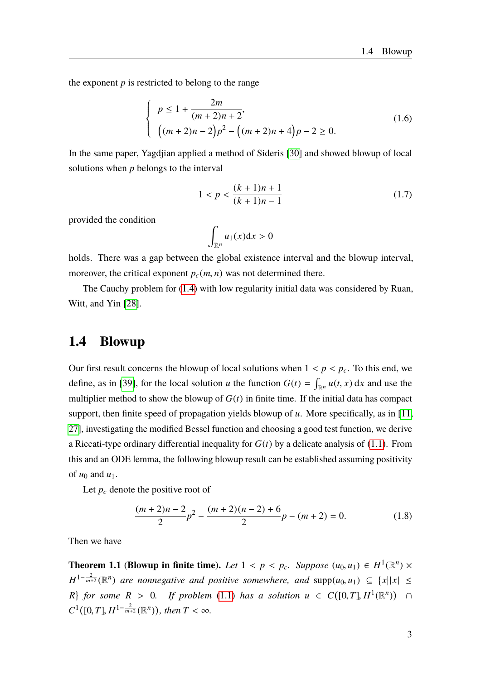the exponent  $p$  is restricted to belong to the range

$$
\begin{cases}\n p \le 1 + \frac{2m}{(m+2)n+2}, \\
 (m+2)n-2)p^2 - \left((m+2)n+4\right)p - 2 \ge 0.\n\end{cases}
$$
\n(1.6)

In the same paper, Yagdjian applied a method of Sideris [\[30\]](#page-90-4) and showed blowup of local solutions when *p* belongs to the interval

$$
1 < p < \frac{(k+1)n+1}{(k+1)n-1} \tag{1.7}
$$

provided the condition

$$
\int_{\mathbb{R}^n} u_1(x) \mathrm{d} x > 0
$$

holds. There was a gap between the global existence interval and the blowup interval, moreover, the critical exponent  $p_c(m, n)$  was not determined there.

The Cauchy problem for [\(1.4\)](#page-9-3) with low regularity initial data was considered by Ruan, Witt, and Yin [\[28\]](#page-90-5).

#### <span id="page-10-0"></span>**1.4 Blowup**

Our first result concerns the blowup of local solutions when  $1 < p < p_c$ . To this end, we define, as in [\[39\]](#page-90-6), for the local solution *u* the function  $G(t) = \int_{\mathbb{R}^n} u(t, x) dx$  and use the multiplier method to show the blowup of  $G(t)$  in finite time. If the initial data has compact support, then finite speed of propagation yields blowup of *u*. More specifically, as in [\[11,](#page-88-4) [27\]](#page-90-2), investigating the modified Bessel function and choosing a good test function, we derive a Riccati-type ordinary differential inequality for  $G(t)$  by a delicate analysis of  $(1.1)$ . From this and an ODE lemma, the following blowup result can be established assuming positivity of  $u_0$  and  $u_1$ .

Let  $p_c$  denote the positive root of

<span id="page-10-2"></span>
$$
\frac{(m+2)n-2}{2}p^2 - \frac{(m+2)(n-2)+6}{2}p - (m+2) = 0.
$$
 (1.8)

Then we have

<span id="page-10-1"></span>**Theorem 1.1** (**Blowup in finite time**). *Let*  $1 < p < p_c$ . *Suppose*  $(u_0, u_1) \in H^1(\mathbb{R}^n) \times$  $H^{1-\frac{2}{m+2}}(\mathbb{R}^n)$  *are nonnegative and positive somewhere, and* supp $(u_0, u_1) \subseteq \{x | |x| \leq 1\}$ *R R for some R* > 0*. If problem* [\(1.1\)](#page-8-2) *has a solution*  $u \in C([0, T], H^1(\mathbb{R}^n))$  ∩  $C^1([0,T], H^{1-\frac{2}{m+2}}(\mathbb{R}^n))$ , then  $T < \infty$ .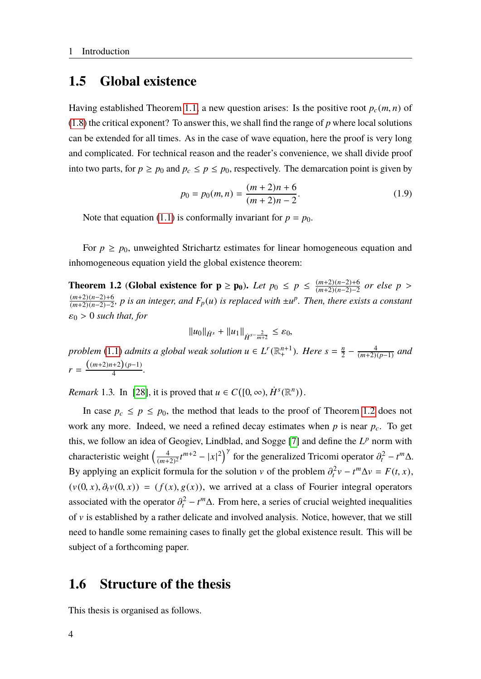#### <span id="page-11-0"></span>**1.5 Global existence**

Having established Theorem [1.1,](#page-10-1) a new question arises: Is the positive root  $p_c(m, n)$  of [\(1.8\)](#page-10-2) the critical exponent? To answer this, we shall find the range of *p* where local solutions can be extended for all times. As in the case of wave equation, here the proof is very long and complicated. For technical reason and the reader's convenience, we shall divide proof into two parts, for  $p \ge p_0$  and  $p_c \le p \le p_0$ , respectively. The demarcation point is given by

$$
p_0 = p_0(m, n) = \frac{(m+2)n + 6}{(m+2)n - 2}.
$$
 (1.9)

Note that equation [\(1.1\)](#page-8-2) is conformally invariant for  $p = p_0$ .

For  $p \ge p_0$ , unweighted Strichartz estimates for linear homogeneous equation and inhomogeneous equation yield the global existence theorem:

<span id="page-11-2"></span>**Theorem 1.2** (Global existence for **p** ≥ **p**<sub>0</sub>). Let  $p_0$  ≤  $p$  ≤  $\frac{(m+2)(n-2)+6}{(m+2)(n-2)-2}$ (*m*+2)(*n*−2)−2 *or else <sup>p</sup>* > (*m*+2)(*n*−2)+6 (*m*+2)(*n*−2)−2 *, p is an integer, and Fp*(*u*) *is replaced with* ±*u p . Then, there exists a constant*  $\varepsilon_0 > 0$  *such that, for* 

$$
||u_0||_{\dot{H}^s} + ||u_1||_{\dot{H}^{s-\frac{2}{m+2}}} \leq \varepsilon_0,
$$

*problem* [\(1.1\)](#page-8-2) *admits a global weak solution*  $u \in L^r(\mathbb{R}^{n+1}_+)$ *. Here*  $s = \frac{n}{2}$  $\frac{n}{2} - \frac{4}{(m+2)}$ (*m*+2)(*p*−1) *and*  $r = \frac{((m+2)n+2)(p-1)}{4}$  $\frac{(n+2)(p-1)}{4}$ .

*Remark* 1.3. In [\[28\]](#page-90-5), it is proved that  $u \in C([0, \infty), \dot{H}^s(\mathbb{R}^n))$ .

In case  $p_c \leq p \leq p_0$ , the method that leads to the proof of Theorem [1.2](#page-11-2) does not work any more. Indeed, we need a refined decay estimates when *p* is near *pc*. To get this, we follow an idea of Geogiev, Lindblad, and Sogge [\[7\]](#page-88-5) and define the  $L^p$  norm with characteristic weight  $\left(\frac{4}{(m+1)}\right)$  $\left(\frac{4}{(m+2)^2}t^{m+2} - |x|^2\right)^{\gamma}$  for the generalized Tricomi operator  $\partial_t^2 - t^m \Delta$ . By applying an explicit formula for the solution v of the problem  $\partial_t^2 v - t^m \Delta v = F(t, x)$ ,  $(v(0, x), \partial_t v(0, x)) = (f(x), g(x))$ , we arrived at a class of Fourier integral operators associated with the operator  $\partial_t^2 - t^m \Delta$ . From here, a series of crucial weighted inequalities of  $\nu$  is established by a rather delicate and involved analysis. Notice, however, that we still need to handle some remaining cases to finally get the global existence result. This will be subject of a forthcoming paper.

#### <span id="page-11-1"></span>**1.6 Structure of the thesis**

This thesis is organised as follows.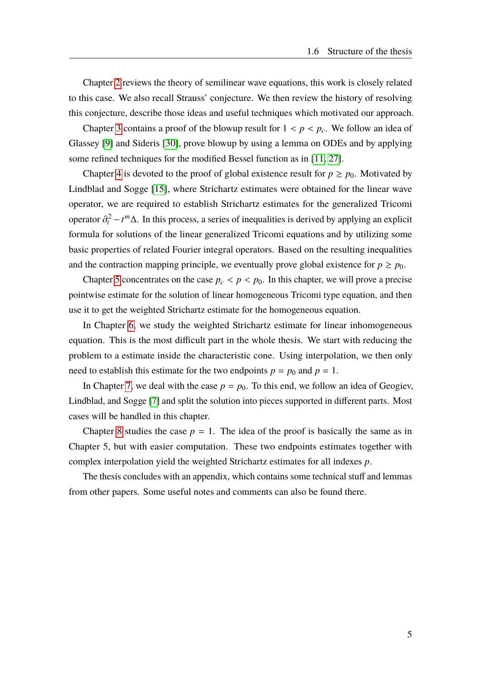Chapter [2](#page-14-0) reviews the theory of semilinear wave equations, this work is closely related to this case. We also recall Strauss' conjecture. We then review the history of resolving this conjecture, describe those ideas and useful techniques which motivated our approach.

Chapter [3](#page-20-0) contains a proof of the blowup result for  $1 < p < p_c$ . We follow an idea of Glassey [\[9\]](#page-88-6) and Sideris [\[30\]](#page-90-4), prove blowup by using a lemma on ODEs and by applying some refined techniques for the modified Bessel function as in [\[11,](#page-88-4) [27\]](#page-90-2).

Chapter [4](#page-26-0) is devoted to the proof of global existence result for  $p \ge p_0$ . Motivated by Lindblad and Sogge [\[15\]](#page-89-3), where Strichartz estimates were obtained for the linear wave operator, we are required to establish Strichartz estimates for the generalized Tricomi operator  $\partial_t^2 - t^m \Delta$ . In this process, a series of inequalities is derived by applying an explicit formula for solutions of the linear generalized Tricomi equations and by utilizing some basic properties of related Fourier integral operators. Based on the resulting inequalities and the contraction mapping principle, we eventually prove global existence for  $p \ge p_0$ .

Chapter [5](#page-42-0) concentrates on the case  $p_c < p < p_0$ . In this chapter, we will prove a precise pointwise estimate for the solution of linear homogeneous Tricomi type equation, and then use it to get the weighted Strichartz estimate for the homogeneous equation.

In Chapter [6,](#page-48-0) we study the weighted Strichartz estimate for linear inhomogeneous equation. This is the most difficult part in the whole thesis. We start with reducing the problem to a estimate inside the characteristic cone. Using interpolation, we then only need to establish this estimate for the two endpoints  $p = p_0$  and  $p = 1$ .

In Chapter [7,](#page-54-0) we deal with the case  $p = p_0$ . To this end, we follow an idea of Geogiev, Lindblad, and Sogge [\[7\]](#page-88-5) and split the solution into pieces supported in different parts. Most cases will be handled in this chapter.

Chapter [8](#page-74-0) studies the case  $p = 1$ . The idea of the proof is basically the same as in Chapter 5, but with easier computation. These two endpoints estimates together with complex interpolation yield the weighted Strichartz estimates for all indexes *p*.

The thesis concludes with an appendix, which contains some technical stuff and lemmas from other papers. Some useful notes and comments can also be found there.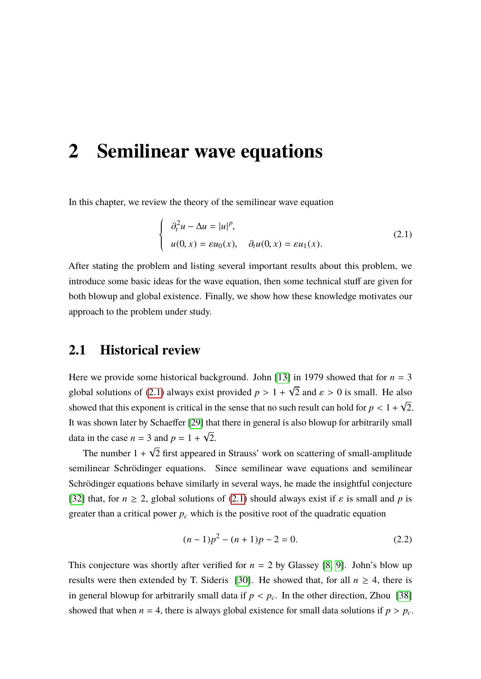### <span id="page-14-0"></span>**2 Semilinear wave equations**

In this chapter, we review the theory of the semilinear wave equation

<span id="page-14-2"></span>
$$
\begin{cases}\n\partial_t^2 u - \Delta u = |u|^p, \\
u(0, x) = \varepsilon u_0(x), \quad \partial_t u(0, x) = \varepsilon u_1(x).\n\end{cases}
$$
\n(2.1)

After stating the problem and listing several important results about this problem, we introduce some basic ideas for the wave equation, then some technical stuff are given for both blowup and global existence. Finally, we show how these knowledge motivates our approach to the problem under study.

#### <span id="page-14-1"></span>**2.1 Historical review**

Here we provide some historical background. John [\[13\]](#page-88-7) in 1979 showed that for  $n = 3$ global solutions of [\(2.1\)](#page-14-2) always exist provided  $p > 1 +$ √ 2 and  $\varepsilon > 0$  is small. He also showed that this exponent is critical in the sense that no such result can hold for  $p < 1 +$ √ 2. It was shown later by Schaeffer [\[29\]](#page-90-7) that there in general is also blowup for arbitrarily small data in the case  $n = 3$  and  $p = 1 +$ √ 2. √

The number 1 + 2 first appeared in Strauss' work on scattering of small-amplitude semilinear Schrödinger equations. Since semilinear wave equations and semilinear Schrödinger equations behave similarly in several ways, he made the insightful conjecture [\[32\]](#page-90-8) that, for  $n \ge 2$ , global solutions of [\(2.1\)](#page-14-2) should always exist if  $\varepsilon$  is small and p is greater than a critical power  $p_c$  which is the positive root of the quadratic equation

$$
(n-1)p^2 - (n+1)p - 2 = 0.
$$
 (2.2)

This conjecture was shortly after verified for  $n = 2$  by Glassey [\[8,](#page-88-8) [9\]](#page-88-6). John's blow up results were then extended by T. Sideris [\[30\]](#page-90-4). He showed that, for all  $n \geq 4$ , there is in general blowup for arbitrarily small data if  $p < p_c$ . In the other direction, Zhou [\[38\]](#page-90-9) showed that when  $n = 4$ , there is always global existence for small data solutions if  $p > p_c$ .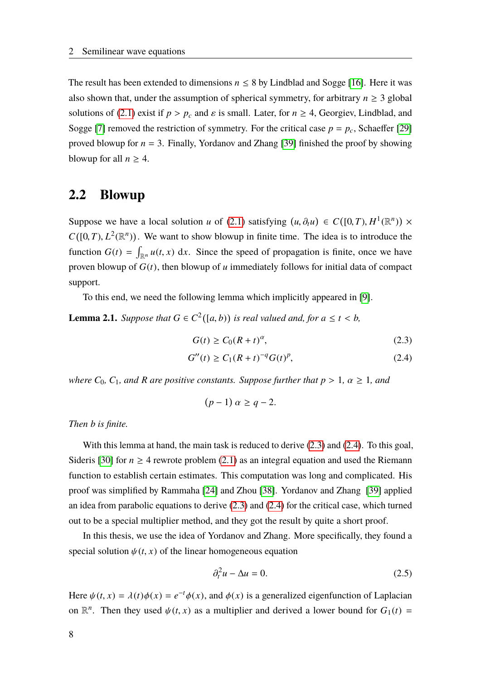The result has been extended to dimensions  $n \leq 8$  by Lindblad and Sogge [\[16\]](#page-89-4). Here it was also shown that, under the assumption of spherical symmetry, for arbitrary  $n \geq 3$  global solutions of [\(2.1\)](#page-14-2) exist if  $p > p_c$  and  $\varepsilon$  is small. Later, for  $n \ge 4$ , Georgiev, Lindblad, and Sogge [\[7\]](#page-88-5) removed the restriction of symmetry. For the critical case  $p = p_c$ , Schaeffer [\[29\]](#page-90-7) proved blowup for  $n = 3$ . Finally, Yordanov and Zhang [\[39\]](#page-90-6) finished the proof by showing blowup for all  $n \geq 4$ .

#### <span id="page-15-0"></span>**2.2 Blowup**

Suppose we have a local solution *u* of [\(2.1\)](#page-14-2) satisfying  $(u, \partial_t u) \in C([0, T), H^1(\mathbb{R}^n)) \times$  $C([0, T), L^2(\mathbb{R}^n))$ . We want to show blowup in finite time. The idea is to introduce the function  $G(t) = \int_{\mathbb{R}^n} u(t, x) dx$ . Since the speed of propagation is finite, once we have proven blowup of *G*(*t*), then blowup of *u* immediately follows for initial data of compact support.

To this end, we need the following lemma which implicitly appeared in [\[9\]](#page-88-6).

<span id="page-15-4"></span>**Lemma 2.1.** *Suppose that*  $G \in C^2([a, b))$  *is real valued and, for*  $a \le t < b$ *,* 

<span id="page-15-1"></span>
$$
G(t) \ge C_0 (R + t)^{\alpha}, \tag{2.3}
$$

$$
G''(t) \ge C_1 (R+t)^{-q} G(t)^p,
$$
\n(2.4)

*where*  $C_0$ ,  $C_1$ , and R are positive constants. Suppose further that  $p > 1$ ,  $\alpha \ge 1$ , and

<span id="page-15-2"></span>
$$
(p-1)\,\alpha\geq q-2.
$$

*Then b is finite.*

With this lemma at hand, the main task is reduced to derive  $(2.3)$  and  $(2.4)$ . To this goal, Sideris [\[30\]](#page-90-4) for  $n \geq 4$  rewrote problem [\(2.1\)](#page-14-2) as an integral equation and used the Riemann function to establish certain estimates. This computation was long and complicated. His proof was simplified by Rammaha [\[24\]](#page-89-5) and Zhou [\[38\]](#page-90-9). Yordanov and Zhang [\[39\]](#page-90-6) applied an idea from parabolic equations to derive [\(2.3\)](#page-15-1) and [\(2.4\)](#page-15-2) for the critical case, which turned out to be a special multiplier method, and they got the result by quite a short proof.

In this thesis, we use the idea of Yordanov and Zhang. More specifically, they found a special solution  $\psi(t, x)$  of the linear homogeneous equation

<span id="page-15-3"></span>
$$
\partial_t^2 u - \Delta u = 0. \tag{2.5}
$$

Here  $\psi(t, x) = \lambda(t)\phi(x) = e^{-t}\phi(x)$ , and  $\phi(x)$  is a generalized eigenfunction of Laplacian on  $\mathbb{R}^n$ . Then they used  $\psi(t, x)$  as a multiplier and derived a lower bound for  $G_1(t)$  =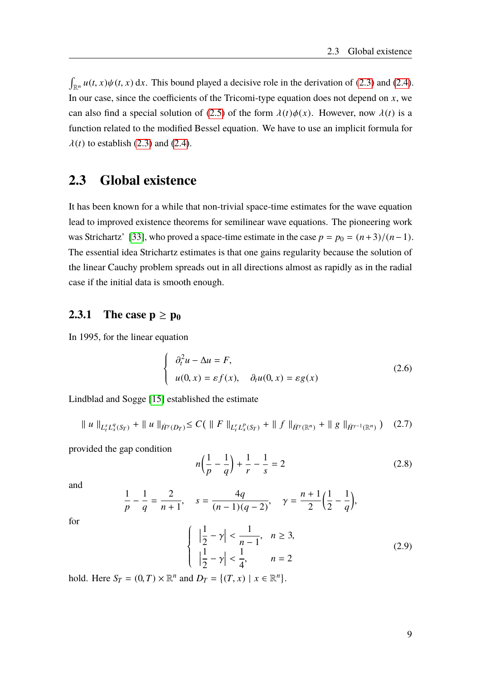$\int_{\mathbb{R}^n} u(t, x) \psi(t, x) dx$ . This bound played a decisive role in the derivation of [\(2.3\)](#page-15-1) and [\(2.4\)](#page-15-2). In our case, since the coefficients of the Tricomi-type equation does not depend on *x*, we can also find a special solution of [\(2.5\)](#page-15-3) of the form  $\lambda(t)\phi(x)$ . However, now  $\lambda(t)$  is a function related to the modified Bessel equation. We have to use an implicit formula for  $\lambda(t)$  to establish [\(2.3\)](#page-15-1) and [\(2.4\)](#page-15-2).

#### <span id="page-16-0"></span>**2.3 Global existence**

It has been known for a while that non-trivial space-time estimates for the wave equation lead to improved existence theorems for semilinear wave equations. The pioneering work was Strichartz' [\[33\]](#page-90-10), who proved a space-time estimate in the case  $p = p_0 = (n+3)/(n-1)$ . The essential idea Strichartz estimates is that one gains regularity because the solution of the linear Cauchy problem spreads out in all directions almost as rapidly as in the radial case if the initial data is smooth enough.

#### <span id="page-16-1"></span>**2.3.1** The case  $p \ge p_0$

In 1995, for the linear equation

<span id="page-16-2"></span>
$$
\begin{cases}\n\partial_t^2 u - \Delta u = F, \\
u(0, x) = \varepsilon f(x), \quad \partial_t u(0, x) = \varepsilon g(x)\n\end{cases}
$$
\n(2.6)

Lindblad and Sogge [\[15\]](#page-89-3) established the estimate

<span id="page-16-3"></span>
$$
\| u \|_{L_t^s L_x^q(S_T)} + \| u \|_{\dot{H}^{\gamma}(D_T)} \le C \left( \| F \|_{L_t^r L_x^p(S_T)} + \| f \|_{\dot{H}^{\gamma}(\mathbb{R}^n)} + \| g \|_{\dot{H}^{\gamma-1}(\mathbb{R}^n)} \right) \tag{2.7}
$$

provided the gap condition

$$
n\left(\frac{1}{p} - \frac{1}{q}\right) + \frac{1}{r} - \frac{1}{s} = 2\tag{2.8}
$$

and

$$
\frac{1}{p} - \frac{1}{q} = \frac{2}{n+1}, \quad s = \frac{4q}{(n-1)(q-2)}, \quad \gamma = \frac{n+1}{2} \left(\frac{1}{2} - \frac{1}{q}\right),
$$

for

$$
\begin{cases} \left| \frac{1}{2} - \gamma \right| < \frac{1}{n-1}, \quad n \ge 3, \\ \left| \frac{1}{2} - \gamma \right| < \frac{1}{4}, \quad n = 2 \end{cases} \tag{2.9}
$$

hold. Here  $S_T = (0, T) \times \mathbb{R}^n$  and  $D_T = \{(T, x) \mid x \in \mathbb{R}^n\}.$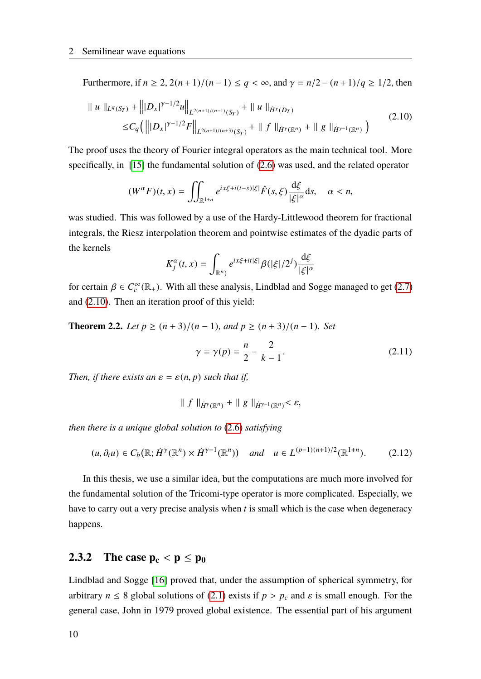Furthermore, if *<sup>n</sup>* <sup>≥</sup> 2, <sup>2</sup>(*<sup>n</sup>* <sup>+</sup>1)/(*<sup>n</sup>* <sup>−</sup>1) <sup>≤</sup> *<sup>q</sup>* < <sup>∞</sup>, and γ <sup>=</sup> *<sup>n</sup>*/<sup>2</sup> <sup>−</sup> (*<sup>n</sup>* <sup>+</sup>1)/*<sup>q</sup>* <sup>≥</sup> <sup>1</sup>/2, then

<span id="page-17-1"></span>
$$
\| u \|_{L^{q}(S_{T})} + \| |D_{x}|^{\gamma - 1/2} u \|_{L^{2(n+1)/(n-1)}(S_{T})} + \| u \|_{\dot{H}^{\gamma}(D_{T})}
$$
  
\n
$$
\leq C_{q} ( \| |D_{x}|^{\gamma - 1/2} F \|_{L^{2(n+1)/(n+3)}(S_{T})} + \| f \|_{\dot{H}^{\gamma}(\mathbb{R}^{n})} + \| g \|_{\dot{H}^{\gamma - 1}(\mathbb{R}^{n})} )
$$
\n(2.10)

The proof uses the theory of Fourier integral operators as the main technical tool. More specifically, in [\[15\]](#page-89-3) the fundamental solution of [\(2.6\)](#page-16-2) was used, and the related operator

$$
(W^{\alpha}F)(t,x) = \iint_{\mathbb{R}^{1+n}} e^{ix\xi + i(t-s)|\xi|} \hat{F}(s,\xi) \frac{\mathrm{d}\xi}{|\xi|^{\alpha}} \mathrm{d}s, \quad \alpha < n,
$$

was studied. This was followed by a use of the Hardy-Littlewood theorem for fractional integrals, the Riesz interpolation theorem and pointwise estimates of the dyadic parts of the kernels

$$
K_j^{\alpha}(t,x) = \int_{\mathbb{R}^n} e^{ix\xi + it|\xi|} \beta(|\xi|/2^j) \frac{\mathrm{d}\xi}{|\xi|^{\alpha}}
$$

for certain  $\beta \in C_c^{\infty}(\mathbb{R}_+)$ . With all these analysis, Lindblad and Sogge managed to get [\(2.7\)](#page-16-3) and [\(2.10\)](#page-17-1). Then an iteration proof of this yield:

**Theorem 2.2.** *Let*  $p \ge (n+3)/(n-1)$ *, and*  $p \ge (n+3)/(n-1)$ *. Set* 

$$
\gamma = \gamma(p) = \frac{n}{2} - \frac{2}{k - 1}.
$$
 (2.11)

*Then, if there exists an*  $\varepsilon = \varepsilon(n, p)$  *such that if,* 

$$
\| f \|_{\dot{H}^{\gamma}(\mathbb{R}^n)} + \| g \|_{\dot{H}^{\gamma-1}(\mathbb{R}^n)} < \varepsilon,
$$

*then there is a unique global solution to* [\(2.6\)](#page-16-2) *satisfying*

<span id="page-17-2"></span>
$$
(u, \partial_t u) \in C_b(\mathbb{R}; \dot{H}^\gamma(\mathbb{R}^n) \times \dot{H}^{\gamma-1}(\mathbb{R}^n)) \quad \text{and} \quad u \in L^{(p-1)(n+1)/2}(\mathbb{R}^{1+n}).\tag{2.12}
$$

In this thesis, we use a similar idea, but the computations are much more involved for the fundamental solution of the Tricomi-type operator is more complicated. Especially, we have to carry out a very precise analysis when *t* is small which is the case when degeneracy happens.

#### <span id="page-17-0"></span>**2.3.2** The case  $p_c < p \leq p_0$

Lindblad and Sogge [\[16\]](#page-89-4) proved that, under the assumption of spherical symmetry, for arbitrary  $n \leq 8$  global solutions of [\(2.1\)](#page-14-2) exists if  $p > p_c$  and  $\varepsilon$  is small enough. For the general case, John in 1979 proved global existence. The essential part of his argument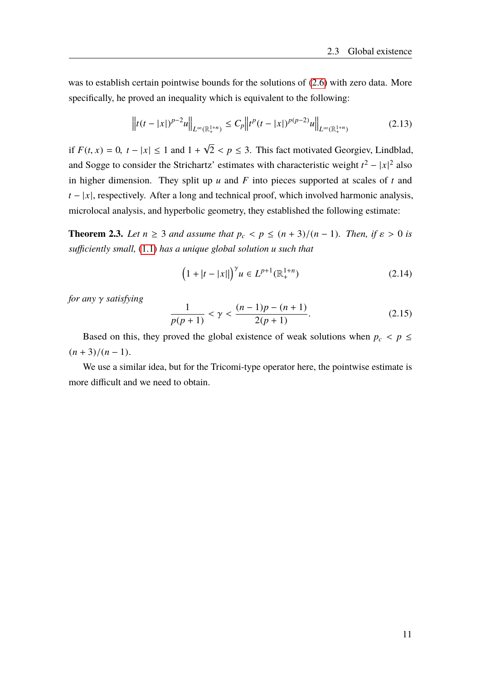was to establish certain pointwise bounds for the solutions of [\(2.6\)](#page-16-2) with zero data. More specifically, he proved an inequality which is equivalent to the following:

$$
\left\|t(t-|x|)^{p-2}u\right\|_{L^{\infty}(\mathbb{R}^{1+n}_+)} \leq C_p\left\|t^p(t-|x|)^{p(p-2)}u\right\|_{L^{\infty}(\mathbb{R}^{1+n}_+)}\tag{2.13}
$$

if  $F(t, x) = 0$ ,  $t - |x| \le 1$  and 1 + √  $2 < p \leq 3$ . This fact motivated Georgiev, Lindblad, and Sogge to consider the Strichartz' estimates with characteristic weight  $t^2 - |x|^2$  also in higher dimension. They split up *u* and *F* into pieces supported at scales of *t* and  $t - |x|$ , respectively. After a long and technical proof, which involved harmonic analysis, microlocal analysis, and hyperbolic geometry, they established the following estimate:

**Theorem 2.3.** Let  $n \geq 3$  and assume that  $p_c < p \leq (n+3)/(n-1)$ . Then, if  $\varepsilon > 0$  is *sufficiently small,* [\(1.1\)](#page-8-2) *has a unique global solution u such that*

$$
\left(1+|t-|x||\right)^{\gamma} u \in L^{p+1}(\mathbb{R}^{1+n}_+)
$$
\n(2.14)

*for any* γ *satisfying*

$$
\frac{1}{p(p+1)} < \gamma < \frac{(n-1)p - (n+1)}{2(p+1)}.\tag{2.15}
$$

Based on this, they proved the global existence of weak solutions when  $p_c < p \leq$  $(n+3)/(n-1)$ .

We use a similar idea, but for the Tricomi-type operator here, the pointwise estimate is more difficult and we need to obtain.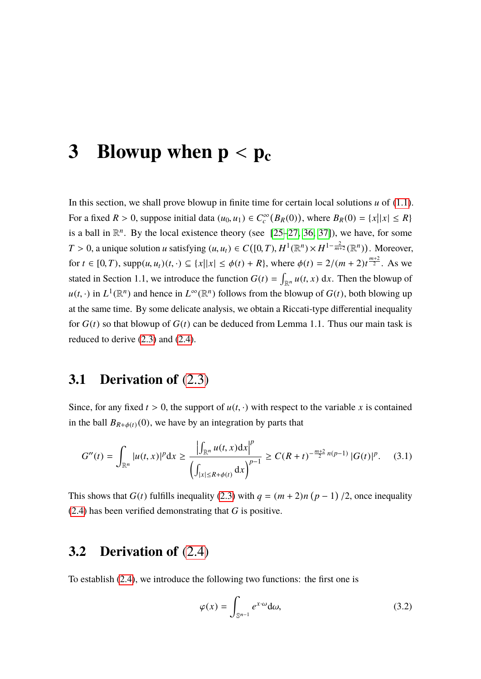## <span id="page-20-0"></span>**3** Blowup when  $p < p_c$

In this section, we shall prove blowup in finite time for certain local solutions *u* of [\(1.1\)](#page-8-2). For a fixed  $R > 0$ , suppose initial data  $(u_0, u_1) \in C_c^{\infty}(B_R(0))$ , where  $B_R(0) = \{x | |x| \le R\}$ is a ball in  $\mathbb{R}^n$ . By the local existence theory (see  $[25-27, 36, 37]$  $[25-27, 36, 37]$  $[25-27, 36, 37]$  $[25-27, 36, 37]$ ), we have, for some *T* > 0, a unique solution *u* satisfying  $(u, u_t) \in C([0, T), H^1(\mathbb{R}^n) \times H^{1-\frac{2}{m+2}}(\mathbb{R}^n))$ . Moreover, for  $t \in [0, T)$ , supp $(u, u_t)(t, \cdot) \subseteq \{x | |x| \le \phi(t) + R\}$ , where  $\phi(t) = 2/(m + 2)t^{\frac{m+2}{2}}$ . As we stated in Section 1.1, we introduce the function  $G(t) = \int_{\mathbb{R}^n} u(t, x) dx$ . Then the blowup of  $u(t, \cdot)$  in  $L^1(\mathbb{R}^n)$  and hence in  $L^\infty(\mathbb{R}^n)$  follows from the blowup of *G*(*t*), both blowing up at the same time. By some delicate analysis, we obtain a Riccati-type differential inequality for *G*(*t*) so that blowup of *G*(*t*) can be deduced from Lemma 1.1. Thus our main task is reduced to derive [\(2.3\)](#page-15-1) and [\(2.4\)](#page-15-2).

#### <span id="page-20-1"></span>**3.1 Derivation of** [\(2.3\)](#page-15-1)

Since, for any fixed  $t > 0$ , the support of  $u(t, \cdot)$  with respect to the variable x is contained in the ball  $B_{R+\phi(t)}(0)$ , we have by an integration by parts that

$$
G''(t) = \int_{\mathbb{R}^n} |u(t,x)|^p dx \ge \frac{\left| \int_{\mathbb{R}^n} u(t,x) dx \right|^p}{\left( \int_{|x| \le R + \phi(t)} dx \right)^{p-1}} \ge C(R+t)^{-\frac{m+2}{2}n(p-1)} |G(t)|^p. \tag{3.1}
$$

This shows that  $G(t)$  fulfills inequality [\(2.3\)](#page-15-1) with  $q = (m + 2)n (p - 1) / 2$ , once inequality [\(2.4\)](#page-15-2) has been verified demonstrating that *G* is positive.

#### <span id="page-20-2"></span>**3.2 Derivation of** [\(2.4\)](#page-15-2)

To establish [\(2.4\)](#page-15-2), we introduce the following two functions: the first one is

<span id="page-20-3"></span>
$$
\varphi(x) = \int_{\mathbb{S}^{n-1}} e^{x \cdot \omega} d\omega, \tag{3.2}
$$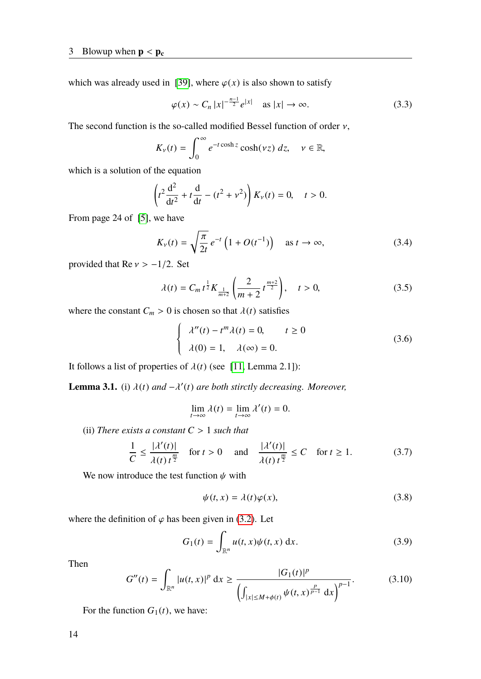which was already used in [\[39\]](#page-90-6), where  $\varphi(x)$  is also shown to satisfy

$$
\varphi(x) \sim C_n |x|^{-\frac{n-1}{2}} e^{|x|} \quad \text{as } |x| \to \infty. \tag{3.3}
$$

The second function is the so-called modified Bessel function of order  $\nu$ ,

$$
K_{\nu}(t)=\int_0^{\infty}e^{-t\cosh z}\cosh(\nu z)\,dz,\quad \nu\in\mathbb{R},
$$

which is a solution of the equation

$$
\left(t^2 \frac{d^2}{dt^2} + t \frac{d}{dt} - (t^2 + v^2)\right) K_v(t) = 0, \quad t > 0.
$$

From page 24 of [\[5\]](#page-88-9), we have

<span id="page-21-1"></span>
$$
K_{\nu}(t) = \sqrt{\frac{\pi}{2t}} e^{-t} \left( 1 + O(t^{-1}) \right) \quad \text{as } t \to \infty,
$$
 (3.4)

provided that  $\text{Re } v > -1/2$ . Set

<span id="page-21-2"></span>
$$
\lambda(t) = C_m t^{\frac{1}{2}} K_{\frac{1}{m+2}} \left( \frac{2}{m+2} t^{\frac{m+2}{2}} \right), \quad t > 0,
$$
\n(3.5)

where the constant  $C_m > 0$  is chosen so that  $\lambda(t)$  satisfies

$$
\begin{cases}\n\lambda''(t) - t^m \lambda(t) = 0, & t \ge 0 \\
\lambda(0) = 1, & \lambda(\infty) = 0.\n\end{cases}
$$
\n(3.6)

It follows a list of properties of  $\lambda(t)$  (see [\[11,](#page-88-4) Lemma 2.1]):

<span id="page-21-0"></span>**Lemma 3.1.** (i)  $\lambda(t)$  *and*  $-\lambda'(t)$  *are both stirctly decreasing. Moreover,* 

$$
\lim_{t \to \infty} \lambda(t) = \lim_{t \to \infty} \lambda'(t) = 0.
$$

(ii) *There exists a constant <sup>C</sup>* > <sup>1</sup> *such that*

$$
\frac{1}{C} \le \frac{|\lambda'(t)|}{\lambda(t) t^{\frac{m}{2}}} \quad \text{for } t > 0 \quad \text{ and } \quad \frac{|\lambda'(t)|}{\lambda(t) t^{\frac{m}{2}}} \le C \quad \text{for } t \ge 1. \tag{3.7}
$$

We now introduce the test function  $\psi$  with

$$
\psi(t,x) = \lambda(t)\varphi(x),\tag{3.8}
$$

where the definition of  $\varphi$  has been given in [\(3.2\)](#page-20-3). Let

$$
G_1(t) = \int_{\mathbb{R}^n} u(t, x)\psi(t, x) \, \mathrm{d}x. \tag{3.9}
$$

Then

<span id="page-21-3"></span>
$$
G''(t) = \int_{\mathbb{R}^n} |u(t, x)|^p dx \ge \frac{|G_1(t)|^p}{\left(\int_{|x| \le M + \phi(t)} \psi(t, x)^{\frac{p}{p-1}} dx\right)^{p-1}}.
$$
(3.10)

For the function  $G_1(t)$ , we have: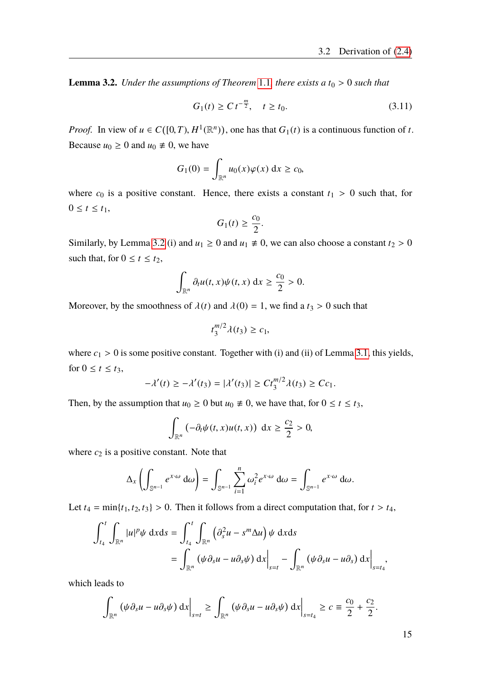<span id="page-22-0"></span>**Lemma 3.2.** *Under the assumptions of Theorem* [1.1](#page-10-1)*, there exists a*  $t_0 > 0$  *such that* 

$$
G_1(t) \ge C t^{-\frac{m}{2}}, \quad t \ge t_0. \tag{3.11}
$$

*Proof.* In view of  $u \in C([0, T), H^1(\mathbb{R}^n))$ , one has that  $G_1(t)$  is a continuous function of *t*. Because  $u_0 \ge 0$  and  $u_0 \ne 0$ , we have

$$
G_1(0) = \int_{\mathbb{R}^n} u_0(x)\varphi(x) \, \mathrm{d}x \ge c_0,
$$

where  $c_0$  is a positive constant. Hence, there exists a constant  $t_1 > 0$  such that, for  $0 \le t \le t_1$ ,

$$
G_1(t) \geq \frac{c_0}{2}.
$$

Similarly, by Lemma [3.2](#page-22-0) (i) and  $u_1 \ge 0$  and  $u_1 \ne 0$ , we can also choose a constant  $t_2 > 0$ such that, for  $0 \le t \le t_2$ ,

$$
\int_{\mathbb{R}^n} \partial_t u(t, x) \psi(t, x) \, \mathrm{d}x \ge \frac{c_0}{2} > 0.
$$

Moreover, by the smoothness of  $\lambda(t)$  and  $\lambda(0) = 1$ , we find a  $t_3 > 0$  such that

$$
t_3^{m/2}\lambda(t_3) \geq c_1,
$$

where  $c_1 > 0$  is some positive constant. Together with (i) and (ii) of Lemma [3.1,](#page-21-0) this yields, for  $0 \le t \le t_3$ ,

$$
-\lambda'(t) \ge -\lambda'(t_3) = |\lambda'(t_3)| \ge Ct_3^{m/2} \lambda(t_3) \ge Cc_1.
$$

Then, by the assumption that  $u_0 \ge 0$  but  $u_0 \ne 0$ , we have that, for  $0 \le t \le t_3$ ,

$$
\int_{\mathbb{R}^n} \left( -\partial_t \psi(t, x) u(t, x) \right) \, \mathrm{d}x \geq \frac{c_2}{2} > 0,
$$

where  $c_2$  is a positive constant. Note that

$$
\Delta_x \left( \int_{\mathbb{S}^{n-1}} e^{x \cdot \omega} d\omega \right) = \int_{\mathbb{S}^{n-1}} \sum_{i=1}^n \omega_i^2 e^{x \cdot \omega} d\omega = \int_{\mathbb{S}^{n-1}} e^{x \cdot \omega} d\omega.
$$

Let  $t_4 = \min\{t_1, t_2, t_3\} > 0$ . Then it follows from a direct computation that, for  $t > t_4$ ,

$$
\int_{t_4}^t \int_{\mathbb{R}^n} |u|^p \psi \, dx ds = \int_{t_4}^t \int_{\mathbb{R}^n} \left( \partial_s^2 u - s^m \Delta u \right) \psi \, dx ds
$$
  
= 
$$
\int_{\mathbb{R}^n} \left( \psi \partial_s u - u \partial_s \psi \right) dx \Big|_{s=t} - \int_{\mathbb{R}^n} \left( \psi \partial_s u - u \partial_s \right) dx \Big|_{s=t_4},
$$

which leads to

$$
\int_{\mathbb{R}^n} \left( \psi \partial_s u - u \partial_s \psi \right) dx \bigg|_{s=t} \ge \int_{\mathbb{R}^n} \left( \psi \partial_s u - u \partial_s \psi \right) dx \bigg|_{s=t_4} \ge c \equiv \frac{c_0}{2} + \frac{c_2}{2}.
$$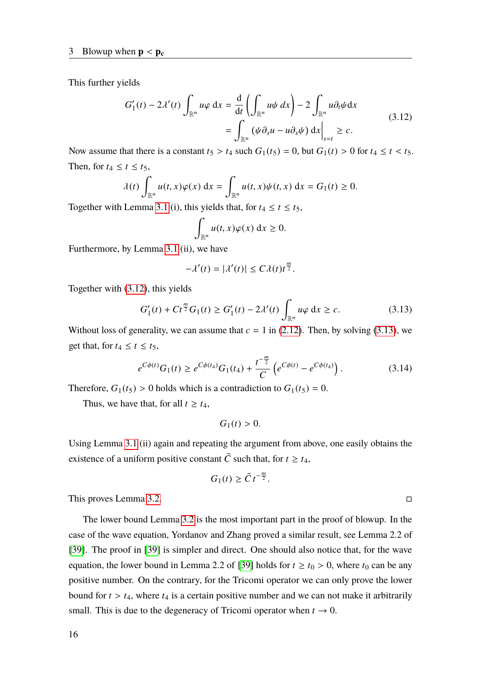This further yields

<span id="page-23-0"></span>
$$
G'_{1}(t) - 2\lambda'(t) \int_{\mathbb{R}^{n}} u\varphi \,dx = \frac{d}{dt} \left( \int_{\mathbb{R}^{n}} u\psi \,dx \right) - 2 \int_{\mathbb{R}^{n}} u\partial_{t}\psi \,dx
$$
  
= 
$$
\int_{\mathbb{R}^{n}} (\psi \partial_{s} u - u\partial_{s} \psi) \,dx \Big|_{s=t} \geq c.
$$
 (3.12)

Now assume that there is a constant  $t_5 > t_4$  such  $G_1(t_5) = 0$ , but  $G_1(t) > 0$  for  $t_4 \le t < t_5$ . Then, for  $t_4 \leq t \leq t_5$ ,

$$
\lambda(t) \int_{\mathbb{R}^n} u(t,x) \varphi(x) dx = \int_{\mathbb{R}^n} u(t,x) \psi(t,x) dx = G_1(t) \ge 0.
$$

Together with Lemma [3.1](#page-21-0) (i), this yields that, for  $t_4 \le t \le t_5$ ,

$$
\int_{\mathbb{R}^n} u(t,x)\varphi(x) \, \mathrm{d}x \geq 0.
$$

Furthermore, by Lemma [3.1](#page-21-0) (ii), we have

$$
-\lambda'(t) = |\lambda'(t)| \le C\lambda(t)t^{\frac{m}{2}}
$$

Together with [\(3.12\)](#page-23-0), this yields

<span id="page-23-1"></span>
$$
G'_{1}(t) + Ct^{\frac{m}{2}}G_{1}(t) \ge G'_{1}(t) - 2\lambda'(t) \int_{\mathbb{R}^{n}} u\varphi \,dx \ge c.
$$
 (3.13)

Without loss of generality, we can assume that  $c = 1$  in [\(2.12\)](#page-17-2). Then, by solving [\(3.13\)](#page-23-1), we get that, for  $t_4 \leq t \leq t_5$ ,

$$
e^{C\phi(t)}G_1(t) \geq e^{C\phi(t_4)}G_1(t_4) + \frac{t^{-\frac{m}{2}}}{C}\left(e^{C\phi(t)} - e^{C\phi(t_4)}\right). \tag{3.14}
$$

Therefore,  $G_1(t_5) > 0$  holds which is a contradiction to  $G_1(t_5) = 0$ .

Thus, we have that, for all  $t \geq t_4$ ,

$$
G_1(t)>0.
$$

Using Lemma [3.1](#page-21-0) (ii) again and repeating the argument from above, one easily obtains the existence of a uniform positive constant  $\tilde{C}$  such that, for  $t \geq t_4$ ,

$$
G_1(t) \ge \tilde{C} t^{-\frac{m}{2}}.
$$

This proves Lemma [3.2.](#page-22-0)

The lower bound Lemma [3.2](#page-22-0) is the most important part in the proof of blowup. In the case of the wave equation, Yordanov and Zhang proved a similar result, see Lemma 2.2 of [\[39\]](#page-90-6). The proof in [\[39\]](#page-90-6) is simpler and direct. One should also notice that, for the wave equation, the lower bound in Lemma 2.2 of [\[39\]](#page-90-6) holds for  $t \ge t_0 > 0$ , where  $t_0$  can be any positive number. On the contrary, for the Tricomi operator we can only prove the lower bound for  $t > t_4$ , where  $t_4$  is a certain positive number and we can not make it arbitrarily small. This is due to the degeneracy of Tricomi operator when  $t \to 0$ .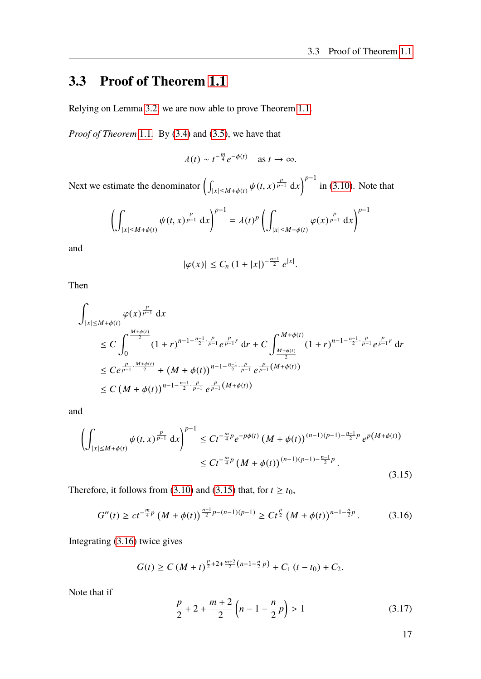### <span id="page-24-0"></span>**3.3 Proof of Theorem [1.1](#page-10-1)**

Relying on Lemma [3.2,](#page-22-0) we are now able to prove Theorem [1.1.](#page-10-1)

*Proof of Theorem* [1.1](#page-10-1)*.* By [\(3.4\)](#page-21-1) and [\(3.5\)](#page-21-2), we have that

$$
\lambda(t) \sim t^{-\frac{m}{4}} e^{-\phi(t)} \quad \text{as } t \to \infty.
$$

Next we estimate the denominator  $\left(\right)$  $\int |x| \le M + \phi(t) \, \psi(t, x)^{\frac{p}{p-1}} dx$  in [\(3.10\)](#page-21-3). Note that

$$
\left(\int_{|x|\leq M+\phi(t)} \psi(t,x)^{\frac{p}{p-1}} dx\right)^{p-1} = \lambda(t)^p \left(\int_{|x|\leq M+\phi(t)} \varphi(x)^{\frac{p}{p-1}} dx\right)^{p-1}
$$

and

$$
|\varphi(x)| \leq C_n \left(1 + |x|\right)^{-\frac{n-1}{2}} e^{|x|}.
$$

Then

$$
\int_{|x| \le M+\phi(t)} \varphi(x)^{\frac{p}{p-1}} dx
$$
\n
$$
\le C \int_0^{\frac{M+\phi(t)}{2}} (1+r)^{n-1-\frac{n-1}{2}\cdot\frac{p}{p-1}} e^{\frac{p}{p-1}r} dr + C \int_{\frac{M+\phi(t)}{2}}^{M+\phi(t)} (1+r)^{n-1-\frac{n-1}{2}\cdot\frac{p}{p-1}} e^{\frac{p}{p-1}r} dr
$$
\n
$$
\le C e^{\frac{p}{p-1}\cdot\frac{M+\phi(t)}{2}} + (M+\phi(t))^{n-1-\frac{n-1}{2}\cdot\frac{p}{p-1}} e^{\frac{p}{p-1}(M+\phi(t))}
$$
\n
$$
\le C (M+\phi(t))^{n-1-\frac{n-1}{2}\cdot\frac{p}{p-1}} e^{\frac{p}{p-1}(M+\phi(t))}
$$

and

<span id="page-24-1"></span>
$$
\left(\int_{|x| \le M+\phi(t)} \psi(t,x)^{\frac{p}{p-1}} dx\right)^{p-1} \le Ct^{-\frac{m}{4}p} e^{-p\phi(t)} \left(M+\phi(t)\right)^{(n-1)(p-1)-\frac{n-1}{2}p} e^{p\left(M+\phi(t)\right)}
$$
  

$$
\le Ct^{-\frac{m}{4}p} \left(M+\phi(t)\right)^{(n-1)(p-1)-\frac{n-1}{2}p}.
$$
\n(3.15)

Therefore, it follows from [\(3.10\)](#page-21-3) and [\(3.15\)](#page-24-1) that, for  $t \ge t_0$ ,

<span id="page-24-2"></span>
$$
G''(t) \ge ct^{-\frac{m}{4}p} \left(M + \phi(t)\right)^{\frac{n-1}{2}p - (n-1)(p-1)} \ge Ct^{\frac{p}{2}} \left(M + \phi(t)\right)^{n-1-\frac{n}{2}p}.\tag{3.16}
$$

Integrating [\(3.16\)](#page-24-2) twice gives

$$
G(t) \geq C\left(M+t\right)^{\frac{p}{2}+2+\frac{m+2}{2}\left(n-1-\frac{n}{2}\,p\right)} + C_1\left(t-t_0\right) + C_2.
$$

Note that if

<span id="page-24-3"></span>
$$
\frac{p}{2} + 2 + \frac{m+2}{2} \left( n - 1 - \frac{n}{2} p \right) > 1 \tag{3.17}
$$

17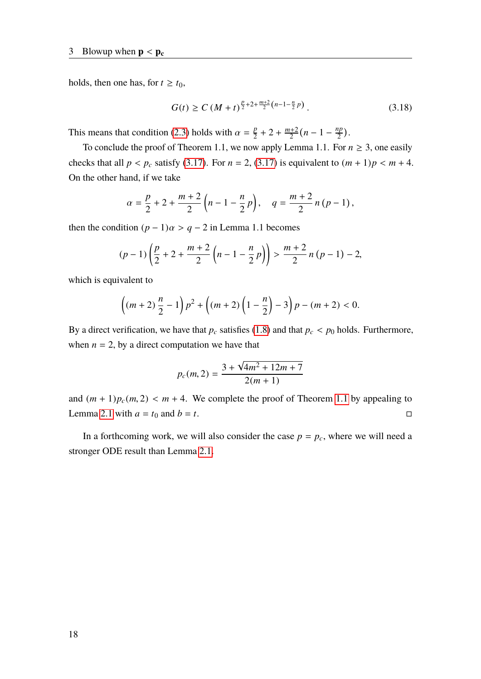holds, then one has, for  $t \geq t_0$ ,

$$
G(t) \ge C \left(M + t\right)^{\frac{p}{2} + 2 + \frac{m+2}{2} \left(n - 1 - \frac{n}{2} p\right)}.
$$
\n(3.18)

This means that condition [\(2.3\)](#page-15-1) holds with  $\alpha = \frac{p}{2}$  $\frac{p}{2}$  + 2 +  $\frac{m+2}{2}$  $\frac{n+2}{2}(n-1-\frac{np}{2})$  $\frac{ip}{2}$ ).

To conclude the proof of Theorem 1.1, we now apply Lemma 1.1. For  $n \geq 3$ , one easily checks that all  $p < p_c$  satisfy [\(3.17\)](#page-24-3). For  $n = 2$ , (3.17) is equivalent to  $(m + 1)p < m + 4$ . On the other hand, if we take

$$
\alpha = \frac{p}{2} + 2 + \frac{m+2}{2} \left( n - 1 - \frac{n}{2} p \right), \quad q = \frac{m+2}{2} n (p-1),
$$

then the condition  $(p-1)\alpha > q-2$  in Lemma 1.1 becomes

$$
(p-1)\left(\frac{p}{2}+2+\frac{m+2}{2}\left(n-1-\frac{n}{2}p\right)\right)>\frac{m+2}{2}n(p-1)-2,
$$

which is equivalent to

$$
\left((m+2)\frac{n}{2}-1\right)p^2+\left((m+2)\left(1-\frac{n}{2}\right)-3\right)p-(m+2)<0.
$$

By a direct verification, we have that  $p_c$  satisfies [\(1.8\)](#page-10-2) and that  $p_c < p_0$  holds. Furthermore, when  $n = 2$ , by a direct computation we have that

$$
p_c(m, 2) = \frac{3 + \sqrt{4m^2 + 12m + 7}}{2(m + 1)}
$$

and  $(m + 1)p_c(m, 2) < m + 4$ . We complete the proof of Theorem [1.1](#page-10-1) by appealing to Lemma 2.1 with  $a = t_0$  and  $b = t$ . Lemma [2.1](#page-15-4) with  $a = t_0$  and  $b = t$ .

In a forthcoming work, we will also consider the case  $p = p_c$ , where we will need a stronger ODE result than Lemma [2.1.](#page-15-4)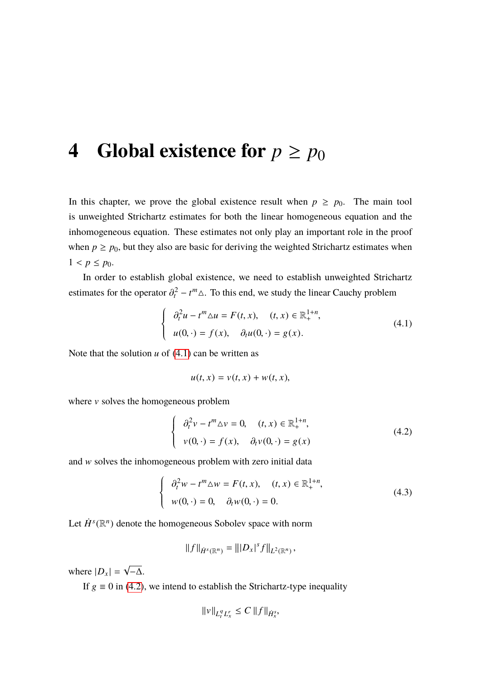### <span id="page-26-0"></span>**4** Global existence for  $p \geq p_0$

In this chapter, we prove the global existence result when  $p \ge p_0$ . The main tool is unweighted Strichartz estimates for both the linear homogeneous equation and the inhomogeneous equation. These estimates not only play an important role in the proof when  $p \ge p_0$ , but they also are basic for deriving the weighted Strichartz estimates when  $1 < p \leq p_0$ .

In order to establish global existence, we need to establish unweighted Strichartz estimates for the operator  $\partial_t^2 - t^m \Delta$ . To this end, we study the linear Cauchy problem

<span id="page-26-1"></span>
$$
\begin{cases}\n\partial_t^2 u - t^m \Delta u = F(t, x), & (t, x) \in \mathbb{R}^{1+n}_+, \\
u(0, \cdot) = f(x), & \partial_t u(0, \cdot) = g(x).\n\end{cases}
$$
\n(4.1)

Note that the solution  $u$  of  $(4.1)$  can be written as

$$
u(t,x) = v(t,x) + w(t,x),
$$

where  $\nu$  solves the homogeneous problem

<span id="page-26-2"></span>
$$
\begin{cases}\n\partial_t^2 v - t^m \Delta v = 0, & (t, x) \in \mathbb{R}_+^{1+n}, \\
v(0, \cdot) = f(x), & \partial_t v(0, \cdot) = g(x)\n\end{cases}
$$
\n(4.2)

and w solves the inhomogeneous problem with zero initial data

<span id="page-26-3"></span>
$$
\begin{cases}\n\partial_t^2 w - t^m \Delta w = F(t, x), & (t, x) \in \mathbb{R}^{1+n}_+, \\
w(0, \cdot) = 0, & \partial_t w(0, \cdot) = 0.\n\end{cases}
$$
\n(4.3)

Let  $\dot{H}^s(\mathbb{R}^n)$  denote the homogeneous Sobolev space with norm

$$
||f||_{\dot{H}^{s}(\mathbb{R}^n)} = |||D_x|^s f||_{L^2(\mathbb{R}^n)},
$$

where  $|D_x|$  = √ −∆.

If  $g \equiv 0$  in [\(4.2\)](#page-26-2), we intend to establish the Strichartz-type inequality

$$
||v||_{L_t^q L_x^r} \le C ||f||_{\dot{H}_x^s},
$$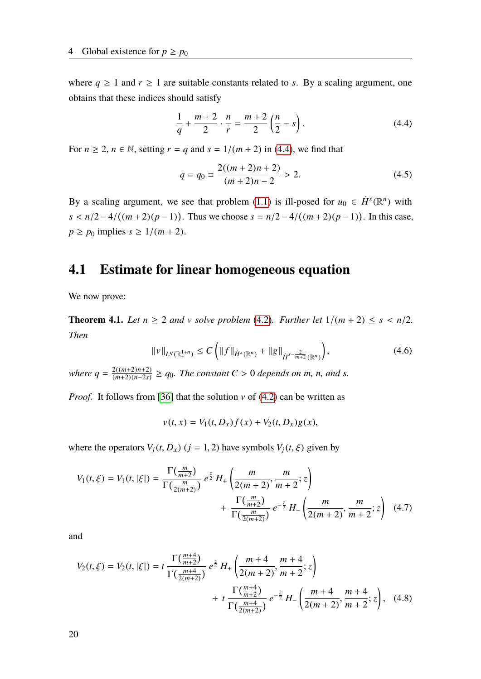where  $q \ge 1$  and  $r \ge 1$  are suitable constants related to *s*. By a scaling argument, one obtains that these indices should satisfy

<span id="page-27-1"></span>
$$
\frac{1}{q} + \frac{m+2}{2} \cdot \frac{n}{r} = \frac{m+2}{2} \left( \frac{n}{2} - s \right). \tag{4.4}
$$

For  $n \ge 2$ ,  $n \in \mathbb{N}$ , setting  $r = q$  and  $s = 1/(m + 2)$  in [\(4.4\)](#page-27-1), we find that

$$
q = q_0 \equiv \frac{2((m+2)n+2)}{(m+2)n-2} > 2.
$$
 (4.5)

By a scaling argument, we see that problem [\(1.1\)](#page-8-2) is ill-posed for  $u_0 \in \dot{H}^s(\mathbb{R}^n)$  with  $s < n/2 - 4/((m+2)(p-1))$ . Thus we choose  $s = n/2 - 4/((m+2)(p-1))$ . In this case,  $p \geq p_0$  implies  $s \geq 1/(m+2)$ .

#### <span id="page-27-0"></span>**4.1 Estimate for linear homogeneous equation**

We now prove:

<span id="page-27-3"></span>**Theorem 4.1.** *Let*  $n \geq 2$  *and* v *solve problem* [\(4.2\)](#page-26-2)*. Further let*  $1/(m + 2) \leq s \leq n/2$ *. Then*

$$
\|\nu\|_{L^{q}(\mathbb{R}^{1+n}_{+})} \le C\left(\|f\|_{\dot{H}^{s}(\mathbb{R}^{n})} + \|g\|_{\dot{H}^{s-\frac{2}{m+2}}(\mathbb{R}^{n})}\right),\tag{4.6}
$$

*where*  $q = \frac{2((m+2)n+2)}{(m+2)(n-2s)}$  $\frac{2((m+2)n+2)}{(m+2)(n-2s)}$  ≥  $q_0$ . The constant  $C > 0$  depends on  $m$ ,  $n$ , and  $s$ .

*Proof.* It follows from [\[36\]](#page-90-3) that the solution  $\nu$  of [\(4.2\)](#page-26-2) can be written as

<span id="page-27-2"></span>
$$
v(t, x) = V_1(t, D_x)f(x) + V_2(t, D_x)g(x),
$$

where the operators  $V_i(t, D_x)$  ( $j = 1, 2$ ) have symbols  $V_i(t, \xi)$  given by

$$
V_1(t,\xi) = V_1(t,|\xi|) = \frac{\Gamma(\frac{m}{m+2})}{\Gamma(\frac{m}{2(m+2)})} e^{\frac{z}{2}} H_+ \left( \frac{m}{2(m+2)}, \frac{m}{m+2}; z \right) + \frac{\Gamma(\frac{m}{m+2})}{\Gamma(\frac{m}{2(m+2)})} e^{-\frac{z}{2}} H_- \left( \frac{m}{2(m+2)}, \frac{m}{m+2}; z \right) (4.7)
$$

and

$$
V_2(t,\xi) = V_2(t,|\xi|) = t \frac{\Gamma(\frac{m+4}{m+2})}{\Gamma(\frac{m+4}{2(m+2)})} e^{\frac{z}{2}} H_+ \left( \frac{m+4}{2(m+2)}, \frac{m+4}{m+2}; z \right) + t \frac{\Gamma(\frac{m+4}{m+2})}{\Gamma(\frac{m+4}{2(m+2)})} e^{-\frac{z}{2}} H_- \left( \frac{m+4}{2(m+2)}, \frac{m+4}{m+2}; z \right), \quad (4.8)
$$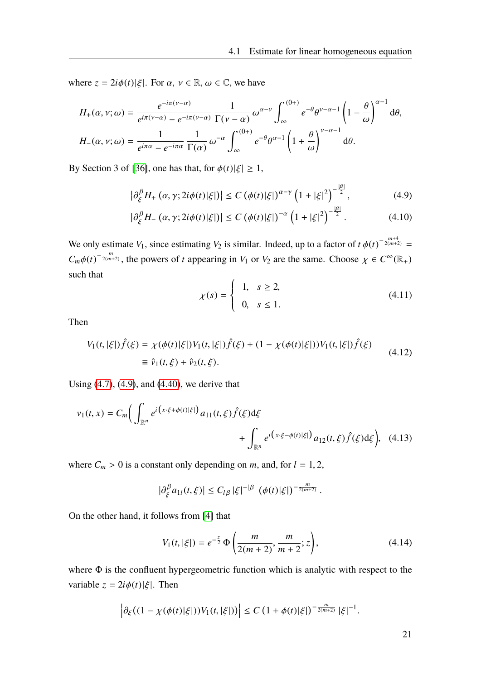<span id="page-28-0"></span> $|8|$ 

where  $z = 2i\phi(t)|\xi|$ . For  $\alpha, \nu \in \mathbb{R}, \omega \in \mathbb{C}$ , we have

$$
H_{+}(\alpha, \nu; \omega) = \frac{e^{-i\pi(\nu - \alpha)}}{e^{i\pi(\nu - \alpha)} - e^{-i\pi(\nu - \alpha)}} \frac{1}{\Gamma(\nu - \alpha)} \omega^{\alpha - \nu} \int_{\infty}^{(0+)} e^{-\theta} \theta^{\nu - \alpha - 1} \left(1 - \frac{\theta}{\omega}\right)^{\alpha - 1} d\theta,
$$
  

$$
H_{-}(\alpha, \nu; \omega) = \frac{1}{e^{i\pi\alpha} - e^{-i\pi\alpha}} \frac{1}{\Gamma(\alpha)} \omega^{-\alpha} \int_{\infty}^{(0+)} e^{-\theta} \theta^{\alpha - 1} \left(1 + \frac{\theta}{\omega}\right)^{\nu - \alpha - 1} d\theta.
$$

By Section 3 of [\[36\]](#page-90-3), one has that, for  $\phi(t)|\xi| \geq 1$ ,

$$
\left|\partial_{\xi}^{\beta}H_{+}\left(\alpha,\gamma;2i\phi(t)|\xi|\right)\right| \leq C\left(\phi(t)|\xi|\right)^{\alpha-\gamma}\left(1+|\xi|^{2}\right)^{-\frac{|\beta|}{2}},\tag{4.9}
$$

$$
\left|\partial_{\xi}^{\beta}H_{-}\left(\alpha,\gamma;2i\phi(t)|\xi|\right)\right| \leq C\left(\phi(t)|\xi|\right)^{-\alpha}\left(1+|\xi|^{2}\right)^{-\frac{|\beta|}{2}}.\tag{4.10}
$$

We only estimate *V*<sub>1</sub>, since estimating *V*<sub>2</sub> is similar. Indeed, up to a factor of  $t \phi(t)^{-\frac{m+4}{2(m+2)}} =$  $C_m \phi(t)^{-\frac{m}{2(m+2)}}$ , the powers of *t* appearing in *V*<sub>1</sub> or *V*<sub>2</sub> are the same. Choose  $\chi \in C^\infty(\mathbb{R}_+)$ such that

<span id="page-28-3"></span>
$$
\chi(s) = \begin{cases} 1, & s \ge 2, \\ 0, & s \le 1. \end{cases}
$$
 (4.11)

Then

<span id="page-28-2"></span>
$$
V_1(t,|\xi|)\hat{f}(\xi) = \chi(\phi(t)|\xi|)V_1(t,|\xi|)\hat{f}(\xi) + (1 - \chi(\phi(t)|\xi|))V_1(t,|\xi|)\hat{f}(\xi)
$$
  
\n
$$
\equiv \hat{v}_1(t,\xi) + \hat{v}_2(t,\xi).
$$
\n(4.12)

Using [\(4.7\)](#page-27-2), [\(4.9\)](#page-28-0), and [\(4.40\)](#page-34-0), we derive that

$$
v_1(t,x) = C_m \Big( \int_{\mathbb{R}^n} e^{i(x \cdot \xi + \phi(t)|\xi|)} a_{11}(t,\xi) \hat{f}(\xi) d\xi + \int_{\mathbb{R}^n} e^{i(x \cdot \xi - \phi(t)|\xi|)} a_{12}(t,\xi) \hat{f}(\xi) d\xi \Big), \quad (4.13)
$$

where  $C_m > 0$  is a constant only depending on *m*, and, for  $l = 1, 2$ ,

<span id="page-28-1"></span>
$$
\big|\partial_{\xi}^{\beta}a_{1l}(t,\xi)\big|\leq C_{l\beta}|\xi|^{-|\beta|}\left(\phi(t)|\xi|\right)^{-\frac{m}{2(m+2)}}.
$$

On the other hand, it follows from [\[4\]](#page-88-10) that

$$
V_1(t, |\xi|) = e^{-\frac{z}{2}} \Phi\left(\frac{m}{2(m+2)}, \frac{m}{m+2}; z\right),\tag{4.14}
$$

where  $\Phi$  is the confluent hypergeometric function which is analytic with respect to the variable  $z = 2i\phi(t)|\xi|$ . Then

$$
\left|\partial_\xi \big((1-\chi(\phi(t)|\xi|))V_1(t,|\xi|)\big)\right|\leq C\left(1+\phi(t)|\xi|\right)^{-\frac{m}{2(m+2)}}|\xi|^{-1}.
$$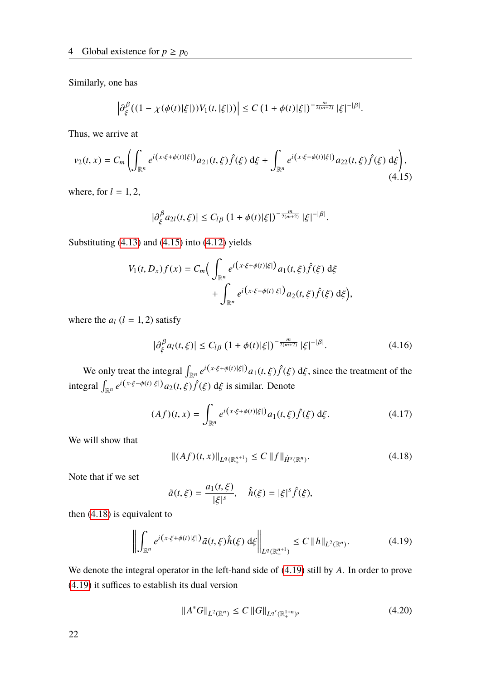Similarly, one has

$$
\left|\partial_{\xi}^{\beta} \left((1-\chi(\phi(t)|\xi|))V_1(t,|\xi|)\right)\right| \leq C \left(1+\phi(t)|\xi|\right)^{-\frac{m}{2(m+2)}}|\xi|^{-|\beta|}.
$$

Thus, we arrive at

<span id="page-29-0"></span>
$$
v_2(t,x) = C_m \left( \int_{\mathbb{R}^n} e^{i(x \cdot \xi + \phi(t)|\xi|)} a_{21}(t,\xi) \hat{f}(\xi) d\xi + \int_{\mathbb{R}^n} e^{i(x \cdot \xi - \phi(t)|\xi|)} a_{22}(t,\xi) \hat{f}(\xi) d\xi \right), \tag{4.15}
$$

where, for  $l = 1, 2$ ,

$$
\left|\partial_{\xi}^{\beta}a_{2l}(t,\xi)\right|\leq C_{l\beta}\left(1+\phi(t)|\xi|\right)^{-\frac{m}{2(m+2)}}|\xi|^{-|\beta|}.
$$

Substituting [\(4.13\)](#page-28-1) and [\(4.15\)](#page-29-0) into [\(4.12\)](#page-28-2) yields

$$
V_1(t, D_x)f(x) = C_m \Big( \int_{\mathbb{R}^n} e^{i(x \cdot \xi + \phi(t)|\xi|)} a_1(t, \xi) \hat{f}(\xi) d\xi + \int_{\mathbb{R}^n} e^{i(x \cdot \xi - \phi(t)|\xi|)} a_2(t, \xi) \hat{f}(\xi) d\xi \Big),
$$

where the  $a_l$  ( $l = 1, 2$ ) satisfy

<span id="page-29-4"></span>
$$
\left|\partial_{\xi}^{\beta} a_{l}(t,\xi)\right| \le C_{l\beta} \left(1 + \phi(t)|\xi|\right)^{-\frac{m}{2(m+2)}} |\xi|^{-|\beta|}.
$$
 (4.16)

We only treat the integral  $\int_{\mathbb{R}^n} e^{i(x \cdot \xi + \phi(t)|\xi|)} a_1(t, \xi) \hat{f}(\xi) d\xi$ , since the treatment of the integral  $\int_{\mathbb{R}^n} e^{i(x \cdot \xi - \phi(t)|\xi|)} a_2(t, \xi) \hat{f}(\xi) d\xi$  is similar. Denote

$$
(Af)(t,x) = \int_{\mathbb{R}^n} e^{i(x \cdot \xi + \phi(t)|\xi|)} a_1(t,\xi) \hat{f}(\xi) d\xi.
$$
 (4.17)

We will show that

<span id="page-29-1"></span>
$$
||(Af)(t,x)||_{L^{q}(\mathbb{R}^{n+1}_{+})} \leq C ||f||_{\dot{H}^{s}(\mathbb{R}^{n})}.
$$
\n(4.18)

Note that if we set

$$
\tilde{a}(t,\xi) = \frac{a_1(t,\xi)}{|\xi|^s}, \quad \hat{h}(\xi) = |\xi|^s \hat{f}(\xi),
$$

then [\(4.18\)](#page-29-1) is equivalent to

<span id="page-29-2"></span>
$$
\left\| \int_{\mathbb{R}^n} e^{i(x \cdot \xi + \phi(t)|\xi|)} \tilde{a}(t,\xi) \hat{h}(\xi) d\xi \right\|_{L^q(\mathbb{R}^{n+1}_+)} \le C \|h\|_{L^2(\mathbb{R}^n)}.
$$
\n(4.19)

We denote the integral operator in the left-hand side of [\(4.19\)](#page-29-2) still by *A*. In order to prove [\(4.19\)](#page-29-2) it suffices to establish its dual version

<span id="page-29-3"></span>
$$
||A^*G||_{L^2(\mathbb{R}^n)} \le C ||G||_{L^{q'}(\mathbb{R}^{1+n}_+)},
$$
\n(4.20)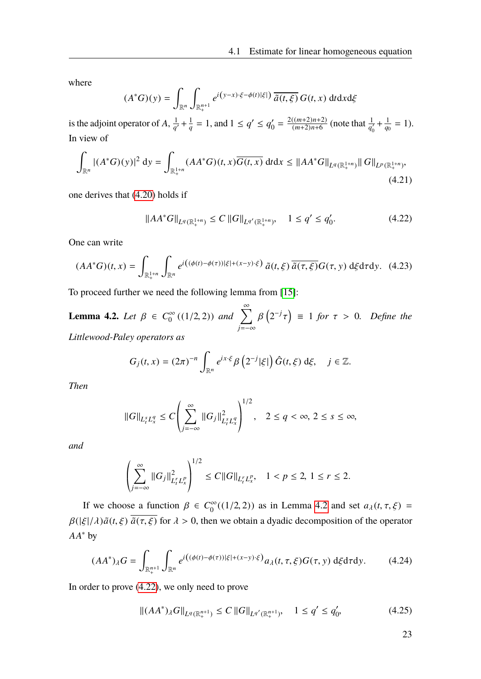where

$$
(A^*G)(y) = \int_{\mathbb{R}^n} \int_{\mathbb{R}^{n+1}_+} e^{i(y-x)\cdot\xi - \phi(t)|\xi|} \overline{\tilde{a}(t,\xi)} G(t,x) dt dx d\xi
$$

is the adjoint operator of  $A$ ,  $\frac{1}{a}$  $\frac{1}{q'} + \frac{1}{q}$  $\frac{1}{q} = 1$ , and  $1 \le q' \le q_0'$  $y'_0 = \frac{2((m+2)n+2)}{(m+2)n+6}$  $\frac{((m+2)n+2)}{(m+2)n+6}$  (note that  $\frac{1}{q'_0} + \frac{1}{q_0}$  $\frac{1}{q_0} = 1$ . In view of

$$
\int_{\mathbb{R}^n} |(A^*G)(y)|^2 dy = \int_{\mathbb{R}^{1+n}_+} (AA^*G)(t, x) \overline{G(t, x)} dt dx \leq ||AA^*G||_{L^q(\mathbb{R}^{1+n}_+)} ||G||_{L^p(\mathbb{R}^{1+n}_+)},
$$
\n(4.21)

one derives that [\(4.20\)](#page-29-3) holds if

<span id="page-30-1"></span>
$$
||AA^*G||_{L^q(\mathbb{R}^{1+n}_+)} \le C ||G||_{L^{q'}(\mathbb{R}^{1+n}_+)}, \quad 1 \le q' \le q'_0. \tag{4.22}
$$

One can write

$$
(AA^*G)(t,x) = \int_{\mathbb{R}^{1+n}_+} \int_{\mathbb{R}^n} e^{i\left((\phi(t)-\phi(\tau))|\xi|+(x-y)\cdot\xi\right)} \tilde{a}(t,\xi) \overline{\tilde{a}(\tau,\xi)} G(\tau,y) d\xi d\tau dy. \tag{4.23}
$$

To proceed further we need the following lemma from [\[15\]](#page-89-3):

<span id="page-30-0"></span>**Lemma 4.2.** *Let*  $\beta \in C_0^{\infty}$  $\int_{0}^{\infty} ((1/2, 2)) \text{ and } \sum_{j=-\infty}^{\infty} \beta$  $(2^{-j})$  $= 1$  *for*  $\tau > 0$ *. Define the Littlewood-Paley operators as*

$$
G_j(t,x) = (2\pi)^{-n} \int_{\mathbb{R}^n} e^{ix\cdot\xi} \beta\left(2^{-j}|\xi|\right) \hat{G}(t,\xi) d\xi, \quad j \in \mathbb{Z}.
$$

*Then*

$$
||G||_{L_t^s L_x^q} \le C \left( \sum_{j=-\infty}^{\infty} ||G_j||_{L_t^s L_x^q}^2 \right)^{1/2}, \quad 2 \le q < \infty, \ 2 \le s \le \infty,
$$

*and*

$$
\left(\sum_{j=-\infty}^{\infty}||G_j||^2_{L^r_tL^p_x}\right)^{1/2} \leq C||G||_{L^r_tL^p_x}, \quad 1 < p \leq 2, \ 1 \leq r \leq 2.
$$

If we choose a function  $\beta \in C_0^{\infty}$ <sup>(∞</sup><sub>0</sub>)((1/2, 2)) as in Lemma [4.2](#page-30-0) and set  $a_{\lambda}(t, \tau, \xi)$  =  $\beta(|\xi|/\lambda)\tilde{a}(t,\xi)$   $\overline{\tilde{a}(\tau,\xi)}$  for  $\lambda > 0$ , then we obtain a dyadic decomposition of the operator *AA*<sup>∗</sup> by

$$
(AA^*)_A G = \int_{\mathbb{R}^{n+1}_+} \int_{\mathbb{R}^n} e^{i\left( (\phi(t) - \phi(\tau))|\xi| + (x-y)\cdot \xi \right)} a_\lambda(t, \tau, \xi) G(\tau, y) \, d\xi d\tau dy. \tag{4.24}
$$

In order to prove [\(4.22\)](#page-30-1), we only need to prove

<span id="page-30-2"></span>
$$
||(AA^*)_{\lambda}G||_{L^{q}(\mathbb{R}^{n+1}_{+})} \leq C||G||_{L^{q'}(\mathbb{R}^{n+1}_{+})}, \quad 1 \leq q' \leq q'_0,
$$
\n(4.25)

23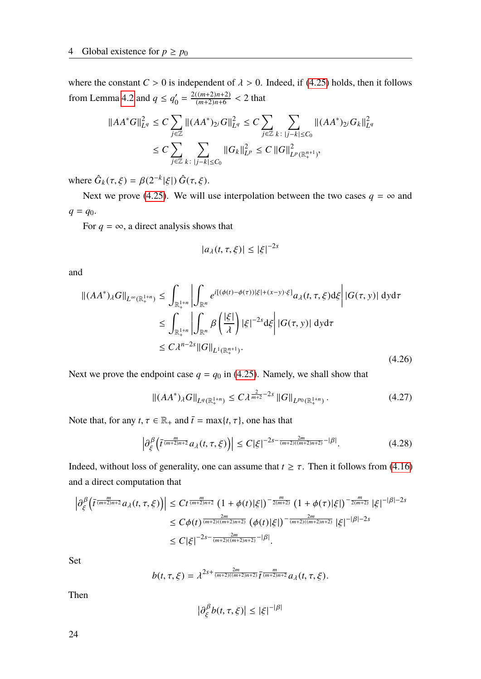where the constant  $C > 0$  is independent of  $\lambda > 0$ . Indeed, if [\(4.25\)](#page-30-2) holds, then it follows from Lemma [4.2](#page-30-0) and  $q \leq q_0$  $\frac{n'}{0} = \frac{2((m+2)n+2)}{(m+2)n+6}$  $\frac{(m+2)n+2}{(m+2)n+6}$  < 2 that

$$
\begin{aligned} \|AA^*G\|_{L^q}^2 &\leq C \sum_{j\in\mathbb{Z}} \|(AA^*)_{2^j}G\|_{L^q}^2 \leq C \sum_{j\in\mathbb{Z}} \sum_{k\colon |j-k|\leq C_0} \|(AA^*)_{2^j}G_k\|_{L^q}^2\\ &\leq C \sum_{j\in\mathbb{Z}} \sum_{k\colon |j-k|\leq C_0} \|G_k\|_{L^p}^2 \leq C\, \|G\|_{L^p(\mathbb{R}^{n+1}_+)}^2, \end{aligned}
$$

where  $\hat{G}_k(\tau, \xi) = \beta(2^{-k}|\xi|) \hat{G}(\tau, \xi)$ .

Next we prove [\(4.25\)](#page-30-2). We will use interpolation between the two cases  $q = \infty$  and  $q = q_0$ .

For  $q = \infty$ , a direct analysis shows that

$$
|a_{\lambda}(t,\tau,\xi)| \leq |\xi|^{-2s}
$$

and

<span id="page-31-0"></span>
$$
\| (AA^*)_{\lambda} G \|_{L^{\infty}(\mathbb{R}^{1+n}_+)} \leq \int_{\mathbb{R}^{1+n}_+} \left| \int_{\mathbb{R}^n} e^{i[(\phi(t) - \phi(\tau))|\xi| + (x - y) \cdot \xi]} a_{\lambda}(t, \tau, \xi) d\xi \right| |G(\tau, y)| dy d\tau
$$
  
\n
$$
\leq \int_{\mathbb{R}^{1+n}_+} \left| \int_{\mathbb{R}^n} \beta \left( \frac{|\xi|}{\lambda} \right) |\xi|^{-2s} d\xi \right| |G(\tau, y)| dy d\tau
$$
  
\n
$$
\leq C \lambda^{n-2s} \|G\|_{L^1(\mathbb{R}^{n+1}_+)}.
$$
\n(4.26)

Next we prove the endpoint case  $q = q_0$  in [\(4.25\)](#page-30-2). Namely, we shall show that

$$
\|(AA^*)_A G\|_{L^q(\mathbb{R}^{1+n}_+)} \le C\lambda^{\frac{2}{m+2}-2s} \|G\|_{L^{p_0}(\mathbb{R}^{1+n}_+)}.
$$
\n(4.27)

Note that, for any  $t, \tau \in \mathbb{R}_+$  and  $\bar{t} = \max\{t, \tau\}$ , one has that

$$
\left|\partial_{\xi}^{\beta}\left(\bar{t}^{\frac{m}{(m+2)n+2}}a_{\lambda}(t,\tau,\xi)\right)\right| \leq C|\xi|^{-2s-\frac{2m}{(m+2)((m+2)n+2)}}^{-|\beta|}.
$$
\n(4.28)

Indeed, without loss of generality, one can assume that  $t \geq \tau$ . Then it follows from [\(4.16\)](#page-29-4) and a direct computation that

$$
\left|\partial_{\xi}^{\beta}\left(\bar{t}^{\frac{m}{(m+2)n+2}}a_{\lambda}(t,\tau,\xi)\right)\right| \leq Ct^{\frac{m}{(m+2)n+2}}\left(1+\phi(t)|\xi|\right)^{-\frac{m}{2(m+2)}}\left(1+\phi(\tau)|\xi|\right)^{-\frac{m}{2(m+2)}}|\xi|^{-|\beta|-2s}
$$
  

$$
\leq C\phi(t)^{\frac{2m}{(m+2)((m+2)n+2)}}\left(\phi(t)|\xi|\right)^{-\frac{2m}{(m+2)((m+2)n+2)}}|\xi|^{-|\beta|-2s}
$$
  

$$
\leq C|\xi|^{-2s-\frac{2m}{(m+2)((m+2)n+2)}}^{-\frac{2m}{(m+2)((m+2)n+2)}}|\beta|.
$$

Set

$$
b(t, \tau, \xi) = \lambda^{2s + \frac{2m}{(m+2)((m+2)n+2)}} \overline{t}^{\frac{m}{(m+2)n+2}} a_{\lambda}(t, \tau, \xi).
$$

Then

$$
|\partial_{\xi}^{\beta}b(t,\tau,\xi)| \leq |\xi|^{-|\beta|}
$$

24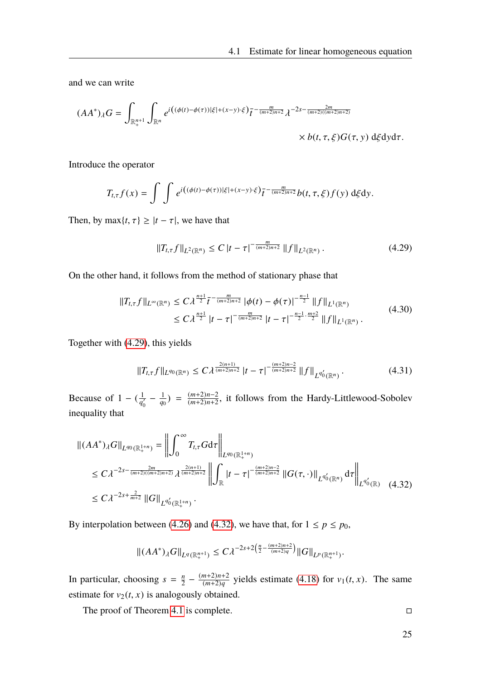and we can write

$$
(AA^*)_{\lambda}G = \int_{\mathbb{R}^{n+1}_+} \int_{\mathbb{R}^n} e^{i\left( (\phi(t) - \phi(\tau)) |\xi| + (x - y) \cdot \xi \right)} \overline{t}^{-\frac{m}{(m+2)n+2}} \lambda^{-2s - \frac{2m}{(m+2)((m+2)n+2)}} \times b(t, \tau, \xi) G(\tau, y) \, d\xi dy d\tau.
$$

Introduce the operator

$$
T_{t,\tau}f(x)=\int\int e^{i((\phi(t)-\phi(\tau))|\xi|+(x-y)\cdot\xi)}\overline{t}^{-\frac{m}{(m+2)n+2}}b(t,\tau,\xi)f(y)\,\mathrm{d}\xi\mathrm{d}y.
$$

Then, by max $\{t, \tau\} \ge |t - \tau|$ , we have that

<span id="page-32-0"></span>
$$
||T_{t,\tau}f||_{L^{2}(\mathbb{R}^{n})} \leq C |t-\tau|^{-\frac{m}{(m+2)n+2}} ||f||_{L^{2}(\mathbb{R}^{n})}. \tag{4.29}
$$

On the other hand, it follows from the method of stationary phase that

$$
||T_{t,\tau}f||_{L^{\infty}(\mathbb{R}^{n})} \leq C\lambda^{\frac{n+1}{2}}\overline{t}^{-\frac{m}{(m+2)n+2}}|\phi(t)-\phi(\tau)|^{-\frac{n-1}{2}}||f||_{L^{1}(\mathbb{R}^{n})}
$$
  
\$\leq C\lambda^{\frac{n+1}{2}}|t-\tau|^{-\frac{m}{(m+2)n+2}}|t-\tau|^{-\frac{n-1}{2}\cdot\frac{m+2}{2}}||f||\_{L^{1}(\mathbb{R}^{n})}. \qquad (4.30)\$

Together with [\(4.29\)](#page-32-0), this yields

<span id="page-32-2"></span>
$$
||T_{t,\tau}f||_{L^{q_0}(\mathbb{R}^n)} \le C\lambda^{\frac{2(n+1)}{(m+2)n+2}} |t-\tau|^{-\frac{(m+2)n-2}{(m+2)n+2}} ||f||_{L^{q_0'}(\mathbb{R}^n)}.
$$
\n(4.31)

Because of 1 –  $\left(\frac{1}{a}\right)$  $\frac{1}{q_0'} - \frac{1}{q_0}$  $\frac{1}{q_0}$ ) =  $\frac{(m+2)n-2}{(m+2)n+2}$  $\frac{(m+2)n-2}{(m+2)n+2}$ , it follows from the Hardy-Littlewood-Sobolev inequality that

$$
\begin{split} \left\| (AA^*)_{\lambda} G \right\|_{L^{q_0}(\mathbb{R}^{1+n}_{+})} &= \left\| \int_0^\infty T_{t,\tau} G \mathrm{d}\tau \right\|_{L^{q_0}(\mathbb{R}^{1+n}_{+})} \\ &\leq C\lambda^{-2s - \frac{2m}{(m+2)((m+2)n+2)}} \lambda^{\frac{2(n+1)}{(m+2)n+2}} \left\| \int_{\mathbb{R}} |t-\tau|^{-\frac{(m+2)n-2}{(m+2)n+2}} \left\| G(\tau,\cdot) \right\|_{L^{q_0'}(\mathbb{R}^n)} \mathrm{d}\tau \right\|_{L^{q_0'}(\mathbb{R})} \\ &\leq C\lambda^{-2s + \frac{2}{m+2}} \left\| G \right\|_{L^{q_0'}(\mathbb{R}^{1+n}_{+})}. \end{split} \tag{4.32}
$$

By interpolation between [\(4.26\)](#page-31-0) and [\(4.32\)](#page-32-1), we have that, for  $1 \le p \le p_0$ ,

$$
\|(AA^*)_{\lambda}G\|_{L^q(\mathbb{R}^{n+1}_+)} \leq C\lambda^{-2s+2\left(\frac{n}{2}-\frac{(m+2)n+2}{(m+2)q}\right)}\|G\|_{L^p(\mathbb{R}^{n+1}_+)}.
$$

In particular, choosing  $s = \frac{n}{2}$  $\frac{n}{2} - \frac{(m+2)n+2}{(m+2)q}$  $\frac{(m+2)n+2}{(m+2)q}$  yields estimate [\(4.18\)](#page-29-1) for  $v_1(t, x)$ . The same estimate for  $v_2(t, x)$  is analogously obtained.

The proof of Theorem [4.1](#page-27-3) is complete.

<span id="page-32-1"></span>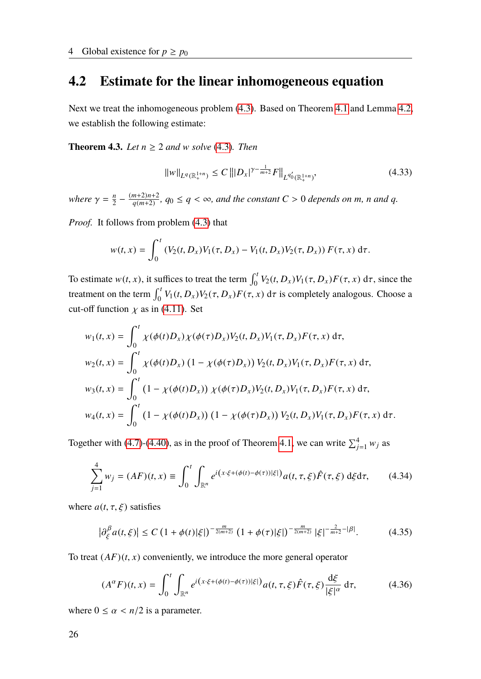#### <span id="page-33-0"></span>**4.2 Estimate for the linear inhomogeneous equation**

Next we treat the inhomogeneous problem [\(4.3\)](#page-26-3). Based on Theorem [4.1](#page-27-3) and Lemma [4.2,](#page-30-0) we establish the following estimate:

**Theorem 4.3.** *Let n* ≥ 2 *and* w *solve* [\(4.3\)](#page-26-3)*. Then*

<span id="page-33-2"></span>
$$
||w||_{L^{q}(\mathbb{R}^{1+n}_{+})} \leq C |||D_{x}|^{\gamma - \frac{1}{m+2}} F||_{L^{q'_{0}}(\mathbb{R}^{1+n}_{+})}, \tag{4.33}
$$

where  $\gamma = \frac{n}{2}$  $\frac{n}{2} - \frac{(m+2)n+2}{q(m+2)}$  $\frac{m+2}{n+2}$ ,  $q_0 \le q < \infty$ , and the constant  $C > 0$  depends on *m*, *n* and *q*.

*Proof.* It follows from problem [\(4.3\)](#page-26-3) that

$$
w(t,x) = \int_0^t (V_2(t, D_x)V_1(\tau, D_x) - V_1(t, D_x)V_2(\tau, D_x)) F(\tau, x) d\tau.
$$

To estimate  $w(t, x)$ , it suffices to treat the term  $\int_0^t V_2(t, D_x) V_1(\tau, D_x) F(\tau, x) d\tau$ , since the treatment on the term  $\int_0^t V_1(t, D_x) V_2(\tau, D_x) F(\tau, x) d\tau$  is completely analogous. Choose a cut-off function  $\chi$  as in [\(4.11\)](#page-28-3). Set

$$
w_1(t, x) = \int_0^t \chi(\phi(t)D_x) \chi(\phi(\tau)D_x) V_2(t, D_x) V_1(\tau, D_x) F(\tau, x) d\tau,
$$
  
\n
$$
w_2(t, x) = \int_0^t \chi(\phi(t)D_x) (1 - \chi(\phi(\tau)D_x)) V_2(t, D_x) V_1(\tau, D_x) F(\tau, x) d\tau,
$$
  
\n
$$
w_3(t, x) = \int_0^t (1 - \chi(\phi(t)D_x)) \chi(\phi(\tau)D_x) V_2(t, D_x) V_1(\tau, D_x) F(\tau, x) d\tau,
$$
  
\n
$$
w_4(t, x) = \int_0^t (1 - \chi(\phi(t)D_x)) (1 - \chi(\phi(\tau)D_x)) V_2(t, D_x) V_1(\tau, D_x) F(\tau, x) d\tau.
$$

Together with [\(4.7\)](#page-27-2)-[\(4.40\)](#page-34-0), as in the proof of Theorem [4.1,](#page-27-3) we can write  $\sum_{j=1}^{4} w_j$  as

$$
\sum_{j=1}^{4} w_j = (AF)(t, x) \equiv \int_0^t \int_{\mathbb{R}^n} e^{i(x \cdot \xi + (\phi(t) - \phi(\tau))|\xi|)} a(t, \tau, \xi) \hat{F}(\tau, \xi) d\xi d\tau, \qquad (4.34)
$$

where  $a(t, \tau, \xi)$  satisfies

$$
\left|\partial_{\xi}^{\beta} a(t,\xi)\right| \le C \left(1 + \phi(t)|\xi|\right)^{-\frac{m}{2(m+2)}} \left(1 + \phi(\tau)|\xi|\right)^{-\frac{m}{2(m+2)}} |\xi|^{-\frac{2}{m+2}-|\beta|}.\tag{4.35}
$$

To treat  $(AF)(t, x)$  conveniently, we introduce the more general operator

<span id="page-33-1"></span>
$$
(A^{\alpha}F)(t,x) = \int_0^t \int_{\mathbb{R}^n} e^{i(x\cdot\xi + (\phi(t) - \phi(\tau))|\xi|)} a(t,\tau,\xi) \hat{F}(\tau,\xi) \frac{d\xi}{|\xi|^{\alpha}} d\tau,
$$
 (4.36)

where  $0 \le \alpha < \frac{n}{2}$  is a parameter.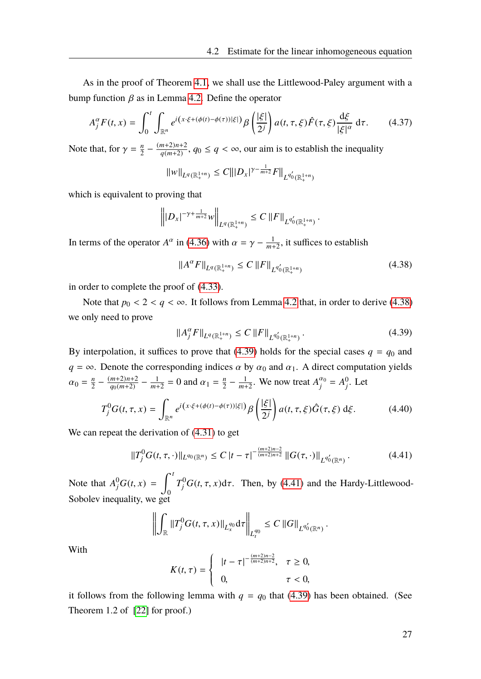As in the proof of Theorem [4.1,](#page-27-3) we shall use the Littlewood-Paley argument with a bump function  $\beta$  as in Lemma [4.2.](#page-30-0) Define the operator

$$
A_j^{\alpha} F(t, x) = \int_0^t \int_{\mathbb{R}^n} e^{i(x \cdot \xi + (\phi(t) - \phi(\tau))|\xi|)} \beta\left(\frac{|\xi|}{2^j}\right) a(t, \tau, \xi) \hat{F}(\tau, \xi) \frac{d\xi}{|\xi|^{\alpha}} d\tau.
$$
 (4.37)

Note that, for  $\gamma = \frac{n}{2}$  $\frac{n}{2} - \frac{(m+2)n+2}{q(m+2)}$  $\frac{m+2}{n+2}$ ,  $q_0 \le q < \infty$ , our aim is to establish the inequality

$$
||w||_{L^{q}(\mathbb{R}^{1+n}_{+})} \leq C|||D_{x}|^{\gamma-\frac{1}{m+2}}F||_{L^{q'_{0}}(\mathbb{R}^{1+n}_{+})}
$$

which is equivalent to proving that

$$
\left\| |D_x|^{-\gamma + \frac{1}{m+2}} w \right\|_{L^q(\mathbb{R}^{1+n}_+)} \leq C \left\| F \right\|_{L^{q'_0}(\mathbb{R}^{1+n}_+)}.
$$

In terms of the operator  $A^{\alpha}$  in [\(4.36\)](#page-33-1) with  $\alpha = \gamma - \frac{1}{m+1}$  $\frac{1}{m+2}$ , it suffices to establish

<span id="page-34-1"></span>
$$
||A^{\alpha}F||_{L^{q}(\mathbb{R}^{1+n}_{+})} \leq C ||F||_{L^{q'_{0}}(\mathbb{R}^{1+n}_{+})}
$$
\n(4.38)

in order to complete the proof of [\(4.33\)](#page-33-2).

Note that  $p_0 < 2 < q < \infty$ . It follows from Lemma [4.2](#page-30-0) that, in order to derive [\(4.38\)](#page-34-1) we only need to prove

<span id="page-34-2"></span>
$$
||A_j^{\alpha} F||_{L^q(\mathbb{R}^{1+n}_+)} \le C ||F||_{L^{q_0'}(\mathbb{R}^{1+n}_+)}.
$$
\n(4.39)

By interpolation, it suffices to prove that [\(4.39\)](#page-34-2) holds for the special cases  $q = q_0$  and  $q = \infty$ . Denote the corresponding indices  $\alpha$  by  $\alpha_0$  and  $\alpha_1$ . A direct computation yields  $\alpha_0 = \frac{n}{2}$  $\frac{n}{2} - \frac{(m+2)n+2}{q_0(m+2)}$  $\frac{m+2}{q_0(m+2)} - \frac{1}{m+2}$  $\frac{1}{m+2} = 0$  and  $\alpha_1 = \frac{n}{2}$  $\frac{n}{2} - \frac{1}{m+1}$  $\frac{1}{m+2}$ . We now treat  $A_j^{\alpha_0} = A_j^0$ *j* . Let

<span id="page-34-0"></span>
$$
T_j^0 G(t, \tau, x) = \int_{\mathbb{R}^n} e^{i(x \cdot \xi + (\phi(t) - \phi(\tau))|\xi|)} \beta \left(\frac{|\xi|}{2^j}\right) a(t, \tau, \xi) \hat{G}(\tau, \xi) d\xi.
$$
 (4.40)

We can repeat the derivation of [\(4.31\)](#page-32-2) to get

<span id="page-34-3"></span>
$$
||T_j^0 G(t,\tau,\cdot)||_{L^{q_0}(\mathbb{R}^n)} \leq C |t-\tau|^{-\frac{(m+2)n-2}{(m+2)n+2}} ||G(\tau,\cdot)||_{L^{q_0'}(\mathbb{R}^n)}.
$$
\n(4.41)

Note that  $A_j^0G(t, x) =$  $\int_0^t$  $\boldsymbol{0}$  $T_j^0G(t, \tau, x)d\tau$ . Then, by [\(4.41\)](#page-34-3) and the Hardy-Littlewood-Sobolev inequality, we get

$$
\left\| \int_{\mathbb{R}} \|T_j^0 G(t,\tau,x)\|_{L^{q_0}_x} d\tau \right\|_{L^{q_0}_t} \leq C \left\|G\right\|_{L^{q_0'}(\mathbb{R}^n)}.
$$

With

$$
K(t,\tau) = \begin{cases} |t-\tau|^{-\frac{(m+2)n-2}{(m+2)n+2}}, & \tau \geq 0, \\ 0, & \tau < 0, \end{cases}
$$

it follows from the following lemma with  $q = q_0$  that [\(4.39\)](#page-34-2) has been obtained. (See Theorem 1.2 of [\[22\]](#page-89-6) for proof.)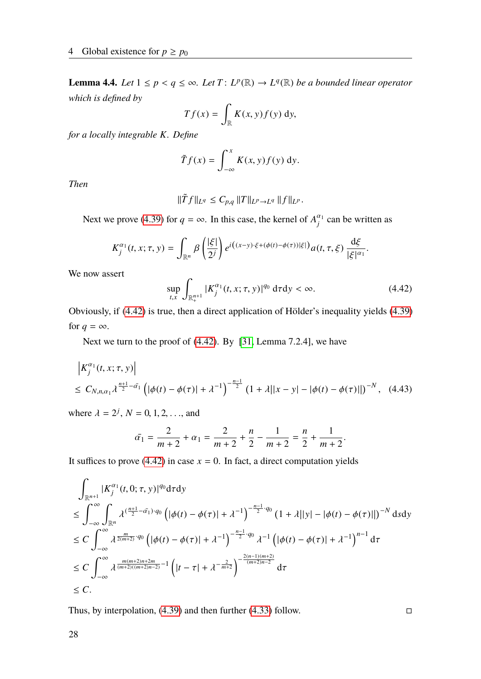**Lemma 4.4.** *Let*  $1 \leq p < q \leq \infty$ *. Let*  $T: L^p(\mathbb{R}) \to L^q(\mathbb{R})$  *be a bounded linear operator which is defined by*

$$
Tf(x) = \int_{\mathbb{R}} K(x, y) f(y) \, dy,
$$

*for a locally integrable K. Define*

$$
\tilde{T}f(x) = \int_{-\infty}^{x} K(x, y) f(y) \, \mathrm{d}y.
$$

*Then*

$$
\|\tilde{T}f\|_{L^q}\leq C_{p,q}\,\|T\|_{L^p\to L^q}\,\|f\|_{L^p}.
$$

Next we prove [\(4.39\)](#page-34-2) for  $q = \infty$ . In this case, the kernel of  $A_j^{\alpha_1}$  can be written as

$$
K_j^{\alpha_1}(t,x;\tau,y)=\int_{\mathbb{R}^n}\beta\left(\frac{|\xi|}{2^j}\right)e^{i\left((x-y)\cdot\xi+(\phi(t)-\phi(\tau))|\xi|\right)}a(t,\tau,\xi)\,\frac{\mathrm{d}\xi}{|\xi|^{\alpha_1}}.
$$

We now assert

<span id="page-35-0"></span>
$$
\sup_{t,x} \int_{\mathbb{R}^{n+1}_+} |K_j^{\alpha_1}(t,x;\tau,y)|^{q_0} \, d\tau dy < \infty. \tag{4.42}
$$

Obviously, if [\(4.42\)](#page-35-0) is true, then a direct application of Hölder's inequality yields [\(4.39\)](#page-34-2) for  $q = \infty$ .

Next we turn to the proof of [\(4.42\)](#page-35-0). By [\[31,](#page-90-12) Lemma 7.2.4], we have

$$
\begin{aligned} & \left| K_j^{\alpha_1}(t, x; \tau, y) \right| \\ &\leq C_{N, n, \alpha_1} \lambda^{\frac{n+1}{2} - \bar{\alpha_1}} \left( |\phi(t) - \phi(\tau)| + \lambda^{-1} \right)^{-\frac{n-1}{2}} \left( 1 + \lambda ||x - y| - |\phi(t) - \phi(\tau)|| \right)^{-N}, \end{aligned} \tag{4.43}
$$

where  $\lambda = 2^j$ ,  $N = 0, 1, 2, ...$ , and

$$
\bar{\alpha_1} = \frac{2}{m+2} + \alpha_1 = \frac{2}{m+2} + \frac{n}{2} - \frac{1}{m+2} = \frac{n}{2} + \frac{1}{m+2}.
$$

It suffices to prove [\(4.42\)](#page-35-0) in case  $x = 0$ . In fact, a direct computation yields

$$
\int_{\mathbb{R}^{n+1}} |K_j^{\alpha_1}(t,0;\tau,y)|^{q_0} d\tau dy
$$
\n
$$
\leq \int_{-\infty}^{\infty} \int_{\mathbb{R}^n} \lambda^{(\frac{n+1}{2}-\tilde{\alpha_1})\cdot q_0} \left( |\phi(t) - \phi(\tau)| + \lambda^{-1} \right)^{-\frac{n-1}{2}\cdot q_0} (1 + \lambda ||y| - |\phi(t) - \phi(\tau)||)^{-N} d s d y
$$
\n
$$
\leq C \int_{-\infty}^{\infty} \lambda^{\frac{m}{2(m+2)}\cdot q_0} \left( |\phi(t) - \phi(\tau)| + \lambda^{-1} \right)^{-\frac{n-1}{2}\cdot q_0} \lambda^{-1} \left( |\phi(t) - \phi(\tau)| + \lambda^{-1} \right)^{n-1} d\tau
$$
\n
$$
\leq C \int_{-\infty}^{\infty} \lambda^{\frac{m(m+2)n + 2m}{(m+2)((m+2)n-2)}}^{-1} \left( |t - \tau| + \lambda^{-\frac{2}{m+2}} \right)^{-\frac{2(n-1)(m+2)}{(m+2)n-2}} d\tau
$$
\n
$$
\leq C.
$$
\n
$$
\leq C.
$$

Thus, by interpolation,  $(4.39)$  and then further  $(4.33)$  follow.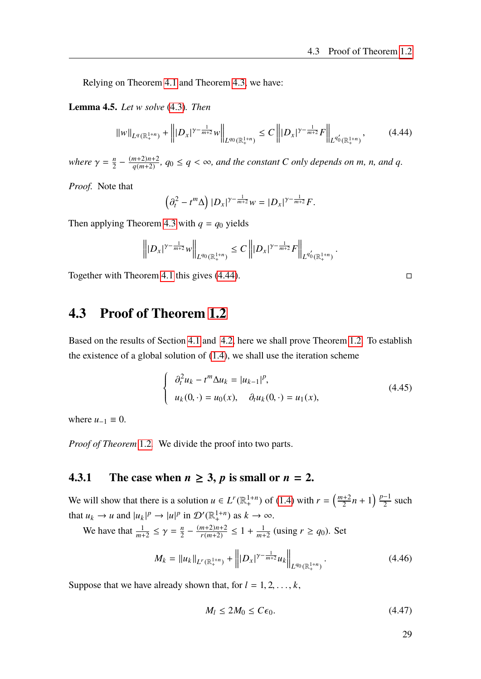Relying on Theorem [4.1](#page-27-0) and Theorem [4.3,](#page-33-0) we have:

<span id="page-36-2"></span>**Lemma 4.5.** *Let* w *solve* [\(4.3\)](#page-26-0)*. Then*

<span id="page-36-0"></span>
$$
||w||_{L^{q}(\mathbb{R}^{1+n}_{+})} + |||D_{x}|^{\gamma - \frac{1}{m+2}}w||_{L^{q_{0}}(\mathbb{R}^{1+n}_{+})} \leq C |||D_{x}|^{\gamma - \frac{1}{m+2}}F||_{L^{q'_{0}}(\mathbb{R}^{1+n}_{+})}, \qquad (4.44)
$$

where  $\gamma = \frac{n}{2}$  $\frac{n}{2} - \frac{(m+2)n+2}{q(m+2)}$  $\frac{m+2}{n+2}$ ,  $q_0 \le q < \infty$ , and the constant *C* only depends on *m*, *n*, and *q*.

*Proof.* Note that

$$
\left(\partial_t^2 - t^m \Delta\right) |D_x|^{\gamma - \frac{1}{m+2}} w = |D_x|^{\gamma - \frac{1}{m+2}} F.
$$

Then applying Theorem [4.3](#page-33-0) with  $q = q_0$  yields

$$
\left\||D_x|^{\gamma-\frac{1}{m+2}}w\right\|_{L^{q_0}(\mathbb{R}^{1+n}_+)}\leq C\left\||D_x|^{\gamma-\frac{1}{m+2}}F\right\|_{L^{q_0'}(\mathbb{R}^{1+n}_+)}
$$

Together with Theorem [4.1](#page-27-0) this gives  $(4.44)$ .

### **4.3 Proof of Theorem [1.2](#page-11-0)**

Based on the results of Section [4.1](#page-27-1) and [4.2,](#page-33-1) here we shall prove Theorem [1.2.](#page-11-0) To establish the existence of a global solution of [\(1.4\)](#page-9-0), we shall use the iteration scheme

$$
\begin{cases}\n\partial_t^2 u_k - t^m \Delta u_k = |u_{k-1}|^p, \\
u_k(0, \cdot) = u_0(x), \quad \partial_t u_k(0, \cdot) = u_1(x),\n\end{cases}
$$
\n(4.45)

where  $u_{-1} \equiv 0$ .

*Proof of Theorem* [1.2](#page-11-0)*.* We divide the proof into two parts.

#### <span id="page-36-3"></span>**4.3.1** The case when  $n \ge 3$ , p is small or  $n = 2$ .

We will show that there is a solution  $u \in L^r(\mathbb{R}^{1+n}_+)$  of [\(1.4\)](#page-9-0) with  $r = \left(\frac{m+2}{2}\right)^n$  $\frac{p+2}{2}n+1\right)\frac{p-1}{2}$  $\frac{-1}{2}$  such that  $u_k \to u$  and  $|u_k|^p \to |u|^p$  in  $\mathcal{D}'(\mathbb{R}^{1+n}_+)$  as  $k \to \infty$ .

We have that  $\frac{1}{m+2} \leq \gamma = \frac{n}{2}$  $\frac{n}{2} - \frac{(m+2)n+2}{r(m+2)}$  $\frac{(m+2)n+2}{r(m+2)} \leq 1 + \frac{1}{m+2}$  $\frac{1}{m+2}$  (using  $r \ge q_0$ ). Set

$$
M_k = \|u_k\|_{L^r(\mathbb{R}^{1+n}_+)} + \left\| |D_x|^{\gamma - \frac{1}{m+2}} u_k \right\|_{L^{q_0}(\mathbb{R}^{1+n}_+)}.
$$
\n(4.46)

Suppose that we have already shown that, for  $l = 1, 2, \ldots, k$ ,

<span id="page-36-1"></span>
$$
M_l \le 2M_0 \le C\epsilon_0. \tag{4.47}
$$

29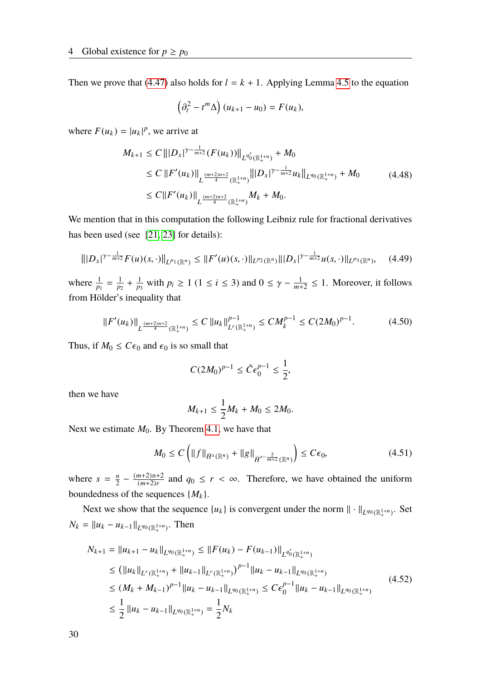Then we prove that [\(4.47\)](#page-36-1) also holds for  $l = k + 1$ . Applying Lemma [4.5](#page-36-2) to the equation

$$
\left(\partial_t^2 - t^m \Delta\right) (u_{k+1} - u_0) = F(u_k),
$$

where  $F(u_k) = |u_k|^p$ , we arrive at

$$
M_{k+1} \leq C \left\| |D_x|^{\gamma - \frac{1}{m+2}} (F(u_k))| \right\|_{L^{q'_0}(\mathbb{R}^{1+n}_+)} + M_0
$$
  
\n
$$
\leq C \left\| F'(u_k) \right\|_{L^{\frac{(m+2)n+2}{4}}(\mathbb{R}^{1+n}_+)} \left\| |D_x|^{\gamma - \frac{1}{m+2}} u_k \right\|_{L^{q_0}(\mathbb{R}^{1+n}_+)} + M_0
$$
  
\n
$$
\leq C \left\| F'(u_k) \right\|_{L^{\frac{(m+2)n+2}{4}}(\mathbb{R}^{1+n}_+)} M_k + M_0.
$$
\n(4.48)

We mention that in this computation the following Leibniz rule for fractional derivatives has been used (see [\[21,](#page-89-0) [23\]](#page-89-1) for details):

<span id="page-37-0"></span>
$$
\| |D_x|^{\gamma - \frac{1}{m+2}} F(u)(s, \cdot) \|_{L^{p_1}(\mathbb{R}^n)} \leq \| F'(u)(s, \cdot) \|_{L^{p_2}(\mathbb{R}^n)} \| |D_x|^{\gamma - \frac{1}{m+2}} u(s, \cdot) \|_{L^{p_3}(\mathbb{R}^n)}, \quad (4.49)
$$

where  $\frac{1}{p_1} = \frac{1}{p_2}$  $\frac{1}{p_2} + \frac{1}{p_2}$  $\frac{1}{p_3}$  with  $p_i \ge 1$  (1 ≤ *i* ≤ 3) and 0 ≤  $\gamma - \frac{1}{m_1}$  $\frac{1}{m+2} \leq 1$ . Moreover, it follows from Hölder's inequality that

$$
||F'(u_k)||_{L^{\frac{(m+2)n+2}{4}}(\mathbb{R}^{1+n}_+)} \leq C ||u_k||_{L^r(\mathbb{R}^{1+n}_+)}^{p-1} \leq C M_k^{p-1} \leq C (2M_0)^{p-1}.
$$
 (4.50)

Thus, if  $M_0 \leq C\epsilon_0$  and  $\epsilon_0$  is so small that

$$
C(2M_0)^{p-1} \le \tilde{C} \epsilon_0^{p-1} \le \frac{1}{2},
$$

then we have

$$
M_{k+1} \leq \frac{1}{2}M_k + M_0 \leq 2M_0.
$$

Next we estimate  $M_0$ . By Theorem [4.1,](#page-27-0) we have that

$$
M_0 \le C \left( \|f\|_{\dot{H}^s(\mathbb{R}^n)} + \|g\|_{\dot{H}^{s-\frac{2}{m+2}}(\mathbb{R}^n)} \right) \le C\epsilon_0, \tag{4.51}
$$

where  $s = \frac{n}{2}$  $\frac{n}{2} - \frac{(m+2)n+2}{(m+2)r}$  $\frac{(m+2)n+2}{(m+2)r}$  and  $q_0 \le r < \infty$ . Therefore, we have obtained the uniform boundedness of the sequences  $\{M_k\}$ .

Next we show that the sequence  $\{u_k\}$  is convergent under the norm  $\|\cdot\|_{L^{q_0}(\mathbb{R}^{1+n}_+)}$ . Set  $N_k = ||u_k - u_{k-1}||_{L^{q_0}(\mathbb{R}^{1+n}_+)}$ . Then

$$
N_{k+1} = ||u_{k+1} - u_k||_{L^{q_0}(\mathbb{R}^{1+n}_+)} \le ||F(u_k) - F(u_{k-1})||_{L^{q'_0}(\mathbb{R}^{1+n}_+)}\le (||u_k||_{L^r(\mathbb{R}^{1+n}_+)} + ||u_{k-1}||_{L^r(\mathbb{R}^{1+n}_+)})^{p-1}||u_k - u_{k-1}||_{L^{q_0}(\mathbb{R}^{1+n}_+)}\le (M_k + M_{k-1})^{p-1}||u_k - u_{k-1}||_{L^{q_0}(\mathbb{R}^{1+n}_+)} \le C\epsilon_0^{p-1}||u_k - u_{k-1}||_{L^{q_0}(\mathbb{R}^{1+n}_+)}\le \frac{1}{2}||u_k - u_{k-1}||_{L^{q_0}(\mathbb{R}^{1+n}_+)} = \frac{1}{2}N_k
$$
\n(4.52)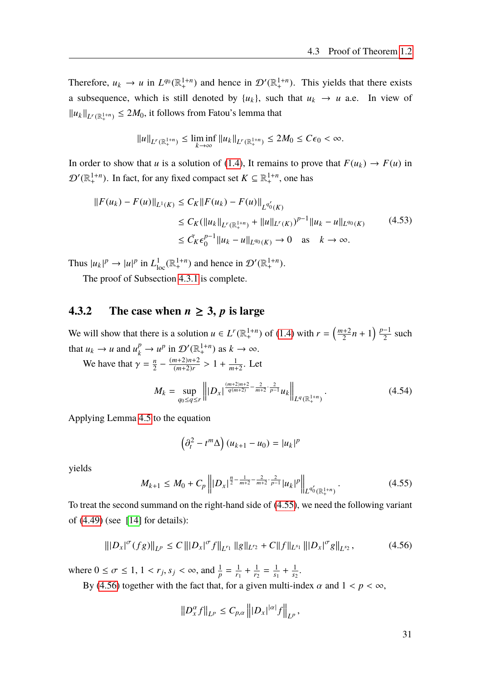Therefore,  $u_k \to u$  in  $L^{q_0}(\mathbb{R}^{1+n}_+)$  and hence in  $\mathcal{D}'(\mathbb{R}^{1+n}_+)$ . This yields that there exists a subsequence, which is still denoted by  $\{u_k\}$ , such that  $u_k \to u$  a.e. In view of  $||u_k||_{L^r(\mathbb{R}^{1+n}_+)} \le 2M_0$ , it follows from Fatou's lemma that

$$
||u||_{L^r(\mathbb{R}^{1+n}_+)} \le \liminf_{k \to \infty} ||u_k||_{L^r(\mathbb{R}^{1+n}_+)} \le 2M_0 \le C\epsilon_0 < \infty.
$$

In order to show that *u* is a solution of [\(1.4\)](#page-9-0), It remains to prove that  $F(u_k) \to F(u)$  in  $\mathcal{D}'(\mathbb{R}^{1+n}_+)$ . In fact, for any fixed compact set  $K \subseteq \mathbb{R}^{1+n}_+$ , one has

$$
||F(u_k) - F(u)||_{L^1(K)} \le C_K ||F(u_k) - F(u)||_{L^{q_0'}(K)}
$$
  
\n
$$
\le C_K (||u_k||_{L^r(\mathbb{R}^{1+n}_+)} + ||u||_{L^r(K)})^{p-1} ||u_k - u||_{L^{q_0}(K)}
$$
(4.53)  
\n
$$
\le \tilde{C}_K \epsilon_0^{p-1} ||u_k - u||_{L^{q_0}(K)} \to 0 \text{ as } k \to \infty.
$$

Thus  $|u_k|^p \to |u|^p$  in  $L^1_{loc}(\mathbb{R}^{1+n}_+)$  and hence in  $\mathcal{D}'(\mathbb{R}^{1+n}_+)$ .

The proof of Subsection [4.3.1](#page-36-3) is complete.

#### <span id="page-38-2"></span>**4.3.2** The case when  $n \geq 3$ , p is large

We will show that there is a solution  $u \in L^r(\mathbb{R}^{1+n}_+)$  of [\(1.4\)](#page-9-0) with  $r = \left(\frac{m+2}{2}\right)^n$  $\frac{p+2}{2}n+1\right)\frac{p-1}{2}$  $\frac{-1}{2}$  such that  $u_k \to u$  and  $u_k^p \to u^p$  in  $\mathcal{D}'(\mathbb{R}^{1+n}_+)$  as  $k \to \infty$ .

We have that  $\gamma = \frac{n}{2}$  $\frac{n}{2} - \frac{(m+2)n+2}{(m+2)r}$  $\frac{(m+2)n+2}{(m+2)r} > 1 + \frac{1}{m+1}$  $\frac{1}{m+2}$ . Let

$$
M_k = \sup_{q_0 \le q \le r} \left\| |D_x|^{\frac{(m+2)n+2}{q(m+2)} - \frac{2}{m+2} \cdot \frac{2}{p-1}} u_k \right\|_{L^q(\mathbb{R}^{1+n}_+)}.
$$
 (4.54)

Applying Lemma [4.5](#page-36-2) to the equation

$$
\left(\partial_t^2 - t^m \Delta\right) (u_{k+1} - u_0) = |u_k|^p
$$

yields

<span id="page-38-0"></span>
$$
M_{k+1} \le M_0 + C_p \left\| |D_x|^{\frac{n}{2} - \frac{1}{m+2} - \frac{2}{m+2} \cdot \frac{2}{p-1}} |u_k|^p \right\|_{L^{q_0'}(\mathbb{R}^{1+n}_+)}.
$$
\n(4.55)

To treat the second summand on the right-hand side of [\(4.55\)](#page-38-0), we need the following variant of [\(4.49\)](#page-37-0) (see [\[14\]](#page-89-2) for details):

<span id="page-38-1"></span>
$$
\| |D_x|^\sigma (fg) \|_{L^p} \le C \, \| |D_x|^\sigma f \|_{L^{r_1}} \, \| g \|_{L^{r_2}} + C \| f \|_{L^{s_1}} \, \| |D_x|^\sigma g \|_{L^{s_2}}, \tag{4.56}
$$

where  $0 \le \sigma \le 1, 1 < r_j, s_j < \infty$ , and  $\frac{1}{p} = \frac{1}{r_1}$  $\frac{1}{r_1} + \frac{1}{r_2}$  $\frac{1}{r_2} = \frac{1}{s_1}$  $\frac{1}{s_1} + \frac{1}{s_2}$  $\frac{1}{s_2}$ .

By [\(4.56\)](#page-38-1) together with the fact that, for a given multi-index  $\alpha$  and  $1 < p < \infty$ ,

$$
||D_x^{\alpha} f||_{L^p} \leq C_{p,\alpha} |||D_x|^{|{\alpha}|} f||_{L^p},
$$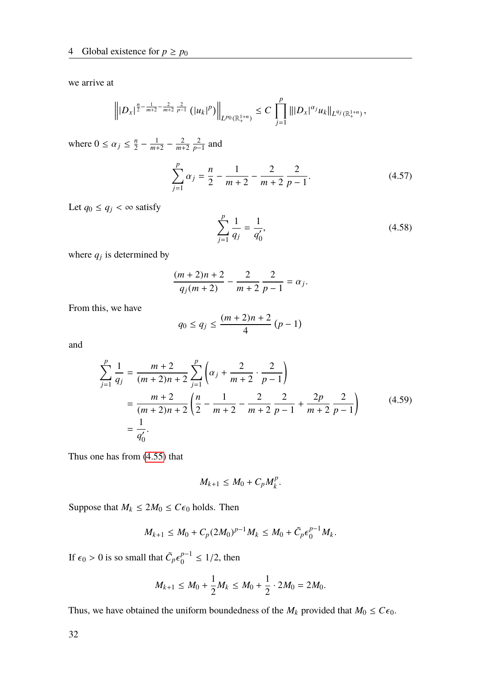we arrive at

$$
\left\||D_x|^{\frac{n}{2}-\frac{1}{m+2}-\frac{2}{m+2}}\frac{2}{p-1}\left(|u_k|^p\right)\right\|_{L^{p_0}(\mathbb{R}^{1+n}_+)}\leq C\prod_{j=1}^p\big\||D_x|^{\alpha_j}u_k\big\|_{L^{q_j}(\mathbb{R}^{1+n}_+)},
$$

where  $0 \le \alpha_j \le \frac{n}{2}$  $\frac{n}{2} - \frac{1}{m+1}$  $\frac{1}{m+2} - \frac{2}{m+2}$ *m*+2 2  $\frac{2}{p-1}$  and

$$
\sum_{j=1}^{p} \alpha_j = \frac{n}{2} - \frac{1}{m+2} - \frac{2}{m+2} \frac{2}{p-1}.
$$
 (4.57)

Let  $q_0 \le q_j < \infty$  satisfy

$$
\sum_{j=1}^{p} \frac{1}{q_j} = \frac{1}{q'_0},\tag{4.58}
$$

where  $q_j$  is determined by

$$
\frac{(m+2)n+2}{q_j(m+2)} - \frac{2}{m+2} \frac{2}{p-1} = \alpha_j.
$$

From this, we have

$$
q_0 \le q_j \le \frac{(m+2)n+2}{4} (p-1)
$$

and

$$
\sum_{j=1}^{p} \frac{1}{q_j} = \frac{m+2}{(m+2)n+2} \sum_{j=1}^{p} \left( \alpha_j + \frac{2}{m+2} \cdot \frac{2}{p-1} \right)
$$
  
= 
$$
\frac{m+2}{(m+2)n+2} \left( \frac{n}{2} - \frac{1}{m+2} - \frac{2}{m+2} \frac{2}{p-1} + \frac{2p}{m+2} \frac{2}{p-1} \right)
$$
(4.59)  
= 
$$
\frac{1}{q'_0}.
$$

Thus one has from [\(4.55\)](#page-38-0) that

$$
M_{k+1} \leq M_0 + C_p M_k^p.
$$

Suppose that  $M_k \leq 2M_0 \leq C\epsilon_0$  holds. Then

$$
M_{k+1} \leq M_0 + C_p (2M_0)^{p-1} M_k \leq M_0 + \tilde{C}_p \epsilon_0^{p-1} M_k.
$$

If  $\epsilon_0 > 0$  is so small that  $\tilde{C}_p \epsilon$ *p*−1  $_0^{p-1} \le 1/2$ , then

$$
M_{k+1} \le M_0 + \frac{1}{2}M_k \le M_0 + \frac{1}{2} \cdot 2M_0 = 2M_0.
$$

Thus, we have obtained the uniform boundedness of the  $M_k$  provided that  $M_0 \leq C\epsilon_0$ .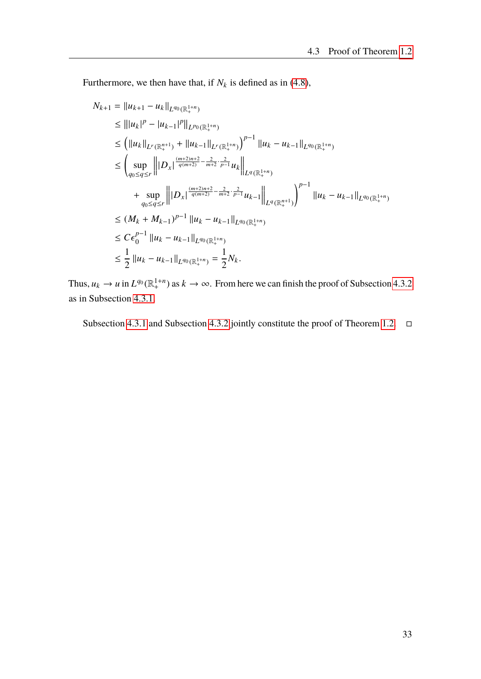Furthermore, we then have that, if  $N_k$  is defined as in [\(4.8\)](#page-27-2),

$$
N_{k+1} = ||u_{k+1} - u_k||_{L^{q_0}(\mathbb{R}^{1+n}_+)}\n\leq |||u_k|^p - |u_{k-1}|^p||_{L^{p_0}(\mathbb{R}^{1+n}_+)}\n\leq (||u_k||_{L^r(\mathbb{R}^{n+1}_+)} + ||u_{k-1}||_{L^r(\mathbb{R}^{1+n}_+)}||u_k - u_{k-1}||_{L^{q_0}(\mathbb{R}^{1+n}_+)}\n\leq \left(\sup_{q_0 \leq q \leq r} |||D_x|^{\frac{(m+2)n+2}{q(m+2)} - \frac{2}{m+2} \cdot \frac{2}{p-1}} u_k||_{L^q(\mathbb{R}^{1+n}_+)}\n+ \sup_{q_0 \leq q \leq r} |||D_x|^{\frac{(m+2)n+2}{q(m+2)} - \frac{2}{m+2} \cdot \frac{2}{p-1}} u_{k-1}||_{L^q(\mathbb{R}^{n+1}_+)}\right)^{p-1} ||u_k - u_{k-1}||_{L^{q_0}(\mathbb{R}^{1+n}_+)}\n\leq (M_k + M_{k-1})^{p-1} ||u_k - u_{k-1}||_{L^{q_0}(\mathbb{R}^{1+n}_+)}\n\leq C\epsilon_0^{p-1} ||u_k - u_{k-1}||_{L^{q_0}(\mathbb{R}^{1+n}_+)}\n\leq \frac{1}{2} ||u_k - u_{k-1}||_{L^{q_0}(\mathbb{R}^{1+n}_+)} = \frac{1}{2} N_k.
$$

Thus,  $u_k \to u$  in  $L^{q_0}(\mathbb{R}^{1+n}_+)$  as  $k \to \infty$ . From here we can finish the proof of Subsection [4.3.2](#page-38-2) as in Subsection [4.3.1.](#page-36-3)

Subsection [4.3.1](#page-36-3) and Subsection [4.3.2](#page-38-2) jointly constitute the proof of Theorem [1.2.](#page-11-0)  $\Box$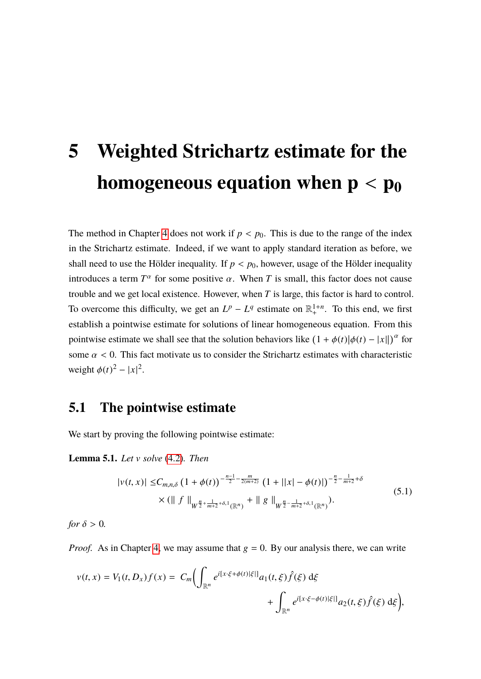# **5 Weighted Strichartz estimate for the homogeneous equation when**  $p < p_0$

The method in Chapter [4](#page-26-1) does not work if  $p < p_0$ . This is due to the range of the index in the Strichartz estimate. Indeed, if we want to apply standard iteration as before, we shall need to use the Hölder inequality. If  $p < p_0$ , however, usage of the Hölder inequality introduces a term  $T^{\alpha}$  for some positive  $\alpha$ . When *T* is small, this factor does not cause trouble and we get local existence. However, when *T* is large, this factor is hard to control. To overcome this difficulty, we get an  $L^p - L^q$  estimate on  $\mathbb{R}^{1+n}_+$ . To this end, we first establish a pointwise estimate for solutions of linear homogeneous equation. From this pointwise estimate we shall see that the solution behaviors like  $(1 + \phi(t)|\phi(t) - |x||)^{\alpha}$  for some  $\alpha$  < 0. This fact motivate us to consider the Strichartz estimates with characteristic weight  $\phi(t)^2 - |x|^2$ .

## **5.1 The pointwise estimate**

We start by proving the following pointwise estimate:

<span id="page-42-1"></span><span id="page-42-0"></span>**Lemma 5.1.** *Let* v *solve* [\(4.2\)](#page-26-2)*. Then*

$$
|v(t,x)| \leq C_{m,n,\delta} \left(1 + \phi(t)\right)^{-\frac{n-1}{2} - \frac{m}{2(m+2)}} \left(1 + ||x| - \phi(t)||\right)^{-\frac{n}{2} - \frac{1}{m+2} + \delta}
$$
  
 
$$
\times (\| f \|_{W^{\frac{n}{2} + \frac{1}{m+2} + \delta,1}(\mathbb{R}^n)} + \| g \|_{W^{\frac{n}{2} - \frac{1}{m+2} + \delta,1}(\mathbb{R}^n)}).
$$
\n
$$
(5.1)
$$

*for*  $\delta > 0$ *.* 

*Proof.* As in Chapter [4,](#page-26-1) we may assume that  $g = 0$ . By our analysis there, we can write

$$
v(t,x) = V_1(t,D_x)f(x) = C_m \Biggl( \int_{\mathbb{R}^n} e^{i[x \cdot \xi + \phi(t)|\xi|]} a_1(t,\xi) \hat{f}(\xi) d\xi
$$
  
 
$$
+ \int_{\mathbb{R}^n} e^{i[x \cdot \xi - \phi(t)|\xi|]} a_2(t,\xi) \hat{f}(\xi) d\xi \Biggr),
$$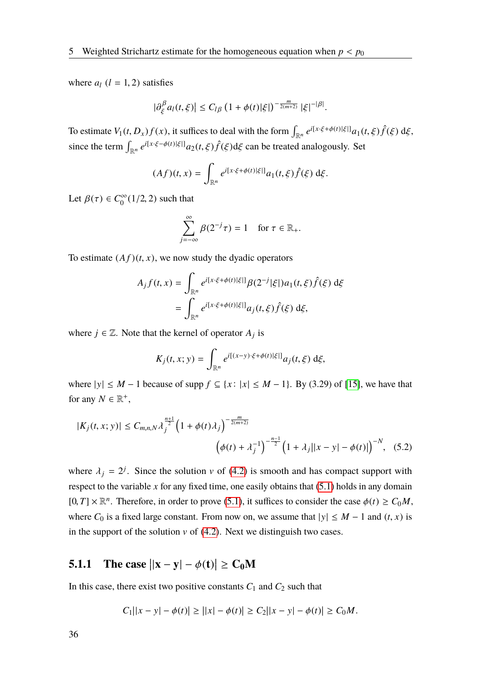where  $a_l$  ( $l = 1, 2$ ) satisfies

$$
|\partial_{\xi}^{\beta}a_l(t,\xi)|\leq C_{l\beta}\left(1+\phi(t)|\xi|\right)^{-\frac{m}{2(m+2)}}|\xi|^{-|\beta|}.
$$

To estimate  $V_1(t, D_x)f(x)$ , it suffices to deal with the form  $\int_{\mathbb{R}^n} e^{i[x \cdot \xi + \phi(t)|\xi|]} a_1(t, \xi) \hat{f}(\xi) d\xi$ , since the term  $\int_{\mathbb{R}^n} e^{i[x \cdot \xi - \phi(t)|\xi|]} a_2(t,\xi) \hat{f}(\xi) d\xi$  can be treated analogously. Set

$$
(Af)(t,x) = \int_{\mathbb{R}^n} e^{i[x\cdot\xi + \phi(t)|\xi|]} a_1(t,\xi)\hat{f}(\xi) d\xi.
$$

Let  $\beta(\tau) \in C_0^{\infty}$  $\int_0^\infty (1/2, 2)$  such that

$$
\sum_{j=-\infty}^{\infty} \beta(2^{-j}\tau) = 1 \quad \text{for } \tau \in \mathbb{R}_+.
$$

To estimate  $(Af)(t, x)$ , we now study the dyadic operators

$$
A_j f(t, x) = \int_{\mathbb{R}^n} e^{i[x \cdot \xi + \phi(t)|\xi|]} \beta(2^{-j}|\xi|) a_1(t, \xi) \hat{f}(\xi) d\xi
$$
  
= 
$$
\int_{\mathbb{R}^n} e^{i[x \cdot \xi + \phi(t)|\xi|]} a_j(t, \xi) \hat{f}(\xi) d\xi,
$$

where  $j \in \mathbb{Z}$ . Note that the kernel of operator  $A_j$  is

<span id="page-43-0"></span>
$$
K_j(t, x; y) = \int_{\mathbb{R}^n} e^{i[(x-y)\cdot \xi + \phi(t)|\xi|]} a_j(t, \xi) d\xi,
$$

where  $|y| \le M - 1$  because of supp  $f \subseteq \{x : |x| \le M - 1\}$ . By (3.29) of [\[15\]](#page-89-3), we have that for any  $N \in \mathbb{R}^+$ ,

$$
|K_j(t, x; y)| \le C_{m,n,N} \lambda_j^{\frac{n+1}{2}} \left(1 + \phi(t)\lambda_j\right)^{-\frac{m}{2(m+2)}}
$$

$$
\left(\phi(t) + \lambda_j^{-1}\right)^{-\frac{n-1}{2}} \left(1 + \lambda_j ||x - y| - \phi(t)||\right)^{-N}, \quad (5.2)
$$

where  $\lambda_j = 2^j$ . Since the solution v of [\(4.2\)](#page-26-2) is smooth and has compact support with respect to the variable  $x$  for any fixed time, one easily obtains that  $(5.1)$  holds in any domain  $[0, T] \times \mathbb{R}^n$ . Therefore, in order to prove [\(5.1\)](#page-42-0), it suffices to consider the case  $\phi(t) \ge C_0 M$ , where  $C_0$  is a fixed large constant. From now on, we assume that  $|y| \le M - 1$  and  $(t, x)$  is in the support of the solution  $v$  of [\(4.2\)](#page-26-2). Next we distinguish two cases.

# <span id="page-43-1"></span>**5.1.1** The case  $||x - y| - \phi(t)| \ge C_0 M$

In this case, there exist two positive constants  $C_1$  and  $C_2$  such that

$$
C_1||x - y| - \phi(t)| \ge ||x| - \phi(t)| \ge C_2||x - y| - \phi(t)| \ge C_0M.
$$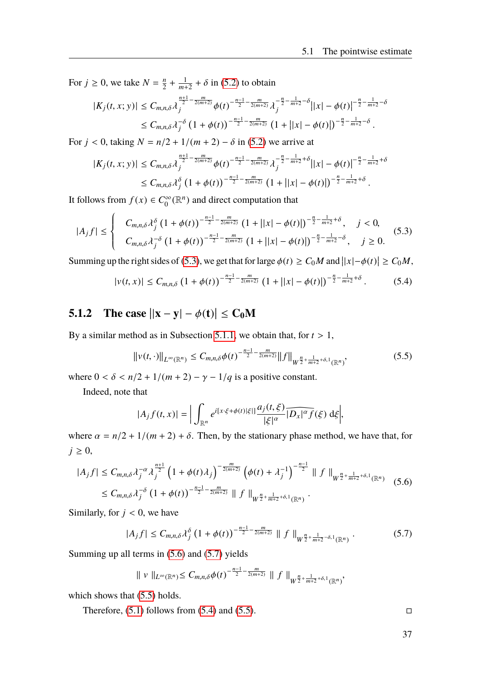For  $j \geq 0$ , we take  $N = \frac{n}{2}$  $\frac{n}{2} + \frac{1}{m+1}$  $\frac{1}{m+2} + \delta$  in [\(5.2\)](#page-43-0) to obtain

$$
|K_j(t, x; y)| \leq C_{m,n,\delta} \lambda_j^{\frac{n+1}{2} - \frac{m}{2(m+2)}} \phi(t)^{-\frac{n-1}{2} - \frac{m}{2(m+2)}} \lambda_j^{-\frac{n}{2} - \frac{1}{m+2} - \delta} ||x| - \phi(t)|^{-\frac{n}{2} - \frac{1}{m+2} - \delta}
$$
  
\$\leq C\_{m,n,\delta} \lambda\_j^{-\delta} (1 + \phi(t))^{-\frac{n-1}{2} - \frac{m}{2(m+2)}} (1 + ||x| - \phi(t)|)^{-\frac{n}{2} - \frac{1}{m+2} - \delta}.

For  $j < 0$ , taking  $N = n/2 + 1/(m + 2) - \delta$  in [\(5.2\)](#page-43-0) we arrive at

$$
|K_j(t, x; y)| \leq C_{m,n,\delta} \lambda_j^{\frac{n+1}{2} - \frac{m}{2(m+2)}} \phi(t)^{-\frac{n-1}{2} - \frac{m}{2(m+2)}} \lambda_j^{-\frac{n}{2} - \frac{1}{m+2} + \delta} ||x| - \phi(t)|^{-\frac{n}{2} - \frac{1}{m+2} + \delta}
$$
  
\$\leq C\_{m,n,\delta} \lambda\_j^{\delta} (1 + \phi(t))^{-\frac{n-1}{2} - \frac{m}{2(m+2)}} (1 + ||x| - \phi(t)|)^{-\frac{n}{2} - \frac{1}{m+2} + \delta}.

It follows from  $f(x) \in C_0^{\infty}$  $\int_0^\infty (\mathbb{R}^n)$  and direct computation that

<span id="page-44-0"></span>
$$
|A_j f| \leq \begin{cases} C_{m,n,\delta} \lambda_j^{\delta} \left(1 + \phi(t)\right)^{-\frac{n-1}{2} - \frac{m}{2(m+2)}} \left(1 + | |x| - \phi(t)|\right)^{-\frac{n}{2} - \frac{1}{m+2} + \delta}, & j < 0, \\ C_{m,n,\delta} \lambda_j^{-\delta} \left(1 + \phi(t)\right)^{-\frac{n-1}{2} - \frac{m}{2(m+2)}} \left(1 + | |x| - \phi(t)|\right)^{-\frac{n}{2} - \frac{1}{m+2} - \delta}, & j \geq 0. \end{cases}
$$
(5.3)

Summing up the right sides of [\(5.3\)](#page-44-0), we get that for large  $\phi(t) \ge C_0 M$  and  $||x| - \phi(t)| \ge C_0 M$ ,

<span id="page-44-4"></span>
$$
|v(t,x)| \leq C_{m,n,\delta} \left(1 + \phi(t)\right)^{-\frac{n-1}{2} - \frac{m}{2(m+2)}} \left(1 + \left||x| - \phi(t)\right|\right)^{-\frac{n}{2} - \frac{1}{m+2} + \delta}.
$$
 (5.4)

# **5.1.2** The case  $||x - y| - \phi(t)| \le C_0 M$

By a similar method as in Subsection [5.1.1,](#page-43-1) we obtain that, for  $t > 1$ ,

<span id="page-44-3"></span>
$$
\|v(t,\cdot)\|_{L^{\infty}(\mathbb{R}^n)} \leq C_{m,n,\delta}\phi(t)^{-\frac{n-1}{2}-\frac{m}{2(m+2)}} \|f\|_{W^{\frac{n}{2}+\frac{1}{m+2}+\delta,1}(\mathbb{R}^n)},\tag{5.5}
$$

where  $0 < \delta < \frac{n}{2} + \frac{1}{m+2} - \gamma - \frac{1}{q}$  is a positive constant.

Indeed, note that

$$
|A_j f(t, x)| = \Big| \int_{\mathbb{R}^n} e^{i[x \cdot \xi + \phi(t)|\xi|]} \frac{a_j(t, \xi)}{|\xi|^\alpha} \overline{D_x|^\alpha f}(\xi) d\xi \Big|,
$$

where  $\alpha = n/2 + 1/(m + 2) + \delta$ . Then, by the stationary phase method, we have that, for  $j \geq 0$ ,

<span id="page-44-1"></span>
$$
|A_j f| \leq C_{m,n,\delta} \lambda_j^{-\alpha} \lambda_j^{\frac{n+1}{2}} \left(1 + \phi(t) \lambda_j\right)^{-\frac{m}{2(m+2)}} \left(\phi(t) + \lambda_j^{-1}\right)^{-\frac{n-1}{2}} \|f\|_{W^{\frac{n}{2} + \frac{1}{m+2} + \delta,1}(\mathbb{R}^n)} \leq C_{m,n,\delta} \lambda_j^{-\delta} \left(1 + \phi(t)\right)^{-\frac{n-1}{2} - \frac{m}{2(m+2)}} \|f\|_{W^{\frac{n}{2} + \frac{1}{m+2} + \delta,1}(\mathbb{R}^n)} \quad (5.6)
$$

Similarly, for  $j < 0$ , we have

<span id="page-44-2"></span>
$$
|A_j f| \leq C_{m,n,\delta} \lambda_j^{\delta} \left(1 + \phi(t)\right)^{-\frac{n-1}{2} - \frac{m}{2(m+2)}} \|f\|_{W^{\frac{n}{2} + \frac{1}{m+2} - \delta, 1}(\mathbb{R}^n)}.
$$
 (5.7)

Summing up all terms in [\(5.6\)](#page-44-1) and [\(5.7\)](#page-44-2) yields

$$
\| v \|_{L^{\infty}(\mathbb{R}^n)} \leq C_{m,n,\delta} \phi(t)^{-\frac{n-1}{2} - \frac{m}{2(m+2)}} \| f \|_{W^{\frac{n}{2} + \frac{1}{m+2} + \delta,1}(\mathbb{R}^n)},
$$

which shows that  $(5.5)$  holds.

Therefore,  $(5.1)$  follows from  $(5.4)$  and  $(5.5)$ .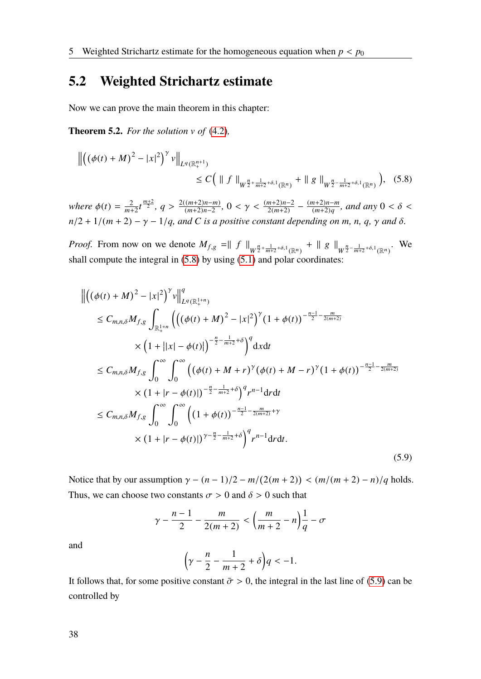# **5.2 Weighted Strichartz estimate**

Now we can prove the main theorem in this chapter:

**Theorem 5.2.** *For the solution* v *of* [\(4.2\)](#page-26-2)*,*

<span id="page-45-0"></span>
$$
\left\| \left( (\phi(t) + M)^2 - |x|^2 \right)^\gamma v \right\|_{L^q(\mathbb{R}^{n+1}_+)} \leq C \Big( \parallel f \parallel_{W^{\frac{n}{2} + \frac{1}{m+2} + \delta, 1}(\mathbb{R}^n)} + \parallel g \parallel_{W^{\frac{n}{2} - \frac{1}{m+2} + \delta, 1}(\mathbb{R}^n)} \Big), \quad (5.8)
$$

*where*  $\phi(t) = \frac{2}{m^4}$  $\frac{2}{m+2}t^{\frac{m+2}{2}}, q > \frac{2((m+2)n-m)}{(m+2)n-2}$  $\frac{(m+2)n-m}{(m+2)n-2}$ , 0 <  $\gamma$  <  $\frac{(m+2)n-2}{2(m+2)} - \frac{(m+2)n-m}{(m+2)q}$  $\frac{(m+2)n-m}{(m+2)q}$ , and any  $0 < \delta <$  $n/2 + 1/(m + 2) - \gamma - 1/q$ *, and C is a positive constant depending on m, n, q,*  $\gamma$  *and*  $\delta$ *.* 

*Proof.* From now on we denote  $M_{f,g} = || f ||_{W^{\frac{n}{2} + \frac{1}{m+2} + \delta,1}(\mathbb{R}^n)} + || g ||_{W^{\frac{n}{2} - \frac{1}{m+2} + \delta,1}(\mathbb{R}^n)}$ . We shall compute the integral in [\(5.8\)](#page-45-0) by using [\(5.1\)](#page-42-0) and polar coordinates:

<span id="page-45-1"></span>
$$
\begin{split}\n&\left\|\left((\phi(t) + M)^2 - |x|^2\right)^{\gamma} v\right\|_{L^q(\mathbb{R}^{1+n}_+)}^q \\
&\leq C_{m,n,\delta} M_{f,g} \int_{\mathbb{R}^{1+n}_+} \left(\left((\phi(t) + M)^2 - |x|^2\right)^{\gamma} (1 + \phi(t))^{-\frac{n-1}{2} - \frac{m}{2(m+2)}} \\
&\times \left(1 + ||x| - \phi(t)|\right)^{-\frac{n}{2} - \frac{1}{m+2} + \delta}\right)^q \mathrm{d}x \mathrm{d}t \\
&\leq C_{m,n,\delta} M_{f,g} \int_0^\infty \int_0^\infty \left((\phi(t) + M + r)^{\gamma} (\phi(t) + M - r)^{\gamma} (1 + \phi(t))^{-\frac{n-1}{2} - \frac{m}{2(m+2)}}\right) \\
&\times (1 + |r - \phi(t)|)^{-\frac{n}{2} - \frac{1}{m+2} + \delta}\right)^q r^{n-1} \mathrm{d}r \mathrm{d}t \\
&\leq C_{m,n,\delta} M_{f,g} \int_0^\infty \int_0^\infty \left((1 + \phi(t))^{-\frac{n-1}{2} - \frac{m}{2(m+2)} + \gamma}\right)^q r^{n-1} \mathrm{d}r \mathrm{d}t \\
&\times (1 + |r - \phi(t)|)^{\gamma - \frac{n}{2} - \frac{1}{m+2} + \delta}\right)^q r^{n-1} \mathrm{d}r \mathrm{d}t.\n\end{split} \tag{5.9}
$$

Notice that by our assumption  $γ - (n - 1)/2 - m/(2(m + 2)) < (m/(m + 2) - n)/q$  holds. Thus, we can choose two constants  $\sigma > 0$  and  $\delta > 0$  such that

$$
\gamma-\frac{n-1}{2}-\frac{m}{2(m+2)}<\left(\frac{m}{m+2}-n\right)\frac{1}{q}-\sigma
$$

and

$$
\left(\gamma-\frac{n}{2}-\frac{1}{m+2}+\delta\right)q<-1.
$$

It follows that, for some positive constant  $\bar{\sigma} > 0$ , the integral in the last line of [\(5.9\)](#page-45-1) can be controlled by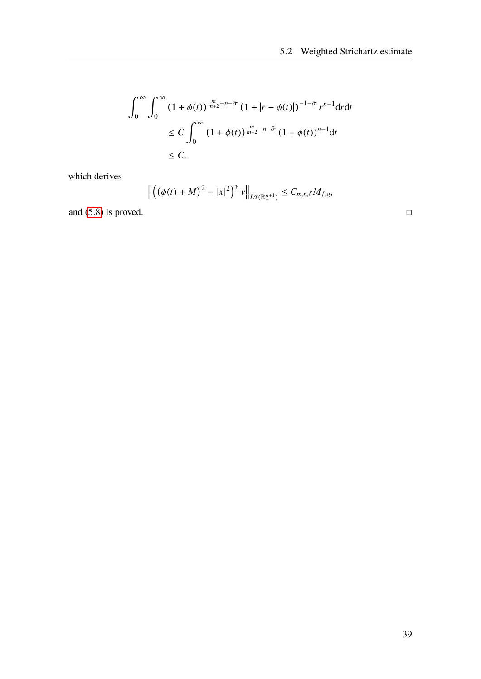$$
\int_0^\infty \int_0^\infty \left(1 + \phi(t)\right)^{\frac{m}{m+2} - n - \bar{\sigma}} \left(1 + |r - \phi(t)|\right)^{-1 - \bar{\sigma}} r^{n-1} dr dt
$$
  
\n
$$
\leq C \int_0^\infty \left(1 + \phi(t)\right)^{\frac{m}{m+2} - n - \bar{\sigma}} \left(1 + \phi(t)\right)^{n-1} dt
$$
  
\n
$$
\leq C,
$$

which derives

$$
\left\|\left(\left(\phi(t)+M\right)^2-|x|^2\right)^\gamma v\right\|_{L^q(\mathbb{R}^{n+1}_+)}\leq C_{m,n,\delta}M_{f,g},
$$

and  $(5.8)$  is proved.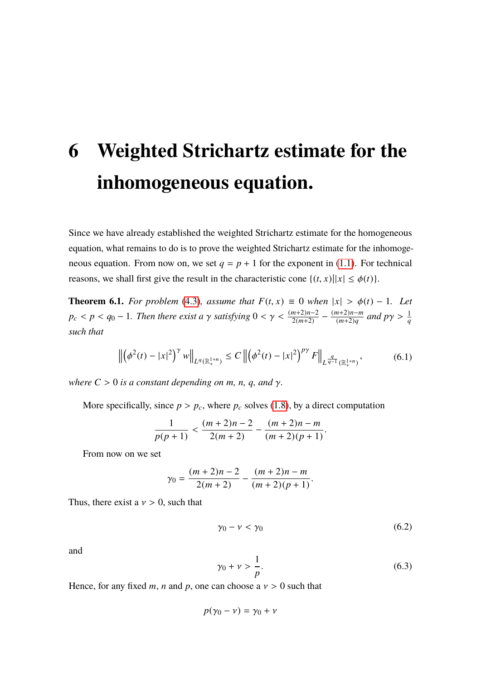# **6 Weighted Strichartz estimate for the inhomogeneous equation.**

Since we have already established the weighted Strichartz estimate for the homogeneous equation, what remains to do is to prove the weighted Strichartz estimate for the inhomogeneous equation. From now on, we set  $q = p + 1$  for the exponent in [\(1.1\)](#page-8-0). For technical reasons, we shall first give the result in the characteristic cone  $\{(t, x) | |x| \le \phi(t)\}.$ 

<span id="page-48-2"></span>**Theorem 6.1.** *For problem* [\(4.3\)](#page-26-0)*, assume that*  $F(t, x) \equiv 0$  *when*  $|x| > \phi(t) - 1$ *. Let*  $p_c < p < q_0 - 1$ . Then there exist a  $\gamma$  satisfying  $0 < \gamma < \frac{(m+2)n-2}{2(m+2)} - \frac{(m+2)n-m}{(m+2)q}$  $\frac{(m+2)n-m}{(m+2)q}$  and  $p\gamma > \frac{1}{q}$ *such that*

$$
\left\| \left( \phi^2(t) - |x|^2 \right)^\gamma w \right\|_{L^q(\mathbb{R}^{1+n}_+)} \le C \left\| \left( \phi^2(t) - |x|^2 \right)^{p\gamma} F \right\|_{L^{\frac{q}{q-1}}(\mathbb{R}^{1+n}_+)},\tag{6.1}
$$

<span id="page-48-3"></span>*where*  $C > 0$  *is a constant depending on m, n, q, and*  $\gamma$ *.* 

More specifically, since  $p > p_c$ , where  $p_c$  solves [\(1.8\)](#page-10-0), by a direct computation

$$
\frac{1}{p(p+1)} < \frac{(m+2)n-2}{2(m+2)} - \frac{(m+2)n-m}{(m+2)(p+1)}
$$

From now on we set

$$
\gamma_0 = \frac{(m+2)n-2}{2(m+2)} - \frac{(m+2)n-m}{(m+2)(p+1)}.
$$

Thus, there exist a  $v > 0$ , such that

<span id="page-48-0"></span>
$$
\gamma_0 - \nu < \gamma_0 \tag{6.2}
$$

and

<span id="page-48-1"></span>
$$
\gamma_0 + \nu > \frac{1}{p}.\tag{6.3}
$$

Hence, for any fixed *m*, *n* and *p*, one can choose a  $v > 0$  such that

$$
p(\gamma_0 - \nu) = \gamma_0 + \nu
$$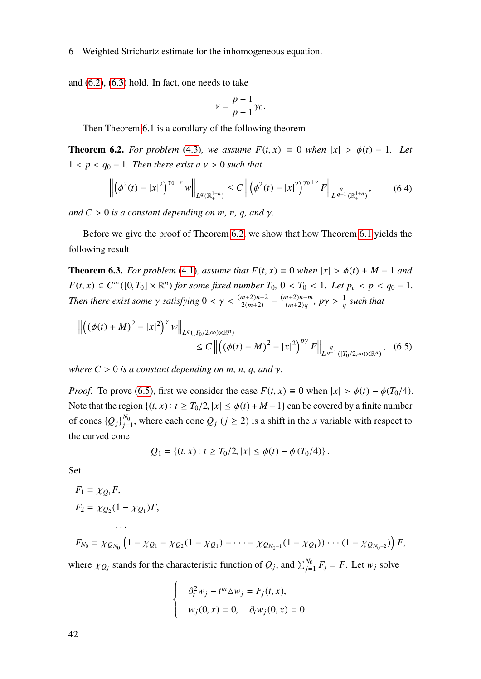and  $(6.2)$ ,  $(6.3)$  hold. In fact, one needs to take

$$
v=\frac{p-1}{p+1}\gamma_0.
$$

Then Theorem [6.1](#page-48-2) is a corollary of the following theorem

<span id="page-49-0"></span>**Theorem 6.2.** For problem [\(4.3\)](#page-26-0), we assume  $F(t, x) \equiv 0$  when  $|x| > \phi(t) - 1$ . Let  $1 < p < q_0 - 1$ . Then there exist a  $v > 0$  such that

$$
\left\| \left( \phi^2(t) - |x|^2 \right)^{\gamma_0 - \nu} w \right\|_{L^q(\mathbb{R}^{1+n}_+)} \le C \left\| \left( \phi^2(t) - |x|^2 \right)^{\gamma_0 + \nu} F \right\|_{L^{\frac{q}{q-1}}(\mathbb{R}^{1+n}_+)},\tag{6.4}
$$

<span id="page-49-2"></span>*and*  $C > 0$  *is a constant depending on m, n, q, and y.* 

Before we give the proof of Theorem [6.2,](#page-49-0) we show that how Theorem [6.1](#page-48-2) yields the following result

**Theorem 6.3.** *For problem* [\(4.1\)](#page-26-3)*, assume that*  $F(t, x) \equiv 0$  *when*  $|x| > \phi(t) + M - 1$  *and*  $F(t, x) \in C^{\infty}([0, T_0] \times \mathbb{R}^n)$  *for some fixed number*  $T_0$ ,  $0 < T_0 < 1$ *. Let*  $p_c < p < q_0 - 1$ *. Then there exist some*  $\gamma$  *satisfying*  $0 < \gamma < \frac{(m+2)n-2}{2(m+2)} - \frac{(m+2)n-m}{(m+2)q}$  $\frac{(m+2)n-m}{(m+2)q}$ ,  $p\gamma > \frac{1}{q}$  such that

$$
\left\| \left( (\phi(t) + M)^2 - |x|^2 \right)^\gamma w \right\|_{L^q([T_0/2, \infty) \times \mathbb{R}^n)} \le C \left\| \left( (\phi(t) + M)^2 - |x|^2 \right)^{p\gamma} F \right\|_{L^{\frac{q}{q-1}}([T_0/2, \infty) \times \mathbb{R}^n)}, \quad (6.5)
$$

*where*  $C > 0$  *is a constant depending on m, n, q, and*  $\gamma$ *.* 

*Proof.* To prove [\(6.5\)](#page-49-1), first we consider the case  $F(t, x) \equiv 0$  when  $|x| > \phi(t) - \phi(T_0/4)$ . Note that the region  $\{(t, x): t \geq T_0/2, |x| \leq \phi(t) + M - 1\}$  can be covered by a finite number of cones  ${Q_j}\big|_{i=1}^{N_0}$  $j_{j=1}^{N_0}$ , where each cone  $Q_j$  ( $j \ge 2$ ) is a shift in the *x* variable with respect to the curved cone

<span id="page-49-1"></span>
$$
Q_1 = \{(t, x): t \geq T_0/2, |x| \leq \phi(t) - \phi(T_0/4)\}.
$$

Set

$$
F_1 = \chi_{Q_1} F,
$$
  
\n
$$
F_2 = \chi_{Q_2} (1 - \chi_{Q_1}) F,
$$
  
\n...  
\n
$$
F_{N_0} = \chi_{Q_{N_0}} \left(1 - \chi_{Q_1} - \chi_{Q_2} (1 - \chi_{Q_1}) - \dots - \chi_{Q_{N_0 - 1}} (1 - \chi_{Q_1}) \right) \dots (1 - \chi_{Q_{N_0 - 2}}) F,
$$

where  $\chi_{Q_j}$  stands for the characteristic function of  $Q_j$ , and  $\sum_{j=1}^{N_0} F_j = F$ . Let  $w_j$  solve

$$
\begin{cases}\n\partial_t^2 w_j - t^m \Delta w_j = F_j(t, x), \\
w_j(0, x) = 0, \quad \partial_t w_j(0, x) = 0.\n\end{cases}
$$

42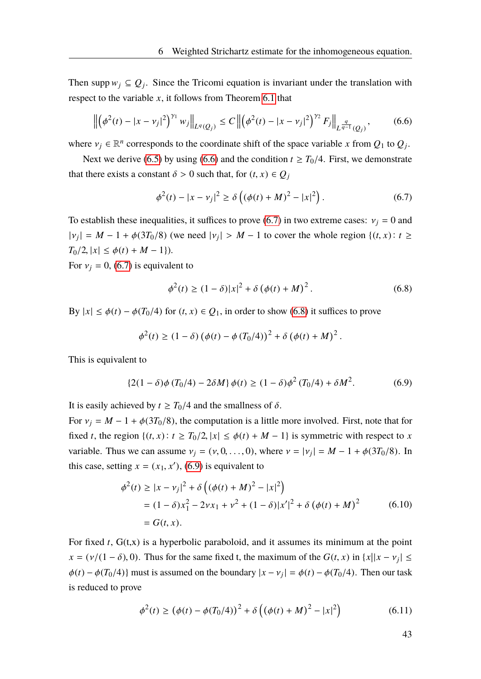Then supp  $w_j \subseteq Q_j$ . Since the Tricomi equation is invariant under the translation with respect to the variable *x*, it follows from Theorem [6.1](#page-48-2) that

<span id="page-50-0"></span>
$$
\left\| \left( \phi^2(t) - |x - v_j|^2 \right)^{\gamma_1} w_j \right\|_{L^q(Q_j)} \le C \left\| \left( \phi^2(t) - |x - v_j|^2 \right)^{\gamma_2} F_j \right\|_{L^{\frac{q}{q-1}}(Q_j)},\tag{6.6}
$$

where  $v_j \in \mathbb{R}^n$  corresponds to the coordinate shift of the space variable *x* from  $Q_1$  to  $Q_j$ .

Next we derive [\(6.5\)](#page-49-1) by using [\(6.6\)](#page-50-0) and the condition  $t \geq T_0/4$ . First, we demonstrate that there exists a constant  $\delta > 0$  such that, for  $(t, x) \in Q_j$ 

<span id="page-50-1"></span>
$$
\phi^{2}(t) - |x - v_{j}|^{2} \ge \delta\left((\phi(t) + M)^{2} - |x|^{2}\right).
$$
 (6.7)

To establish these inequalities, it suffices to prove [\(6.7\)](#page-50-1) in two extreme cases:  $v_i = 0$  and  $|v_j| = M - 1 + \phi(3T_0/8)$  (we need  $|v_j| > M - 1$  to cover the whole region {(*t*, *x*): *t* ≥  $T_0/2$ ,  $|x| \leq \phi(t) + M - 1$ .

For  $v_i = 0$ , [\(6.7\)](#page-50-1) is equivalent to

<span id="page-50-2"></span>
$$
\phi^{2}(t) \ge (1 - \delta)|x|^{2} + \delta (\phi(t) + M)^{2}.
$$
\n(6.8)

By  $|x| \leq \phi(t) - \phi(T_0/4)$  for  $(t, x) \in Q_1$ , in order to show [\(6.8\)](#page-50-2) it suffices to prove

$$
\phi^{2}(t) \ge (1 - \delta) (\phi(t) - \phi(T_{0}/4))^{2} + \delta (\phi(t) + M)^{2}.
$$

This is equivalent to

<span id="page-50-3"></span>
$$
\{2(1 - \delta)\phi(T_0/4) - 2\delta M\}\phi(t) \ge (1 - \delta)\phi^2(T_0/4) + \delta M^2. \tag{6.9}
$$

It is easily achieved by  $t \geq T_0/4$  and the smallness of  $\delta$ .

For  $v_i = M - 1 + \phi(3T_0/8)$ , the computation is a little more involved. First, note that for fixed *t*, the region  $\{(t, x): t \geq T_0/2, |x| \leq \phi(t) + M - 1\}$  is symmetric with respect to *x* variable. Thus we can assume  $v_j = (v, 0, \dots, 0)$ , where  $v = |v_j| = M - 1 + \phi(3T_0/8)$ . In this case, setting  $x = (x_1, x')$ , [\(6.9\)](#page-50-3) is equivalent to

$$
\phi^{2}(t) \ge |x - v_{j}|^{2} + \delta \left( (\phi(t) + M)^{2} - |x|^{2} \right)
$$
  
= (1 - \delta)x\_{1}^{2} - 2vx\_{1} + v^{2} + (1 - \delta)|x'|^{2} + \delta (\phi(t) + M)^{2} \t(6.10)  
= G(t, x).

For fixed *t*, G(t,x) is a hyperbolic paraboloid, and it assumes its minimum at the point  $x = (v/(1 - \delta), 0)$ . Thus for the same fixed t, the maximum of the  $G(t, x)$  in  $\{x \mid |x - v_j| \le$  $\phi(t) - \phi(T_0/4)$ } must is assumed on the boundary  $|x - v_j| = \phi(t) - \phi(T_0/4)$ . Then our task is reduced to prove

<span id="page-50-4"></span>
$$
\phi^{2}(t) \ge (\phi(t) - \phi(T_{0}/4))^{2} + \delta\left((\phi(t) + M)^{2} - |x|^{2}\right)
$$
\n(6.11)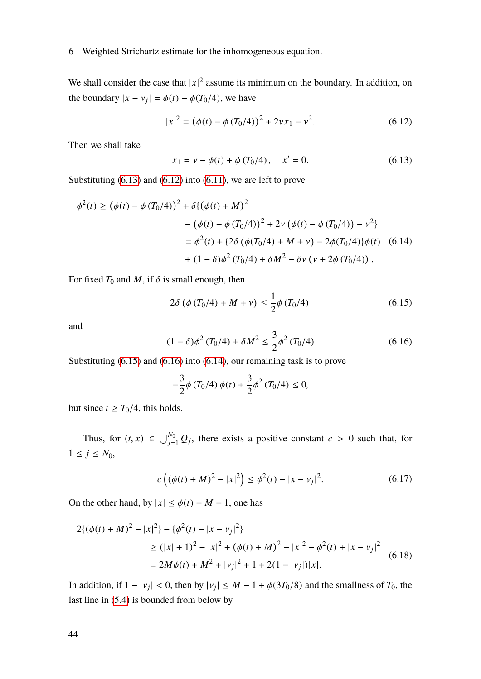We shall consider the case that  $|x|^2$  assume its minimum on the boundary. In addition, on the boundary  $|x - v_j| = \phi(t) - \phi(T_0/4)$ , we have

<span id="page-51-1"></span>
$$
|x|^2 = (\phi(t) - \phi(T_0/4))^2 + 2\nu x_1 - \nu^2.
$$
 (6.12)

Then we shall take

<span id="page-51-4"></span><span id="page-51-0"></span>
$$
x_1 = v - \phi(t) + \phi(T_0/4), \quad x' = 0.
$$
 (6.13)

Substituting [\(6.13\)](#page-51-0) and [\(6.12\)](#page-51-1) into [\(6.11\)](#page-50-4), we are left to prove

$$
\phi^{2}(t) \ge (\phi(t) - \phi(T_{0}/4))^{2} + \delta\{(\phi(t) + M)^{2}
$$

$$
- (\phi(t) - \phi(T_{0}/4))^{2} + 2\nu(\phi(t) - \phi(T_{0}/4)) - \nu^{2}\}
$$

$$
= \phi^{2}(t) + \{2\delta(\phi(T_{0}/4) + M + \nu) - 2\phi(T_{0}/4)\}\phi(t) \quad (6.14)
$$

$$
+ (1 - \delta)\phi^{2}(T_{0}/4) + \delta M^{2} - \delta\nu(\nu + 2\phi(T_{0}/4)).
$$

For fixed  $T_0$  and  $M$ , if  $\delta$  is small enough, then

<span id="page-51-2"></span>
$$
2\delta \left( \phi \left( T_0/4 \right) + M + \nu \right) \le \frac{1}{2} \phi \left( T_0/4 \right) \tag{6.15}
$$

and

<span id="page-51-3"></span>
$$
(1 - \delta)\phi^2 (T_0/4) + \delta M^2 \le \frac{3}{2}\phi^2 (T_0/4)
$$
 (6.16)

Substituting [\(6.15\)](#page-51-2) and [\(6.16\)](#page-51-3) into [\(6.14\)](#page-51-4), our remaining task is to prove

$$
-\frac{3}{2}\phi(T_0/4)\,\phi(t) + \frac{3}{2}\phi^2(T_0/4) \le 0,
$$

but since  $t \geq T_0/4$ , this holds.

Thus, for  $(t, x) \in \bigcup_{j=1}^{N_0} Q_j$ , there exists a positive constant  $c > 0$  such that, for 1 ≤ *j* ≤ *N*0,

<span id="page-51-5"></span>
$$
c\left((\phi(t) + M)^2 - |x|^2\right) \le \phi^2(t) - |x - v_j|^2. \tag{6.17}
$$

On the other hand, by  $|x| \leq \phi(t) + M - 1$ , one has

$$
2\{(\phi(t) + M)^2 - |x|^2\} - \{\phi^2(t) - |x - v_j|^2\}
$$
  
\n
$$
\ge (|x| + 1)^2 - |x|^2 + (\phi(t) + M)^2 - |x|^2 - \phi^2(t) + |x - v_j|^2
$$
  
\n
$$
= 2M\phi(t) + M^2 + |v_j|^2 + 1 + 2(1 - |v_j|)|x|.
$$
\n(6.18)

In addition, if  $1 - |v_j| < 0$ , then by  $|v_j| \le M - 1 + \phi(3T_0/8)$  and the smallness of  $T_0$ , the last line in [\(5.4\)](#page-44-4) is bounded from below by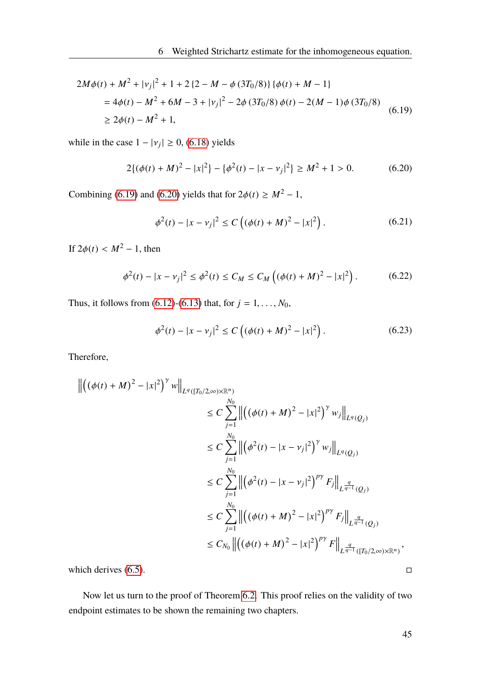$$
2M\phi(t) + M^2 + |v_j|^2 + 1 + 2\{2 - M - \phi(3T_0/8)\}\{\phi(t) + M - 1\}
$$
  
=  $4\phi(t) - M^2 + 6M - 3 + |v_j|^2 - 2\phi(3T_0/8)\phi(t) - 2(M - 1)\phi(3T_0/8)$   
 $\ge 2\phi(t) - M^2 + 1,$  (6.19)

while in the case  $1 - |v_j| \ge 0$ , [\(6.18\)](#page-51-5) yields

<span id="page-52-1"></span>
$$
2\{(\phi(t) + M)^2 - |x|^2\} - \{\phi^2(t) - |x - v_j|^2\} \ge M^2 + 1 > 0.
$$
 (6.20)

Combining [\(6.19\)](#page-52-0) and [\(6.20\)](#page-52-1) yields that for  $2\phi(t) \geq M^2 - 1$ ,

<span id="page-52-0"></span>
$$
\phi^{2}(t) - |x - v_{j}|^{2} \le C \left( (\phi(t) + M)^{2} - |x|^{2} \right). \tag{6.21}
$$

If  $2\phi(t) < M^2 - 1$ , then

$$
\phi^{2}(t) - |x - v_{j}|^{2} \le \phi^{2}(t) \le C_{M} \le C_{M} \left( (\phi(t) + M)^{2} - |x|^{2} \right). \tag{6.22}
$$

Thus, it follows from [\(6.12\)](#page-51-1)-[\(6.13\)](#page-51-0) that, for  $j = 1, ..., N_0$ ,

$$
\phi^{2}(t) - |x - v_{j}|^{2} \le C \left( (\phi(t) + M)^{2} - |x|^{2} \right). \tag{6.23}
$$

Therefore,

$$
\begin{split} \left\| \left( (\phi(t) + M)^2 - |x|^2 \right)^\gamma w \right\|_{L^q([T_0/2,\infty)\times \mathbb{R}^n)} \\ &\leq C \sum_{j=1}^{N_0} \left\| \left( (\phi(t) + M)^2 - |x|^2 \right)^\gamma w_j \right\|_{L^q(Q_j)} \\ &\leq C \sum_{j=1}^{N_0} \left\| \left( \phi^2(t) - |x - v_j|^2 \right)^\gamma w_j \right\|_{L^q(Q_j)} \\ &\leq C \sum_{j=1}^{N_0} \left\| \left( \phi^2(t) - |x - v_j|^2 \right)^{p\gamma} F_j \right\|_{L^{\frac{q}{q-1}}(Q_j)} \\ &\leq C \sum_{j=1}^{N_0} \left\| \left( (\phi(t) + M)^2 - |x|^2 \right)^{p\gamma} F_j \right\|_{L^{\frac{q}{q-1}}(Q_j)} \\ &\leq C_{N_0} \left\| \left( (\phi(t) + M)^2 - |x|^2 \right)^{p\gamma} F \right\|_{L^{\frac{q}{q-1}}([T_0/2,\infty)\times \mathbb{R}^n)}, \end{split}
$$

which derives  $(6.5)$ .

Now let us turn to the proof of Theorem [6.2.](#page-49-0) This proof relies on the validity of two endpoint estimates to be shown the remaining two chapters.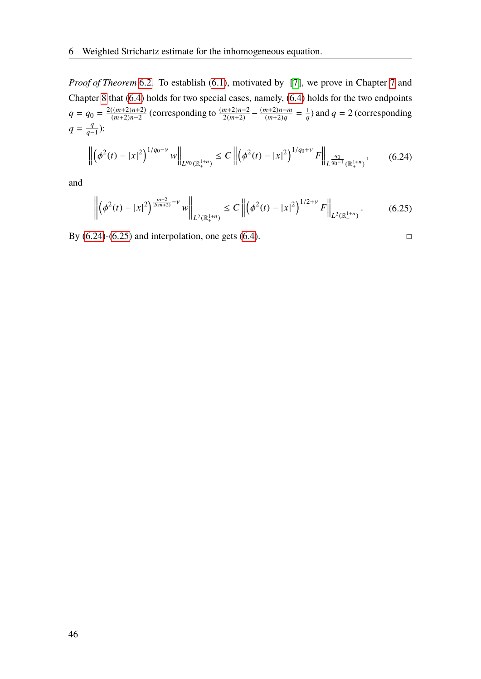*Proof of Theorem* [6.2](#page-49-0). To establish [\(6.1\)](#page-48-3), motivated by [\[7\]](#page-88-0), we prove in Chapter [7](#page-54-0) and Chapter [8](#page-74-0) that [\(6.4\)](#page-49-2) holds for two special cases, namely, [\(6.4\)](#page-49-2) holds for the two endpoints  $q = q_0 = \frac{2((m+2)n+2)}{(m+2)n-2}$  $\frac{((m+2)n+2)}{(m+2)n-2}$  (corresponding to  $\frac{(m+2)n-2}{2(m+2)} - \frac{(m+2)n-m}{(m+2)q}$  $\frac{(m+2)n-m}{(m+2)q} = \frac{1}{q}$  $\frac{1}{q}$ ) and *q* = 2 (corresponding  $q = \frac{q}{q}$  $\frac{q}{q-1}$ ):

<span id="page-53-0"></span>
$$
\left\| \left( \phi^2(t) - |x|^2 \right)^{1/q_0 - \nu} w \right\|_{L^{q_0}(\mathbb{R}^{1+n}_+)} \le C \left\| \left( \phi^2(t) - |x|^2 \right)^{1/q_0 + \nu} F \right\|_{L^{\frac{q_0}{q_0 - 1}}(\mathbb{R}^{1+n}_+)},\tag{6.24}
$$

<span id="page-53-1"></span>and

$$
\left\| \left( \phi^2(t) - |x|^2 \right)^{\frac{m-2}{2(m+2)} - \nu} w \right\|_{L^2(\mathbb{R}^{1+n}_+)} \le C \left\| \left( \phi^2(t) - |x|^2 \right)^{1/2+\nu} F \right\|_{L^2(\mathbb{R}^{1+n}_+)}.
$$
 (6.25)

By  $(6.24)-(6.25)$  $(6.24)-(6.25)$  $(6.24)-(6.25)$  and interpolation, one gets  $(6.4)$ .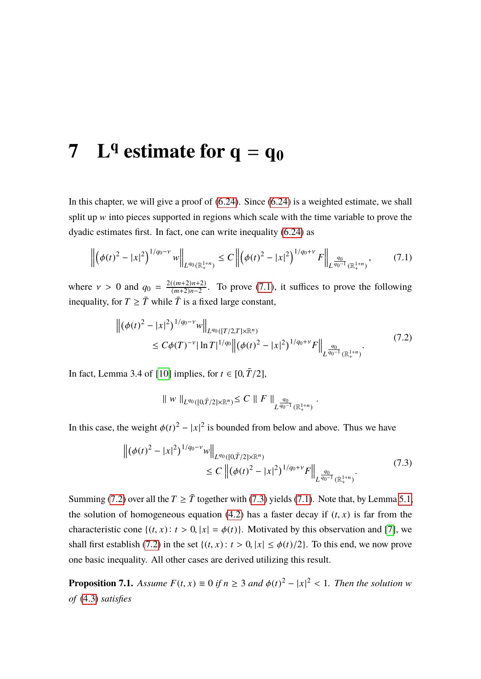# <span id="page-54-0"></span>**7 L<sup>q</sup> estimate for**  $q = q_0$

In this chapter, we will give a proof of  $(6.24)$ . Since  $(6.24)$  is a weighted estimate, we shall split up w into pieces supported in regions which scale with the time variable to prove the dyadic estimates first. In fact, one can write inequality [\(6.24\)](#page-53-0) as

$$
\left\| \left( \phi(t)^2 - |x|^2 \right)^{1/q_0 - \nu} w \right\|_{L^{q_0}(\mathbb{R}^{1+n}_+)} \le C \left\| \left( \phi(t)^2 - |x|^2 \right)^{1/q_0 + \nu} F \right\|_{L^{\frac{q_0}{q_0 - 1}}(\mathbb{R}^{1+n}_+)},\tag{7.1}
$$

where  $v > 0$  and  $q_0 = \frac{2((m+2)n+2)}{(m+2)n-2}$  $\frac{(m+2)n+2}{(m+2)n-2}$ . To prove [\(7.1\)](#page-54-1), it suffices to prove the following inequality, for  $T \geq \overline{T}$  while  $\overline{T}$  is a fixed large constant,

$$
\left\| (\phi(t)^2 - |x|^2)^{1/q_0 - \nu} w \right\|_{L^{q_0}([T/2, T] \times \mathbb{R}^n)} \le C\phi(T)^{-\nu} |\ln T|^{1/q_0} \left\| (\phi(t)^2 - |x|^2)^{1/q_0 + \nu} F \right\|_{L^{\frac{q_0}{q_0 - 1}}(\mathbb{R}^{1+n}_+)}.
$$
\n(7.2)

<span id="page-54-2"></span>In fact, Lemma 3.4 of [\[10\]](#page-88-1) implies, for  $t \in [0, \overline{T}/2]$ ,

<span id="page-54-1"></span>
$$
\parallel w\parallel_{L^{q_0}([0,\bar T/2]\times \mathbb{R}^n)} \leq C \parallel F\parallel_{L^{\frac{q_0}{q_0-1}}(\mathbb{R}^{1+n}_+)}
$$

<span id="page-54-3"></span>In this case, the weight  $\phi(t)^2 - |x|^2$  is bounded from below and above. Thus we have

$$
\left\| \left( \phi(t)^2 - |x|^2 \right)^{1/q_0 - \nu} w \right\|_{L^{q_0}([0, \bar{T}/2] \times \mathbb{R}^n)} \le C \left\| (\phi(t)^2 - |x|^2)^{1/q_0 + \nu} F \right\|_{L^{\frac{q_0}{q_0 - 1}}(\mathbb{R}^{1+n}_+)}.
$$
\n(7.3)

Summing [\(7.2\)](#page-54-2) over all the  $T \geq \overline{T}$  together with [\(7.3\)](#page-54-3) yields [\(7.1\)](#page-54-1). Note that, by Lemma [5.1,](#page-42-1) the solution of homogeneous equation [\(4.2\)](#page-26-2) has a faster decay if  $(t, x)$  is far from the characteristic cone  $\{(t, x): t > 0, |x| = \phi(t)\}\)$ . Motivated by this observation and [\[7\]](#page-88-0), we shall first establish [\(7.2\)](#page-54-2) in the set  $\{(t, x): t > 0, |x| \leq \phi(t)/2\}$ . To this end, we now prove one basic inequality. All other cases are derived utilizing this result.

<span id="page-54-4"></span>**Proposition 7.1.** *Assume*  $F(t, x) \equiv 0$  *if*  $n \ge 3$  *and*  $\phi(t)^2 - |x|^2 < 1$ *. Then the solution* w *of* [\(4.3\)](#page-26-0) *satisfies*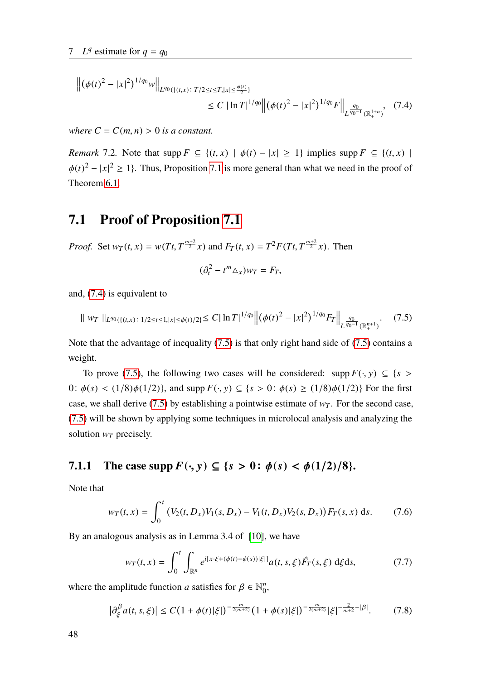$$
\left\| (\phi(t)^2 - |x|^2)^{1/q_0} w \right\|_{L^{q_0}(\{(t,x)\colon T/2 \le t \le T, |x| \le \frac{\phi(t)}{2})} \le C |\ln T|^{1/q_0} \left\| (\phi(t)^2 - |x|^2)^{1/q_0} F \right\|_{L^{\frac{q_0}{q_0 - 1}}(\mathbb{R}^{1+n}_+)}, (7.4)
$$

*where*  $C = C(m, n) > 0$  *is a constant.* 

*Remark* 7.2*.* Note that  $\text{supp } F \subseteq \{(t, x) \mid \phi(t) - |x| \geq 1\}$  implies  $\text{supp } F \subseteq \{(t, x) \mid$  $\phi(t)^2 - |x|^2 \ge 1$ . Thus, Proposition [7.1](#page-54-4) is more general than what we need in the proof of Theorem [6.1.](#page-48-2)

### **7.1 Proof of Proposition [7.1](#page-54-4)**

*Proof.* Set  $w_T(t, x) = w(Tt, T^{\frac{m+2}{2}}x)$  and  $F_T(t, x) = T^2 F(Tt, T^{\frac{m+2}{2}}x)$ . Then

<span id="page-55-1"></span><span id="page-55-0"></span>
$$
(\partial_t^2 - t^m \Delta_x) w_T = F_T,
$$

and, [\(7.4\)](#page-55-0) is equivalent to

$$
\| w_T \|_{L^{q_0}(\{(t,x)\,:\, 1/2 \le t \le 1, |x| \le \phi(t)/2\}} \le C |\ln T|^{1/q_0} \left\| (\phi(t)^2 - |x|^2)^{1/q_0} F_T \right\|_{L^{\frac{q_0}{q_0-1}}(\mathbb{R}^{n+1}_+)}.
$$
 (7.5)

Note that the advantage of inequality [\(7.5\)](#page-55-1) is that only right hand side of [\(7.5\)](#page-55-1) contains a weight.

To prove [\(7.5\)](#page-55-1), the following two cases will be considered: supp  $F(\cdot, y) \subseteq \{s \geq 0\}$ 0:  $\phi(s) < (1/8)\phi(1/2)$ , and supp  $F(\cdot, y) \subseteq \{s > 0: \phi(s) \ge (1/8)\phi(1/2)\}$  For the first case, we shall derive [\(7.5\)](#page-55-1) by establishing a pointwise estimate of  $w_T$ . For the second case, [\(7.5\)](#page-55-1) will be shown by applying some techniques in microlocal analysis and analyzing the solution  $w_T$  precisely.

### **7.1.1** The case supp  $F(\cdot, y) \subseteq \{s > 0 : \phi(s) < \phi(1/2)/8\}.$

Note that

<span id="page-55-3"></span>
$$
w_T(t,x) = \int_0^t (V_2(t,D_x)V_1(s,D_x) - V_1(t,D_x)V_2(s,D_x))F_T(s,x) \,ds. \tag{7.6}
$$

By an analogous analysis as in Lemma 3.4 of [\[10\]](#page-88-1), we have

<span id="page-55-2"></span>
$$
w_T(t,x) = \int_0^t \int_{\mathbb{R}^n} e^{i[x \cdot \xi + (\phi(t) - \phi(s)) | \xi|]} a(t,s,\xi) \hat{F}_T(s,\xi) \, d\xi ds, \tag{7.7}
$$

where the amplitude function *a* satisfies for  $\beta \in \mathbb{N}_0^n$  $\frac{n}{0}$ 

<span id="page-55-4"></span>
$$
\left|\partial_{\xi}^{\beta}a(t,s,\xi)\right| \leq C\left(1+\phi(t)|\xi|\right)^{-\frac{m}{2(m+2)}}\left(1+\phi(s)|\xi|\right)^{-\frac{m}{2(m+2)}}|\xi|^{-\frac{2}{m+2}-|\beta|}.\tag{7.8}
$$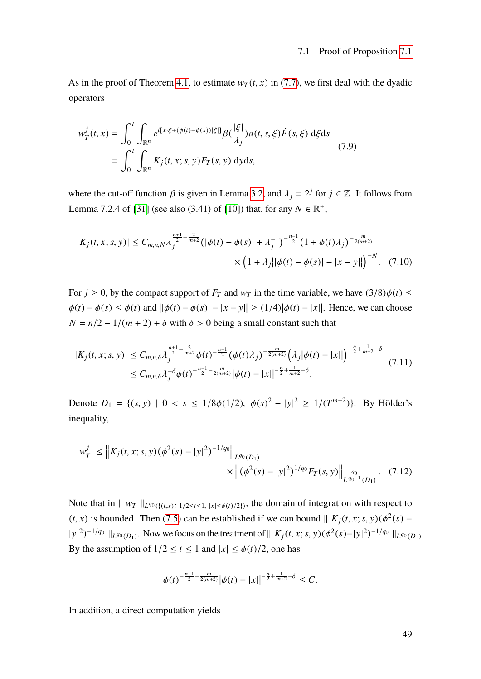As in the proof of Theorem [4.1,](#page-27-0) to estimate  $w_T(t, x)$  in [\(7.7\)](#page-55-2), we first deal with the dyadic operators

$$
w_T^j(t, x) = \int_0^t \int_{\mathbb{R}^n} e^{i[x \cdot \xi + (\phi(t) - \phi(s))|\xi|]} \beta(\frac{|\xi|}{\lambda_j}) a(t, s, \xi) \hat{F}(s, \xi) d\xi ds
$$
  
= 
$$
\int_0^t \int_{\mathbb{R}^n} K_j(t, x; s, y) F_T(s, y) dy ds,
$$
 (7.9)

where the cut-off function  $\beta$  is given in Lemma [3.2,](#page-22-0) and  $\lambda_j = 2^j$  for  $j \in \mathbb{Z}$ . It follows from Lemma 7.2.4 of [\[31\]](#page-90-0) (see also (3.41) of [\[10\]](#page-88-1)) that, for any  $N \in \mathbb{R}^+$ ,

<span id="page-56-1"></span>
$$
|K_j(t, x; s, y)| \le C_{m,n,N} \lambda_j^{\frac{n+1}{2} - \frac{2}{m+2}} \left( |\phi(t) - \phi(s)| + \lambda_j^{-1} \right)^{-\frac{n-1}{2}} \left( 1 + \phi(t) \lambda_j \right)^{-\frac{m}{2(m+2)}} \times \left( 1 + \lambda_j ||\phi(t) - \phi(s)| - |x - y|| \right)^{-N}.
$$
 (7.10)

For  $j \ge 0$ , by the compact support of  $F_T$  and  $w_T$  in the time variable, we have  $(3/8)\phi(t) \le$  $\phi(t) - \phi(s) \leq \phi(t)$  and  $||\phi(t) - \phi(s)|| - |x - y|| \geq (1/4) |\phi(t) - |x||$ . Hence, we can choose  $N = n/2 - 1/(m + 2) + \delta$  with  $\delta > 0$  being a small constant such that

<span id="page-56-0"></span>
$$
|K_j(t, x; s, y)| \leq C_{m,n,\delta} \lambda_j^{\frac{n+1}{2} - \frac{2}{m+2}} \phi(t)^{-\frac{n-1}{2}} (\phi(t) \lambda_j)^{-\frac{m}{2(m+2)}} \left(\lambda_j |\phi(t) - |x||\right)^{-\frac{n}{2} + \frac{1}{m+2} - \delta}
$$
  
\$\leq C\_{m,n,\delta} \lambda\_j^{-\delta} \phi(t)^{-\frac{n-1}{2} - \frac{m}{2(m+2)}} |\phi(t) - |x||^{-\frac{n}{2} + \frac{1}{m+2} - \delta} .

Denote  $D_1 = \{(s, y) | 0 < s \le 1/8\phi(1/2), \ \phi(s)^2 - |y|^2 \ge 1/(T^{m+2})\}$ . By Hölder's inequality,

$$
|w_T^j| \leq \left\| K_j(t, x; s, y) (\phi^2(s) - |y|^2)^{-1/q_0} \right\|_{L^{q_0}(D_1)} \times \left\| (\phi^2(s) - |y|^2)^{1/q_0} F_T(s, y) \right\|_{L^{\frac{q_0}{q_0 - 1}}(D_1)}.
$$
 (7.12)

Note that in  $|| w_T ||_{L^{q_0}(\{(t,x): 1/2 \le t \le 1, |x| \le \phi(t)/2\})}$ , the domain of integration with respect to (*t*, *x*) is bounded. Then [\(7.5\)](#page-55-1) can be established if we can bound  $\| K_j(t, x; s, y) (\phi^2(s) |y|^2$ <sup> $-1/q$ </sup>  $\|_{L^{q_0}(D_1)}$ . Now we focus on the treatment of  $||K_j(t, x; s, y)(\phi^2(s) - |y|^2)^{-1/q_0}||_{L^{q_0}(D_1)}$ . By the assumption of  $1/2 \le t \le 1$  and  $|x| \le \phi(t)/2$ , one has

$$
\phi(t)^{-\frac{n-1}{2}-\frac{m}{2(m+2)}}|\phi(t)-|x||^{-\frac{n}{2}+\frac{1}{m+2}-\delta}\leq C.
$$

In addition, a direct computation yields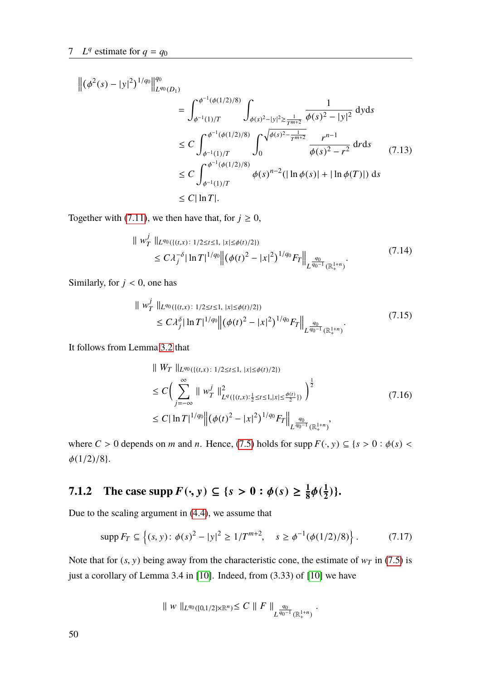$$
\begin{split} \left\| (\phi^2(s) - |y|^2)^{1/q_0} \right\|_{L^{q_0}(D_1)}^{q_0} \\ &= \int_{\phi^{-1}(1)/T}^{\phi^{-1}(\phi(1/2)/8)} \int_{\phi(s)^2 - |y|^2 \ge \frac{1}{T^{m+2}}} \frac{1}{\phi(s)^2 - |y|^2} \, \mathrm{d}y \mathrm{d}s \\ &\le C \int_{\phi^{-1}(1)/T}^{\phi^{-1}(\phi(1/2)/8)} \int_0^{\sqrt{\phi(s)^2 - \frac{1}{T^{m+2}}}} \frac{r^{n-1}}{\phi(s)^2 - r^2} \, \mathrm{d}r \mathrm{d}s \\ &\le C \int_{\phi^{-1}(1)/T}^{\phi^{-1}(\phi(1/2)/8)} \phi(s)^{n-2} (|\ln \phi(s)| + |\ln \phi(T)|) \, \mathrm{d}s \\ &\le C |\ln T|. \end{split} \tag{7.13}
$$

Together with [\(7.11\)](#page-56-0), we then have that, for  $j \ge 0$ ,

$$
\| w_T^j \|_{L^{q_0}(\{(t,x)\,:\,1/2 \le t \le 1,\,|x| \le \phi(t)/2\})} \le C \lambda_j^{-\delta} |\ln T|^{1/q_0} \| (\phi(t)^2 - |x|^2)^{1/q_0} F_T \|_{L^{\frac{q_0}{q_0-1}}(\mathbb{R}^{1+n}_+)}.
$$
\n(7.14)

Similarly, for  $j < 0$ , one has

$$
\| w_T^j \|_{L^{q_0}(\{(t,x)\colon 1/2 \le t \le 1, |x| \le \phi(t)/2\})} \le C \lambda_j^{\delta} |\ln T|^{1/q_0} \left\| (\phi(t)^2 - |x|^2)^{1/q_0} F_T \right\|_{L^{\frac{q_0}{q_0-1}}(\mathbb{R}^{1+n}_+)}.
$$
\n(7.15)

It follows from Lemma [3.2](#page-22-0) that

$$
\| W_T \|_{L^{q_0}(\{(t,x): 1/2 \le t \le 1, |x| \le \phi(t)/2\})}
$$
\n
$$
\le C \Big( \sum_{j=-\infty}^{\infty} \| w_T^j \|_{L^q(\{(t,x): \frac{1}{2} \le t \le 1, |x| \le \frac{\phi(t)}{2}\})}^2 \Big)^{\frac{1}{2}}
$$
\n
$$
\le C |\ln T|^{1/q_0} \Big\| (\phi(t)^2 - |x|^2)^{1/q_0} F_T \Big\|_{L^{\frac{q_0}{q_0-1}}(\mathbb{R}^{1+n}_+)},
$$
\n(7.16)

where  $C > 0$  depends on *m* and *n*. Hence, [\(7.5\)](#page-55-1) holds for supp  $F(\cdot, y) \subseteq \{s > 0 : \phi(s) <$  $\phi(1/2)/8$ .

#### **7.1.2** The case  $\sup p F(\cdot, y) \subseteq \{s > 0 : \phi(s) \geq \frac{1}{8}\}$  $\frac{1}{8}\phi(\frac{1}{2})$  $\frac{1}{2})$ .

Due to the scaling argument in [\(4.4\)](#page-27-3), we assume that

$$
\text{supp}\, F_T \subseteq \left\{ (s, y) \colon \phi(s)^2 - |y|^2 \ge 1/T^{m+2}, \quad s \ge \phi^{-1}(\phi(1/2)/8) \right\}. \tag{7.17}
$$

Note that for  $(s, y)$  being away from the characteristic cone, the estimate of  $w_T$  in [\(7.5\)](#page-55-1) is just a corollary of Lemma 3.4 in [\[10\]](#page-88-1). Indeed, from (3.33) of [\[10\]](#page-88-1) we have

$$
\| w \|_{L^{q_0}([0,1/2] \times \mathbb{R}^n)} \leq C \| F \|_{L^{\frac{q_0}{q_0-1}}(\mathbb{R}^{1+n}_+)}.
$$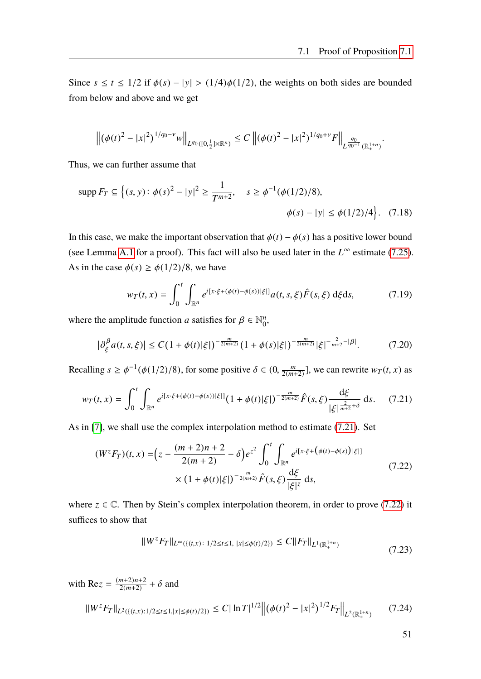Since  $s \le t \le 1/2$  if  $\phi(s) - |y| > (1/4)\phi(1/2)$ , the weights on both sides are bounded from below and above and we get

$$
\left\| \left( \phi(t)^2 - |x|^2 \right)^{1/q_0 - \nu} w \right\|_{L^{q_0}([0, \frac{1}{2}] \times \mathbb{R}^n)} \leq C \left\| (\phi(t)^2 - |x|^2)^{1/q_0 + \nu} F \right\|_{L^{\frac{q_0}{q_0 - 1}}(\mathbb{R}^{1+n}_+)}
$$

Thus, we can further assume that

$$
\text{supp}\,F_T \subseteq \left\{ (s, y) \colon \phi(s)^2 - |y|^2 \ge \frac{1}{T^{m+2}}, \quad s \ge \phi^{-1}(\phi(1/2)/8), \quad \phi(s) - |y| \le \phi(1/2)/4 \right\}. \tag{7.18}
$$

In this case, we make the important observation that  $\phi(t) - \phi(s)$  has a positive lower bound (see Lemma [A.1](#page-82-0) for a proof). This fact will also be used later in the  $L^{\infty}$  estimate [\(7.25\)](#page-59-0). As in the case  $\phi(s) \ge \phi(1/2)/8$ , we have

$$
w_T(t,x) = \int_0^t \int_{\mathbb{R}^n} e^{i[x \cdot \xi + (\phi(t) - \phi(s)) | \xi|]} a(t,s,\xi) \hat{F}(s,\xi) \,d\xi ds, \tag{7.19}
$$

where the amplitude function *a* satisfies for  $\beta \in \mathbb{N}_0^n$  $\frac{n}{0}$ 

$$
\left|\partial_{\xi}^{\beta} a(t,s,\xi)\right| \le C\left(1+\phi(t)|\xi|\right)^{-\frac{m}{2(m+2)}} \left(1+\phi(s)|\xi|\right)^{-\frac{m}{2(m+2)}} |\xi|^{-\frac{2}{m+2}-|\beta|}.\tag{7.20}
$$

Recalling  $s \ge \phi^{-1}(\phi(1/2)/8)$ , for some positive  $\delta \in (0, \frac{m}{2(m-1)}]$  $\frac{m}{2(m+2)}$ , we can rewrite  $w_T(t, x)$  as

<span id="page-58-0"></span>
$$
w_T(t,x) = \int_0^t \int_{\mathbb{R}^n} e^{i[x \cdot \xi + (\phi(t) - \phi(s))|\xi|]} (1 + \phi(t)|\xi|)^{-\frac{m}{2(m+2)}} \hat{F}(s,\xi) \frac{\mathrm{d}\xi}{|\xi|^{\frac{2}{m+2} + \delta}} \, \mathrm{d}s. \tag{7.21}
$$

As in [\[7\]](#page-88-0), we shall use the complex interpolation method to estimate [\(7.21\)](#page-58-0). Set

<span id="page-58-1"></span>
$$
(W^z F_T)(t, x) = \left(z - \frac{(m+2)n + 2}{2(m+2)} - \delta\right) e^{z^2} \int_0^t \int_{\mathbb{R}^n} e^{i[x \cdot \xi + (\phi(t) - \phi(s)) | \xi|]} \times (1 + \phi(t) |\xi|)^{-\frac{m}{2(m+2)}} \hat{F}(s, \xi) \frac{d\xi}{|\xi|^z} ds,
$$
\n(7.22)

where  $z \in \mathbb{C}$ . Then by Stein's complex interpolation theorem, in order to prove [\(7.22\)](#page-58-1) it suffices to show that

$$
||W^z F_T||_{L^{\infty}(\{(t,x)\colon 1/2 \le t \le 1, \ |x| \le \phi(t)/2\})} \le C||F_T||_{L^1(\mathbb{R}^{1+n}_+)} \tag{7.23}
$$

<span id="page-58-3"></span><span id="page-58-2"></span>with Re*z* =  $\frac{(m+2)n+2}{2(m+2)}$  $\frac{m+2}{m+2}$  +  $\delta$  and  $\|W^z F_T\|_{L^2(\{(t,x):1/2 \le t \le 1, |x| \le \phi(t)/2\})} \le C |\ln T|^{1/2} \left\| (\phi(t)^2 - |x|^2)^{1/2} F_T \right\|$  $\|_{L^2(\mathbb{R}^{1+n}_+)}$ (7.24)

51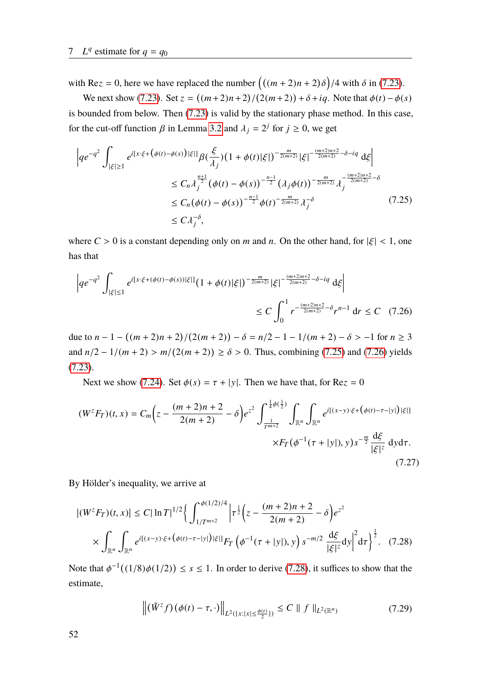with Re*z* = 0, here we have replaced the number  $((m+2)n+2)\delta)/4$  with  $\delta$  in [\(7.23\)](#page-58-2). δ

We next show [\(7.23\)](#page-58-2). Set  $z = ((m+2)n+2)/(2(m+2)) + \delta + iq$ . Note that  $\phi(t) - \phi(s)$ / is bounded from below. Then [\(7.23\)](#page-58-2) is valid by the stationary phase method. In this case, for the cut-off function  $\beta$  in Lemma [3.2](#page-22-0) and  $\lambda_j = 2^j$  for  $j \ge 0$ , we get

<span id="page-59-0"></span>
$$
\left| q e^{-q^2} \int_{|\xi| \ge 1} e^{i[x \cdot \xi + (\phi(t) - \phi(s)) |\xi|]} \beta(\frac{\xi}{\lambda_j}) (1 + \phi(t) |\xi|)^{-\frac{m}{2(m+2)}} |\xi|^{-\frac{(m+2)n+2}{2(m+2)} - \delta - iq} d\xi \right|
$$
  

$$
\le C_n \lambda_j^{\frac{n+1}{2}} (\phi(t) - \phi(s))^{-\frac{n-1}{2}} (\lambda_j \phi(t))^{-\frac{m}{2(m+2)}} \lambda_j^{-\frac{(m+2)n+2}{2(m+2)} - \delta}
$$
  

$$
\le C_n (\phi(t) - \phi(s))^{-\frac{n-1}{2}} \phi(t)^{-\frac{m}{2(m+2)}} \lambda_j^{-\delta}
$$
(7.25)  

$$
\le C \lambda_j^{-\delta},
$$

where  $C > 0$  is a constant depending only on *m* and *n*. On the other hand, for  $|\xi| < 1$ , one has that

<span id="page-59-1"></span>
$$
\left| q e^{-q^2} \int_{|\xi| \le 1} e^{i[x \cdot \xi + (\phi(t) - \phi(s))|\xi|]} (1 + \phi(t)|\xi|)^{-\frac{m}{2(m+2)}} |\xi|^{-\frac{(m+2)n+2}{2(m+2)} - \delta - iq} d\xi \right|
$$
  

$$
\le C \int_0^1 r^{-\frac{(m+2)n+2}{2(m+2)} - \delta} r^{n-1} dr \le C \quad (7.26)
$$

due to  $n - 1 - ((m + 2)n + 2)/(2(m + 2)) - \delta = n/2 - 1 - 1/(m + 2) - \delta > -1$  for  $n \ge 3$  $\frac{1}{2}$ and  $n/2 - 1/(m + 2) > m/(2(m + 2)) \ge \delta > 0$ . Thus, combining [\(7.25\)](#page-59-0) and [\(7.26\)](#page-59-1) yields [\(7.23\)](#page-58-2).

Next we show [\(7.24\)](#page-58-3). Set  $\phi(s) = \tau + |y|$ . Then we have that, for Re $z = 0$ 

$$
(W^{z}F_{T})(t,x) = C_{m}\left(z - \frac{(m+2)n+2}{2(m+2)} - \delta\right)e^{z^{2}}\int_{\frac{1}{T^{m+2}}}^{\frac{1}{4}\phi(\frac{1}{2})}\int_{\mathbb{R}^{n}}\int_{\mathbb{R}^{n}}e^{i[(x-y)\cdot\xi + (\phi(t)-\tau-|y|)|\xi|]} \times F_{T}(\phi^{-1}(\tau+|y|),y)s^{-\frac{m}{2}}\frac{d\xi}{|\xi|^{z}} dy d\tau.
$$
\n(7.27)

By Hölder's inequality, we arrive at

$$
\left| (W^z F_T)(t, x) \right| \le C |\ln T|^{1/2} \left\{ \int_{1/T^{m+2}}^{\phi(1/2)/4} \left| \tau^{\frac{1}{2}} \left( z - \frac{(m+2)n + 2}{2(m+2)} - \delta \right) e^{z^2} \right\} \times \int_{\mathbb{R}^n} \int_{\mathbb{R}^n} e^{i[(x-y)\cdot\xi + (\phi(t) - \tau - |y|)|\xi|]} F_T \left( \phi^{-1}(\tau + |y|), y \right) s^{-m/2} \frac{d\xi}{|\xi|^z} dy \right|^2 d\tau \right\}^{\frac{1}{2}}. \tag{7.28}
$$

<span id="page-59-3"></span>Note that  $\phi^{-1}((1/8)\phi(1/2)) \le s \le 1$ . In order to derive [\(7.28\)](#page-59-2), it suffices to show that the estimate,

<span id="page-59-2"></span>
$$
\left\| (\tilde{W}^z f)(\phi(t) - \tau, \cdot) \right\|_{L^2(\{x: |x| \le \frac{\phi(t)}{2}\})} \le C \parallel f \parallel_{L^2(\mathbb{R}^n)}
$$
(7.29)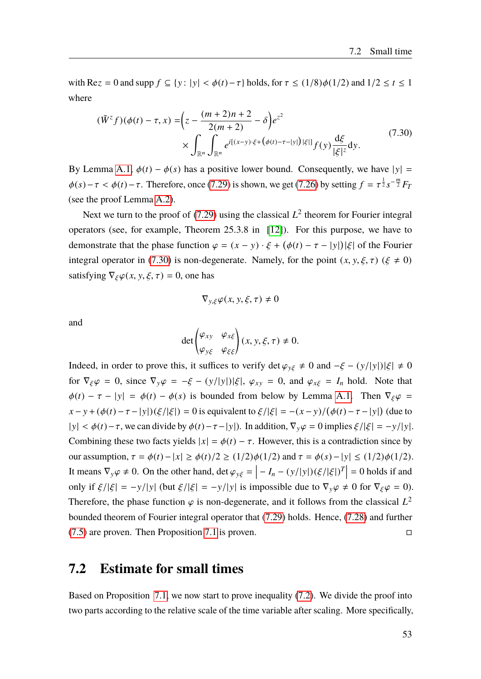with Re $z = 0$  and supp  $f \subseteq \{y : |y| < \phi(t) - \tau\}$  holds, for  $\tau \le (1/8)\phi(1/2)$  and  $1/2 \le t \le 1$ where

<span id="page-60-0"></span>
$$
(\tilde{W}^{z}f)(\phi(t) - \tau, x) = \left(z - \frac{(m+2)n + 2}{2(m+2)} - \delta\right) e^{z^{2}}
$$
  
 
$$
\times \int_{\mathbb{R}^{n}} \int_{\mathbb{R}^{n}} e^{i[(x-y)\cdot\xi + (\phi(t) - \tau - |y|)|\xi|]} f(y) \frac{d\xi}{|\xi|^{z}} dy.
$$
 (7.30)

By Lemma [A.1,](#page-82-0)  $\phi(t) - \phi(s)$  has a positive lower bound. Consequently, we have  $|y| =$  $\phi(s) - \tau < \phi(t) - \tau$ . Therefore, once [\(7.29\)](#page-59-3) is shown, we get [\(7.26\)](#page-59-1) by setting  $f = \tau^{\frac{1}{2}} s^{-\frac{m}{2}} F_T$ (see the proof Lemma [A.2\)](#page-83-0).

Next we turn to the proof of  $(7.29)$  using the classical  $L^2$  theorem for Fourier integral operators (see, for example, Theorem 25.3.8 in [\[12\]](#page-88-2)). For this purpose, we have to demonstrate that the phase function  $\varphi = (x - y) \cdot \xi + (\phi(t) - \tau - |y|)|\xi|$  of the Fourier integral operator in [\(7.30\)](#page-60-0) is non-degenerate. Namely, for the point  $(x, y, \xi, \tau)$  ( $\xi \neq 0$ ) satisfying  $\nabla_{\xi}\varphi(x, y, \xi, \tau) = 0$ , one has

$$
\nabla_{y,\xi}\varphi(x,y,\xi,\tau)\neq 0
$$

and

$$
\det\begin{pmatrix} \varphi_{xy} & \varphi_{x\xi} \\ \varphi_{y\xi} & \varphi_{\xi\xi} \end{pmatrix} (x, y, \xi, \tau) \neq 0.
$$

Indeed, in order to prove this, it suffices to verify det  $\varphi_{y\xi} \neq 0$  and  $-\xi - (y/|y|)|\xi| \neq 0$ for  $\nabla_{\xi} \varphi = 0$ , since  $\nabla_y \varphi = -\xi - (y/|y|) |\xi|$ ,  $\varphi_{xy} = 0$ , and  $\varphi_{x\xi} = I_n$  hold. Note that  $\phi(t) - \tau - |y| = \phi(t) - \phi(s)$  is bounded from below by Lemma [A.1.](#page-82-0) Then  $\nabla_{\xi} \varphi$  $(x - y + (\phi(t) - \tau - |y|)(\xi/|\xi|) = 0$  is equivalent to  $\xi/|\xi| = -(x - y)/(\phi(t) - \tau - |y|)$  (due to  $|y| < \phi(t) - \tau$ , we can divide by  $\phi(t) - \tau - |y|$ ). In addition,  $\nabla_y \varphi = 0$  implies  $\xi / |\xi| = -y/|y|$ . Combining these two facts yields  $|x| = \phi(t) - \tau$ . However, this is a contradiction since by our assumption,  $\tau = \phi(t) - |x| \ge \phi(t)/2 \ge (1/2)\phi(1/2)$  and  $\tau = \phi(s) - |y| \le (1/2)\phi(1/2)$ . It means  $\nabla_y \varphi \neq 0$ . On the other hand, det  $\varphi_{y\xi} = \left| -I_n - (y/|y|)(\xi/|\xi|) \right|$  $\left| \frac{T}{T} \right| = 0$  holds if and only if  $\xi/|\xi| = -y/|y|$  (but  $\xi/|\xi| = -y/|y|$  is impossible due to  $\nabla_y \varphi \neq 0$  for  $\nabla_\xi \varphi = 0$ ). Therefore, the phase function  $\varphi$  is non-degenerate, and it follows from the classical  $L^2$ bounded theorem of Fourier integral operator that [\(7.29\)](#page-59-3) holds. Hence, [\(7.28\)](#page-59-2) and further  $(7.5)$  are proven. Then Proposition [7.1](#page-54-4) is proven.

### **7.2 Estimate for small times**

Based on Proposition [7.1,](#page-54-4) we now start to prove inequality [\(7.2\)](#page-54-2). We divide the proof into two parts according to the relative scale of the time variable after scaling. More specifically,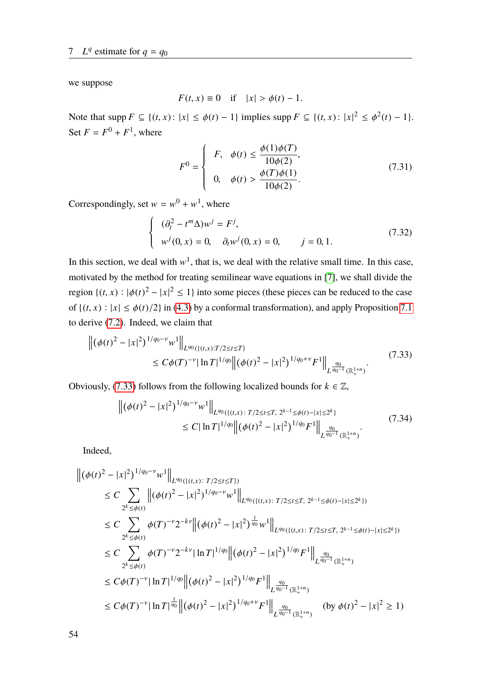we suppose

$$
F(t, x) \equiv 0 \quad \text{if} \quad |x| > \phi(t) - 1.
$$

Note that  $\text{supp } F \subseteq \{(t, x) : |x| \le \phi(t) - 1\}$  implies  $\text{supp } F \subseteq \{(t, x) : |x|^2 \le \phi^2(t) - 1\}.$ Set  $F = F^0 + F^1$ , where

<span id="page-61-3"></span>
$$
F^{0} = \begin{cases} F, & \phi(t) \le \frac{\phi(1)\phi(T)}{10\phi(2)}, \\ 0, & \phi(t) > \frac{\phi(T)\phi(1)}{10\phi(2)}. \end{cases}
$$
(7.31)

Correspondingly, set  $w = w^0 + w^1$ , where

<span id="page-61-2"></span>
$$
\begin{cases}\n(\partial_t^2 - t^m \Delta) w^j = F^j, \\
w^j(0, x) = 0, \quad \partial_t w^j(0, x) = 0, \quad j = 0, 1.\n\end{cases}
$$
\n(7.32)

In this section, we deal with  $w^1$ , that is, we deal with the relative small time. In this case, motivated by the method for treating semilinear wave equations in [\[7\]](#page-88-0), we shall divide the region  $\{(t, x) : |\phi(t)|^2 - |x|^2 \le 1\}$  into some pieces (these pieces can be reduced to the case of  $\{(t, x) : |x| \le \phi(t)/2\}$  in [\(4.3\)](#page-26-0) by a conformal transformation), and apply Proposition [7.1](#page-54-4) to derive [\(7.2\)](#page-54-2). Indeed, we claim that

<span id="page-61-0"></span>
$$
\left\| (\phi(t)^2 - |x|^2)^{1/q_0 - \nu} w^1 \right\|_{L^{q_0}(\{(t,x):T/2 \le t \le T\})} \le C\phi(T)^{-\nu} |\ln T|^{1/q_0} \left\| (\phi(t)^2 - |x|^2)^{1/q_0 + \nu} F^1 \right\|_{L^{\frac{q_0}{q_0 - 1}}(\mathbb{R}^{1+n}_+)}.
$$
\n(7.33)

<span id="page-61-1"></span>Obviously, [\(7.33\)](#page-61-0) follows from the following localized bounds for  $k \in \mathbb{Z}$ ,

$$
\left\| (\phi(t)^2 - |x|^2)^{1/q_0 - \nu} w^1 \right\|_{L^{q_0}(\{(t,x) : T/2 \le t \le T, 2^{k-1} \le \phi(t) - |x| \le 2^k)} \le C |\ln T|^{1/q_0} \left\| (\phi(t)^2 - |x|^2)^{1/q_0} F^1 \right\|_{L^{\frac{q_0}{q_0 - 1}}(\mathbb{R}^{1+n}_+)}.
$$
\n(7.34)

Indeed,

$$
\begin{split}\n&\left\| (\phi(t)^2 - |x|^2)^{1/q_0 - \nu} w^1 \right\|_{L^{q_0}(\{(t,x): T/2 \le t \le T\})} \\
&\le C \sum_{2^k \le \phi(t)} \left\| (\phi(t)^2 - |x|^2)^{1/q_0 - \nu} w^1 \right\|_{L^{q_0}(\{(t,x): T/2 \le t \le T, 2^{k-1} \le \phi(t) - |x| \le 2^k\})} \\
&\le C \sum_{2^k \le \phi(t)} \phi(T)^{-\nu} 2^{-k\nu} \left\| (\phi(t)^2 - |x|^2)^{\frac{1}{q_0}} w^1 \right\|_{L^{q_0}(\{(t,x): T/2 \le t \le T, 2^{k-1} \le \phi(t) - |x| \le 2^k\})} \\
&\le C \sum_{2^k \le \phi(t)} \phi(T)^{-\nu} 2^{-k\nu} |\ln T|^{1/q_0} \left\| (\phi(t)^2 - |x|^2)^{1/q_0} F^1 \right\|_{L^{\frac{q_0}{q_0 - 1}}(\mathbb{R}^{1+n}_+)} \\
&\le C\phi(T)^{-\nu} |\ln T|^{1/q_0} \left\| (\phi(t)^2 - |x|^2)^{1/q_0} F^1 \right\|_{L^{\frac{q_0}{q_0 - 1}}(\mathbb{R}^{1+n}_+)} \\
&\le C\phi(T)^{-\nu} |\ln T|^{\frac{1}{q_0}} \left\| (\phi(t)^2 - |x|^2)^{1/q_0 + \nu} F^1 \right\|_{L^{\frac{q_0}{q_0 - 1}}(\mathbb{R}^{1+n}_+)} (\text{by } \phi(t)^2 - |x|^2 \ge 1)\n\end{split}
$$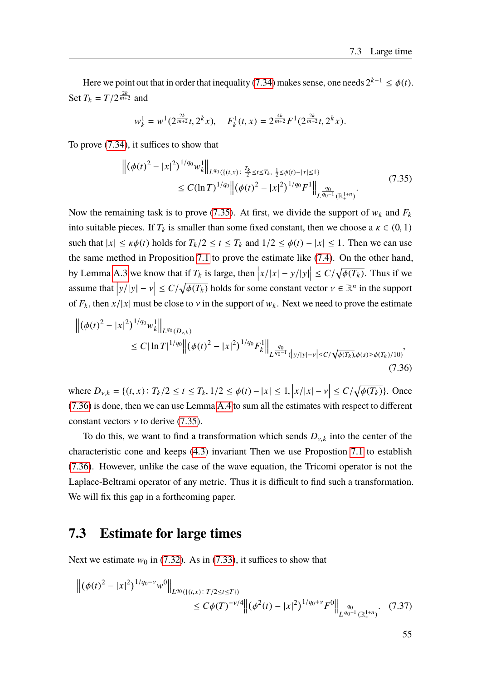Here we point out that in order that inequality [\(7.34\)](#page-61-1) makes sense, one needs  $2^{k-1} \le \phi(t)$ . Set  $T_k = T/2^{\frac{2k}{m+2}}$  and

$$
w_k^1 = w^1(2^{\frac{2k}{m+2}}t, 2^k x), \quad F_k^1(t, x) = 2^{\frac{4k}{m+2}} F^1(2^{\frac{2k}{m+2}}t, 2^k x).
$$

<span id="page-62-0"></span>To prove [\(7.34\)](#page-61-1), it suffices to show that

$$
\left\| (\phi(t)^2 - |x|^2)^{1/q_0} w_k^1 \right\|_{L^{q_0}(\{(t,x)\colon \frac{T_k}{2} \le t \le T_k, \ \frac{1}{2} \le \phi(t) - |x| \le 1)}} \le C(\ln T)^{1/q_0} \left\| (\phi(t)^2 - |x|^2)^{1/q_0} F^1 \right\|_{L^{\frac{q_0}{q_0 - 1}}(\mathbb{R}^{1+n}_+)}.
$$
\n(7.35)

Now the remaining task is to prove [\(7.35\)](#page-62-0). At first, we divide the support of  $w_k$  and  $F_k$ into suitable pieces. If  $T_k$  is smaller than some fixed constant, then we choose a  $\kappa \in (0, 1)$ such that  $|x| \le \kappa \phi(t)$  holds for  $T_k/2 \le t \le T_k$  and  $1/2 \le \phi(t) - |x| \le 1$ . Then we can use the same method in Proposition [7.1](#page-54-4) to prove the estimate like [\(7.4\)](#page-55-0). On the other hand, by Lemma [A.3](#page-84-0) we know that if  $T_k$  is large, then  $|x/|x| - y/|y|$  $\leq C/\sqrt{\phi(T_k)}$ . Thus if we assume that  $|y/|y| - v$  $\leq C/\sqrt{\phi(T_k)}$  holds for some constant vector  $v \in \mathbb{R}^n$  in the support of  $F_k$ , then  $x/|x|$  must be close to v in the support of  $w_k$ . Next we need to prove the estimate

<span id="page-62-1"></span>
$$
\left\| (\phi(t)^2 - |x|^2)^{1/q_0} w_k^1 \right\|_{L^{q_0}(D_{\nu,k})}
$$
  
\n
$$
\leq C |\ln T|^{1/q_0} \left\| (\phi(t)^2 - |x|^2)^{1/q_0} F_k^1 \right\|_{L^{\frac{q_0}{q_0 - 1}}(|y/|y| - \nu| \leq C/\sqrt{\phi(T_k)}, \phi(s) \geq \phi(T_k)/10)},
$$
\n(7.36)

where  $D_{v,k} = \{(t, x): T_k/2 \le t \le T_k, 1/2 \le \phi(t) - |x| \le 1,$  $\left|x/|x|-\nu\right|$  $\leq C/\sqrt{\phi(T_k)}$ . Once [\(7.36\)](#page-62-1) is done, then we can use Lemma [A.4](#page-84-1) to sum all the estimates with respect to different constant vectors  $\nu$  to derive [\(7.35\)](#page-62-0).

To do this, we want to find a transformation which sends  $D_{v,k}$  into the center of the characteristic cone and keeps [\(4.3\)](#page-26-0) invariant Then we use Propostion [7.1](#page-54-4) to establish [\(7.36\)](#page-62-1). However, unlike the case of the wave equation, the Tricomi operator is not the Laplace-Beltrami operator of any metric. Thus it is difficult to find such a transformation. We will fix this gap in a forthcoming paper.

# **7.3 Estimate for large times**

Next we estimate  $w_0$  in [\(7.32\)](#page-61-2). As in [\(7.33\)](#page-61-0), it suffices to show that

<span id="page-62-2"></span>
$$
\left\| \left( \phi(t)^2 - |x|^2 \right)^{1/q_0 - \nu} w^0 \right\|_{L^{q_0}(\{(t,x) : T/2 \le t \le T\})} \le C \phi(T)^{-\nu/4} \left\| \left( \phi^2(t) - |x|^2 \right)^{1/q_0 + \nu} F^0 \right\|_{L^{\frac{q_0}{q_0 - 1}}(\mathbb{R}^{1+n}_+)} (7.37)
$$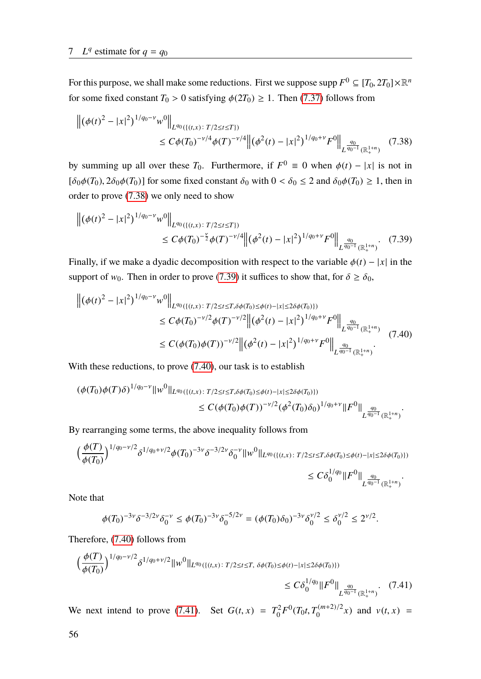For this purpose, we shall make some reductions. First we suppose supp  $F^0 \subseteq [T_0, 2T_0] \times \mathbb{R}^n$ for some fixed constant  $T_0 > 0$  satisfying  $\phi(2T_0) \geq 1$ . Then [\(7.37\)](#page-62-2) follows from

<span id="page-63-0"></span>
$$
\left\| \left( \phi(t)^2 - |x|^2 \right)^{1/q_0 - \nu} w^0 \right\|_{L^{q_0}(\{(t,x) : T/2 \le t \le T\})} \le C \phi(T_0)^{-\nu/4} \phi(T)^{-\nu/4} \left\| (\phi^2(t) - |x|^2)^{1/q_0 + \nu} F^0 \right\|_{L^{\frac{q_0}{q_0 - 1}}(\mathbb{R}^{1+n}_+)} (7.38)
$$

by summing up all over these  $T_0$ . Furthermore, if  $F^0 \equiv 0$  when  $\phi(t) - |x|$  is not in  $[\delta_0 \phi(T_0), 2\delta_0 \phi(T_0)]$  for some fixed constant  $\delta_0$  with  $0 < \delta_0 \le 2$  and  $\delta_0 \phi(T_0) \ge 1$ , then in order to prove [\(7.38\)](#page-63-0) we only need to show

<span id="page-63-1"></span>
$$
\left\| \left( \phi(t)^2 - |x|^2 \right)^{1/q_0 - \nu} w^0 \right\|_{L^{q_0}(\{(t,x) : T/2 \le t \le T\})} \le C \phi(T_0)^{-\frac{\nu}{2}} \phi(T)^{-\nu/4} \left\| \left( \phi^2(t) - |x|^2 \right)^{1/q_0 + \nu} F^0 \right\|_{L^{\frac{q_0}{q_0 - 1}}(\mathbb{R}^{1+n}_+)} (7.39)
$$

Finally, if we make a dyadic decomposition with respect to the variable  $\phi(t) - |x|$  in the support of  $w_0$ . Then in order to prove [\(7.39\)](#page-63-1) it suffices to show that, for  $\delta \ge \delta_0$ ,

<span id="page-63-2"></span>
$$
\begin{split} \left\| \left( \phi(t)^2 - |x|^2 \right)^{1/q_0 - \nu} w^0 \right\|_{L^{q_0}(\{(t,x): T/2 \le t \le T, \delta \phi(T_0) \le \phi(t) - |x| \le 2\delta \phi(T_0) \})} \\ &\le C\phi(T_0)^{-\nu/2} \phi(T)^{-\nu/2} \left\| \left( \phi^2(t) - |x|^2 \right)^{1/q_0 + \nu} F^0 \right\|_{L^{\frac{q_0}{q_0 - 1}}(\mathbb{R}^{1+n}_+)} \\ &\le C(\phi(T_0)\phi(T))^{-\nu/2} \left\| \left( \phi^2(t) - |x|^2 \right)^{1/q_0 + \nu} F^0 \right\|_{L^{\frac{q_0}{q_0 - 1}}(\mathbb{R}^{1+n}_+)} . \end{split} \tag{7.40}
$$

With these reductions, to prove [\(7.40\)](#page-63-2), our task is to establish

$$
\begin{split} (\phi(T_0)\phi(T)\delta)^{1/q_0-\nu} \|w^0\|_{L^{q_0}(\{(t,x)\colon T/2\leq t\leq T,\delta\phi(T_0)\leq\phi(t)-|x|\leq 2\delta\phi(T_0)\})} \\ &\leq C(\phi(T_0)\phi(T))^{-\nu/2}(\phi^2(T_0)\delta_0)^{1/q_0+\nu} \|F^0\|_{L^{\frac{q_0}{q_0-1}}(\mathbb{R}^{1+n}_+)}.\end{split}
$$

By rearranging some terms, the above inequality follows from

$$
\left(\frac{\phi(T)}{\phi(T_0)}\right)^{1/q_0-\nu/2} \delta^{1/q_0+\nu/2} \phi(T_0)^{-3\nu} \delta^{-3/2\nu} \delta_0^{-\nu} \|w^0\|_{L^{q_0}(\{(t,x)\,:\,T/2\leq t\leq T, \delta\phi(T_0)\leq \phi(t)-|x|\leq 2\delta\phi(T_0)\})}\n\leq C \delta_0^{1/q_0} \|F^0\|_{L^{\frac{q_0}{q_0-1}}(\mathbb{R}^{1+n}_+)}.
$$

Note that

<span id="page-63-3"></span>
$$
\phi(T_0)^{-3\nu} \delta^{-3/2\nu} \delta_0^{-\nu} \le \phi(T_0)^{-3\nu} \delta_0^{-5/2\nu} = (\phi(T_0) \delta_0)^{-3\nu} \delta_0^{\nu/2} \le \delta_0^{\nu/2} \le 2^{\nu/2}.
$$

Therefore, [\(7.40\)](#page-63-2) follows from

$$
\left(\frac{\phi(T)}{\phi(T_0)}\right)^{1/q_0-\nu/2} \delta^{1/q_0+\nu/2} \|w^0\|_{L^{q_0}(\{(t,x)\colon T/2\leq t\leq T,\ \delta\phi(T_0)\leq\phi(t)-|x|\leq2\delta\phi(T_0)\})}\n\leq C \delta_0^{1/q_0} \|F^0\|_{L^{\frac{q_0}{q_0-1}}(\mathbb{R}^{1+n}_+)}.\tag{7.41}
$$

We next intend to prove [\(7.41\)](#page-63-3). Set  $G(t, x) = T_0^2$  $\int_0^2 F^0(T_0 t, T_0^{(m+2)/2}x)$  and  $v(t, x) =$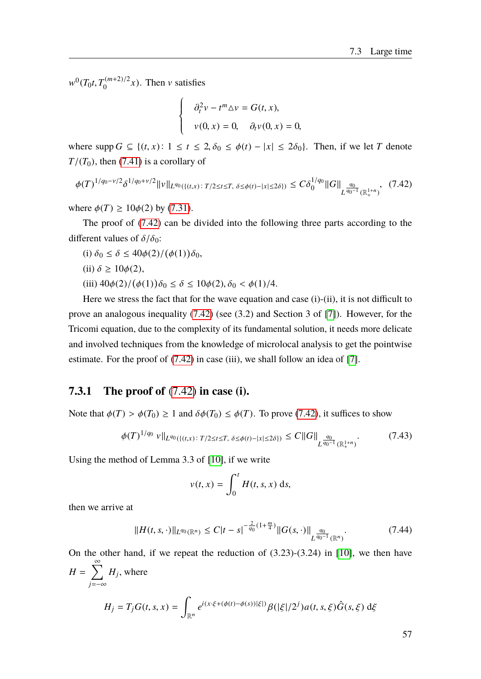$w^0(T_0t, T_0^{(m+2)/2}x)$ . Then v satisfies

$$
\partial_t^2 v - t^m \Delta v = G(t, x),
$$
  

$$
v(0, x) = 0, \quad \partial_t v(0, x) = 0,
$$

where  $\text{supp } G \subseteq \{(t, x): 1 \le t \le 2, \delta_0 \le \phi(t) - |x| \le 2\delta_0\}.$  Then, if we let *T* denote  $T/(T_0)$ , then [\(7.41\)](#page-63-3) is a corollary of

<span id="page-64-0"></span>
$$
\phi(T)^{1/q_0-\nu/2}\delta^{1/q_0+\nu/2}||\nu||_{L^{q_0}(\{(t,x)\colon T/2\leq t\leq T,\ \delta\leq\phi(t)-|x|\leq2\delta\})}\leq C\delta_0^{1/q_0}||G||_{L^{\frac{q_0}{q_0-1}}(\mathbb{R}^{1+n}_+)},\tag{7.42}
$$

where  $\phi(T) \ge 10\phi(2)$  by [\(7.31\)](#page-61-3).

The proof of [\(7.42\)](#page-64-0) can be divided into the following three parts according to the different values of  $\delta/\delta_0$ :

(i) 
$$
\delta_0 \leq \delta \leq 40\phi(2)/(\phi(1))\delta_0
$$
,

(ii)  $\delta \ge 10\phi(2)$ ,

(iii)  $40\phi(2)/(\phi(1))\delta_0 \le \delta \le 10\phi(2), \delta_0 < \phi(1)/4.$ 

 $\sqrt{\frac{1}{2}}$ J Í  $\overline{\mathcal{L}}$ 

Here we stress the fact that for the wave equation and case (i)-(ii), it is not difficult to prove an analogous inequality [\(7.42\)](#page-64-0) (see (3.2) and Section 3 of [\[7\]](#page-88-0)). However, for the Tricomi equation, due to the complexity of its fundamental solution, it needs more delicate and involved techniques from the knowledge of microlocal analysis to get the pointwise estimate. For the proof of  $(7.42)$  in case (iii), we shall follow an idea of [\[7\]](#page-88-0).

#### **7.3.1 The proof of** [\(7.42\)](#page-64-0) **in case (i).**

Note that  $\phi(T) > \phi(T_0) \ge 1$  and  $\delta\phi(T_0) \le \phi(T)$ . To prove [\(7.42\)](#page-64-0), it suffices to show

<span id="page-64-2"></span>
$$
\phi(T)^{1/q_0} \nu \|_{L^{q_0}(\{(t,x)\colon T/2 \le t \le T, \ \delta \le \phi(t) - |x| \le 2\delta\})} \le C \|G\|_{L^{\frac{q_0}{q_0 - 1}}(\mathbb{R}^{1+n}_+)}.
$$
\n(7.43)

Using the method of Lemma 3.3 of [\[10\]](#page-88-1), if we write

$$
v(t,x) = \int_0^t H(t,s,x) \, ds,
$$

then we arrive at

<span id="page-64-1"></span>
$$
||H(t,s,\cdot)||_{L^{q_0}(\mathbb{R}^n)} \leq C|t-s|^{-\frac{2}{q_0}(1+\frac{m}{4})}||G(s,\cdot)||_{L^{\frac{q_0}{q_0-1}}(\mathbb{R}^n)}.
$$
\n(7.44)

On the other hand, if we repeat the reduction of (3.23)-(3.24) in [\[10\]](#page-88-1), we then have  $H = \sum_{n=1}^{\infty}$ *j*=−∞  $H_j$ , where  $H_j = T_j G(t, s, x) =$ Z  $e^{i(x \cdot \xi + (\phi(t) - \phi(s))|\xi|)} \beta(|\xi|/2^j) a(t, s, \xi) \hat{G}(s, \xi) d\xi$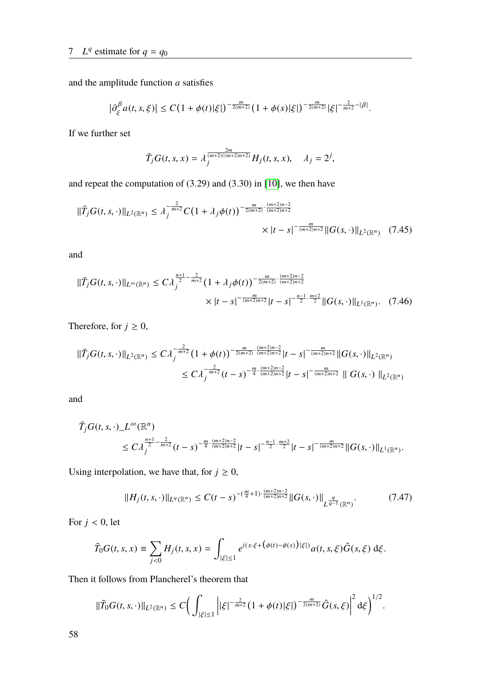and the amplitude function *a* satisfies

$$
\left|\partial_{\xi}^{\beta} a(t,s,\xi)\right| \leq C\big(1+\phi(t)|\xi|\big)^{-\frac{m}{2(m+2)}}\big(1+\phi(s)|\xi|\big)^{-\frac{m}{2(m+2)}}|\xi|^{-\frac{2}{m+2}-|\beta|}.
$$

If we further set

$$
\bar{T}_j G(t, s, x) = \lambda_j^{\frac{2m}{(m+2)((m+2)n+2)}} H_j(t, s, x), \quad \lambda_j = 2^j,
$$

and repeat the computation of (3.29) and (3.30) in [\[10\]](#page-88-1), we then have

$$
\|\bar{T}_{j}G(t,s,\cdot)\|_{L^{2}(\mathbb{R}^{n})} \leq \lambda_{j}^{-\frac{2}{m+2}} C \big(1+\lambda_{j}\phi(t)\big)^{-\frac{m}{2(m+2)}\cdot\frac{(m+2)n-2}{(m+2)n+2}} \times |t-s|^{-\frac{m}{(m+2)n+2}} \|G(s,\cdot)\|_{L^{2}(\mathbb{R}^{n})}
$$
(7.45)

and

$$
\|\bar{T}_{j}G(t,s,\cdot)\|_{L^{\infty}(\mathbb{R}^{n})} \leq C\lambda_{j}^{\frac{n+1}{2} - \frac{2}{m+2}} \left(1 + \lambda_{j}\phi(t)\right)^{-\frac{m}{2(m+2)}\cdot\frac{(m+2)n-2}{(m+2)n+2}} \times |t-s|^{-\frac{m}{(m+2)n+2}}|t-s|^{-\frac{n-1}{2}\cdot\frac{m+2}{2}} \|G(s,\cdot)\|_{L^{1}(\mathbb{R}^{n})}. \tag{7.46}
$$

Therefore, for  $j \geq 0$ ,

$$
\|\bar{T}_{j}G(t,s,\cdot)\|_{L^{2}(\mathbb{R}^{n})} \leq C\lambda_{j}^{-\frac{2}{m+2}}(1+\phi(t))^{-\frac{m}{2(m+2)}\cdot\frac{(m+2)n-2}{(m+2)n+2}}|t-s|^{-\frac{m}{(m+2)n+2}}\|G(s,\cdot)\|_{L^{2}(\mathbb{R}^{n})}
$$
  

$$
\leq C\lambda_{j}^{-\frac{2}{m+2}}(t-s)^{-\frac{m}{4}\cdot\frac{(m+2)n-2}{(m+2)n+2}}|t-s|^{-\frac{m}{(m+2)n+2}}\|G(s,\cdot)\|_{L^{2}(\mathbb{R}^{n})}
$$

and

$$
\overline{T}_{j}G(t,s,\cdot)\_{L^{\infty}(\mathbb{R}^{n})}\n\leq C\lambda_{j}^{\frac{n+1}{2}-\frac{2}{m+2}}(t-s)^{-\frac{m}{4}\cdot\frac{(m+2)n-2}{(m+2)n+2}}|t-s|^{-\frac{n-1}{2}\cdot\frac{m+2}{2}}|t-s|^{-\frac{m}{(m+2)n+2}}\|G(s,\cdot)\|_{L^{1}(\mathbb{R}^{n})}.
$$

Using interpolation, we have that, for  $j \geq 0$ ,

<span id="page-65-0"></span>
$$
||H_j(t,s,\cdot)||_{L^q(\mathbb{R}^n)} \le C(t-s)^{-(\frac{m}{4}+1)\cdot\frac{(m+2)n-2}{(m+2)n+2}}||G(s,\cdot)||_{L^{\frac{q}{q-1}}(\mathbb{R}^n)}.\tag{7.47}
$$

For  $j < 0$ , let

$$
\tilde{T}_0 G(t,s,x) \equiv \sum_{j<0} H_j(t,s,x) = \int_{|\xi| \le 1} e^{i(x \cdot \xi + (\phi(t) - \phi(s))|\xi|)} a(t,s,\xi) \hat{G}(s,\xi) \,d\xi.
$$

Then it follows from Plancherel's theorem that

$$
\|\tilde{T}_0G(t,s,\cdot)\|_{L^2(\mathbb{R}^n)} \leq C \bigg(\int_{|\xi|\leq 1} \bigg| |\xi|^{-\frac{2}{m+2}} \big(1+\phi(t)|\xi|\big)^{-\frac{m}{2(m+2)}} \hat{G}(s,\xi)\bigg|^2 \,\mathrm{d}\xi\bigg)^{1/2}.
$$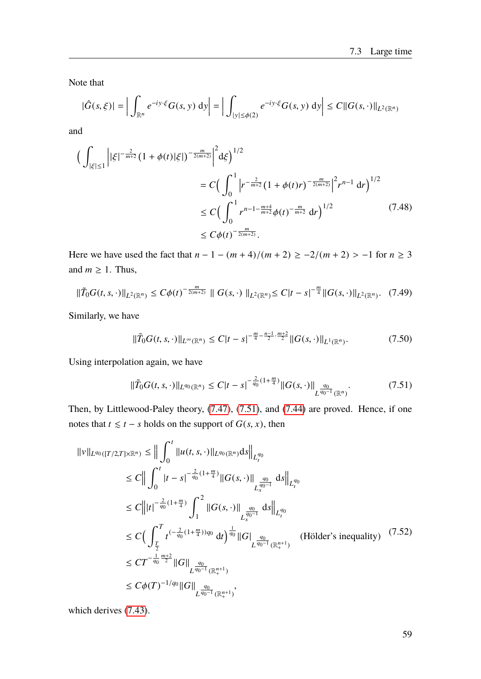Note that

$$
|\hat{G}(s,\xi)| = \left| \int_{\mathbb{R}^n} e^{-iy\cdot\xi} G(s,y) \, dy \right| = \left| \int_{|y| \le \phi(2)} e^{-iy\cdot\xi} G(s,y) \, dy \right| \le C ||G(s,\cdot)||_{L^2(\mathbb{R}^n)}
$$

and

$$
\begin{split} \Big( \int_{|\xi| \le 1} \left| |\xi|^{-\frac{2}{m+2}} \left( 1 + \phi(t) |\xi| \right)^{-\frac{m}{2(m+2)}} \right|^2 \mathrm{d}\xi \Big)^{1/2} \\ &= C \Big( \int_0^1 \left| r^{-\frac{2}{m+2}} \left( 1 + \phi(t) r \right)^{-\frac{m}{2(m+2)}} \right|^2 r^{n-1} \, \mathrm{d}r \Big)^{1/2} \\ &\le C \Big( \int_0^1 r^{n-1 - \frac{m+4}{m+2}} \phi(t)^{-\frac{m}{m+2}} \, \mathrm{d}r \Big)^{1/2} \\ &\le C \phi(t)^{-\frac{m}{2(m+2)}}. \end{split} \tag{7.48}
$$

Here we have used the fact that  $n - 1 - (m + 4)/(m + 2) \ge -2/(m + 2) > -1$  for  $n \ge 3$ and  $m \geq 1$ . Thus,

$$
\|\tilde{T}_0G(t,s,\cdot)\|_{L^2(\mathbb{R}^n)} \leq C\phi(t)^{-\frac{m}{2(m+2)}} \|\ G(s,\cdot)\|_{L^2(\mathbb{R}^n)} \leq C|t-s|^{-\frac{m}{4}} \|G(s,\cdot)\|_{L^2(\mathbb{R}^n)}. \tag{7.49}
$$

Similarly, we have

$$
\|\tilde{T}_0G(t,s,\cdot)\|_{L^{\infty}(\mathbb{R}^n)} \leq C|t-s|^{-\frac{m}{4}-\frac{n-1}{2}\cdot\frac{m+2}{2}}\|G(s,\cdot)\|_{L^1(\mathbb{R}^n)}.\tag{7.50}
$$

Using interpolation again, we have

<span id="page-66-0"></span>
$$
\|\tilde{T}_0 G(t,s,\cdot)\|_{L^{q_0}(\mathbb{R}^n)} \le C|t-s|^{-\frac{2}{q_0}(1+\frac{m}{4})} \|G(s,\cdot)\|_{L^{\frac{q_0}{q_0-1}}(\mathbb{R}^n)}.
$$
\n(7.51)

Then, by Littlewood-Paley theory, [\(7.47\)](#page-65-0), [\(7.51\)](#page-66-0), and [\(7.44\)](#page-64-1) are proved. Hence, if one notes that  $t \leq t - s$  holds on the support of  $G(s, x)$ , then

$$
||v||_{L^{q_0}([T/2,T]\times\mathbb{R}^n)} \le ||\int_0^t ||u(t,s,\cdot)||_{L^{q_0}(\mathbb{R}^n)} ds||_{L_t^{q_0}}
$$
  
\n
$$
\le C||\int_0^t |t-s|^{-\frac{2}{q_0}(1+\frac{m}{4})} ||G(s,\cdot)||_{L_x^{q_0}} ds||_{L_t^{q_0}}
$$
  
\n
$$
\le C||t|^{-\frac{2}{q_0}(1+\frac{m}{4})} \int_1^2 ||G(s,\cdot)||_{L_x^{q_0}} ds||_{L_t^{q_0}}
$$
  
\n
$$
\le C\Big(\int_T^T t^{(-\frac{2}{q_0}(1+\frac{m}{4}))q_0} dt\Big)^{\frac{1}{q_0}} ||G|_{L_x^{q_0}}
$$
  
\n
$$
\le C\Big(\int_T^T t^{(-\frac{2}{q_0}(1+\frac{m}{4}))q_0} dt\Big)^{\frac{1}{q_0}} ||G|_{L_x^{q_0-1}(\mathbb{R}^{n+1}_+)} \qquad \text{(Hölder's inequality)} \qquad (7.52)
$$
  
\n
$$
\le C T^{-\frac{1}{q_0}\frac{m+2}{2}} ||G||_{L_x^{q_0-1}(\mathbb{R}^{n+1}_+)} \le C\phi(T)^{-1/q_0} ||G||_{L_x^{q_0-1}(\mathbb{R}^{n+1}_+)}.
$$

which derives [\(7.43\)](#page-64-2).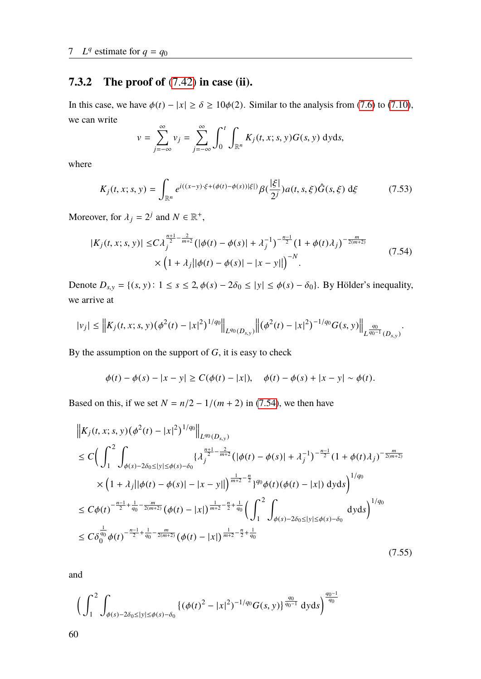### **7.3.2 The proof of** [\(7.42\)](#page-64-0) **in case (ii).**

In this case, we have  $\phi(t) - |x| \ge \delta \ge 10\phi(2)$ . Similar to the analysis from [\(7.6\)](#page-55-3) to [\(7.10\)](#page-56-1), we can write

$$
v = \sum_{j=-\infty}^{\infty} v_j = \sum_{j=-\infty}^{\infty} \int_0^t \int_{\mathbb{R}^n} K_j(t, x; s, y) G(s, y) \, dyds,
$$

where

$$
K_j(t, x; s, y) = \int_{\mathbb{R}^n} e^{i((x-y)\cdot \xi + (\phi(t) - \phi(s))|\xi|)} \beta(\frac{|\xi|}{2^j}) a(t, s, \xi) \hat{G}(s, \xi) d\xi \tag{7.53}
$$

Moreover, for  $\lambda_j = 2^j$  and  $N \in \mathbb{R}^+$ ,

<span id="page-67-0"></span>
$$
|K_j(t, x; s, y)| \le C \lambda_j^{\frac{n+1}{2} - \frac{2}{m+2}} \left( |\phi(t) - \phi(s)| + \lambda_j^{-1} \right)^{-\frac{n-1}{2}} \left( 1 + \phi(t) \lambda_j \right)^{-\frac{m}{2(m+2)}} \times \left( 1 + \lambda_j ||\phi(t) - \phi(s)| - |x - y|| \right)^{-N}.
$$
\n(7.54)

Denote  $D_{s,y} = \{(s, y): 1 \le s \le 2, \phi(s) - 2\delta_0 \le |y| \le \phi(s) - \delta_0\}$ . By Hölder's inequality, we arrive at

$$
|v_j| \leq \left\|K_j(t,x;s,y)\big(\phi^2(t)-|x|^2\big)^{1/q_0}\right\|_{L^{q_0}(D_{s,y})}\left\| \big(\phi^2(t)-|x|^2\big)^{-1/q_0}G(s,y)\right\|_{L^{\frac{q_0}{q_0-1}}(D_{s,y})}.
$$

By the assumption on the support of *G*, it is easy to check

$$
\phi(t) - \phi(s) - |x - y| \ge C(\phi(t) - |x|), \quad \phi(t) - \phi(s) + |x - y| \sim \phi(t).
$$

Based on this, if we set  $N = n/2 - 1/(m + 2)$  in [\(7.54\)](#page-67-0), we then have

$$
\|K_j(t, x; s, y)(\phi^2(t) - |x|^2)^{1/q_0}\|_{L^{q_0}(D_{s,y})}
$$
\n
$$
\leq C \Big( \int_1^2 \int_{\phi(s) - 2\delta_0 \leq |y| \leq \phi(s) - \delta_0} \{\lambda_j^{\frac{n+1}{2} - \frac{2}{m+2}} (|\phi(t) - \phi(s)| + \lambda_j^{-1})^{-\frac{n-1}{2}} (1 + \phi(t)\lambda_j)^{-\frac{m}{2(m+2)}} \times (1 + \lambda_j ||\phi(t) - \phi(s)| - |x - y||)^{\frac{1}{m+2} - \frac{n}{2}} \}^{q_0} \phi(t)(\phi(t) - |x|) \,dyds \Big)^{1/q_0}
$$
\n
$$
\leq C\phi(t)^{-\frac{n-1}{2} + \frac{1}{q_0} - \frac{m}{2(m+2)}} (\phi(t) - |x|)^{\frac{1}{m+2} - \frac{n}{2} + \frac{1}{q_0}} \Big( \int_1^2 \int_{\phi(s) - 2\delta_0 \leq |y| \leq \phi(s) - \delta_0} \,dyds \Big)^{1/q_0}
$$
\n
$$
\leq C\delta_0^{\frac{1}{q_0}} \phi(t)^{-\frac{n-1}{2} + \frac{1}{q_0} - \frac{m}{2(m+2)}} (\phi(t) - |x|)^{\frac{1}{m+2} - \frac{n}{2} + \frac{1}{q_0}}
$$
\n(7.55)

and

<span id="page-67-1"></span>
$$
\bigg(\int_{1}^{2}\int_{\phi(s)-2\delta_{0}\leq |y|\leq \phi(s)-\delta_{0}} \left\{(\phi(t)^{2}-|x|^{2})^{-1/q_{0}}G(s,y)\right\}^{\frac{q_{0}}{q_{0}-1}}dyds\bigg)^{\frac{q_{0}-1}{q_{0}}}
$$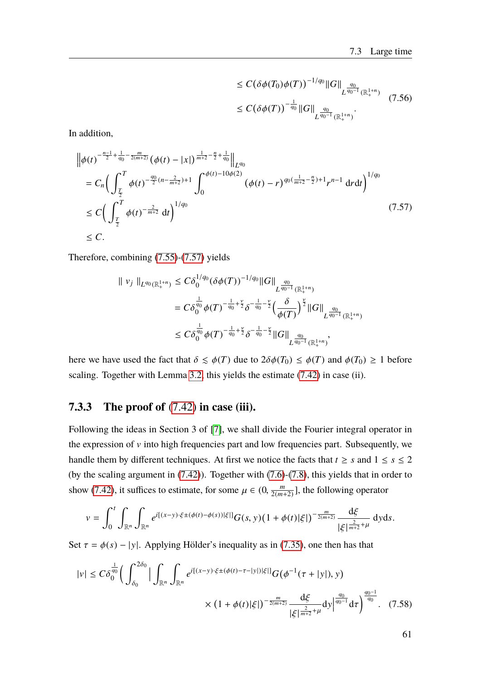<span id="page-68-0"></span>
$$
\leq C \big(\delta \phi(T_0) \phi(T)\big)^{-1/q_0} \|G\|_{L^{\frac{q_0}{q_0-1}}(\mathbb{R}^{1+n}_+)} \leq C \big(\delta \phi(T)\big)^{-\frac{1}{q_0}} \|G\|_{L^{\frac{q_0}{q_0-1}}(\mathbb{R}^{1+n}_+)}.
$$
\n(7.56)

In addition,

$$
\|\phi(t)^{-\frac{n-1}{2}+\frac{1}{q_0}-\frac{m}{2(m+2)}}(\phi(t)-|x|)^{\frac{1}{m+2}-\frac{n}{2}+\frac{1}{q_0}}\|_{L^{q_0}}
$$
\n
$$
= C_n \Big(\int_{\frac{T}{2}}^T \phi(t)^{-\frac{q_0}{2}(n-\frac{2}{m+2})+1} \int_0^{\phi(t)-10\phi(2)} (\phi(t)-r)^{q_0(\frac{1}{m+2}-\frac{n}{2})+1} r^{n-1} dr dt \Big)^{1/q_0}
$$
\n
$$
\leq C \Big(\int_{\frac{T}{2}}^T \phi(t)^{-\frac{2}{m+2}} dt \Big)^{1/q_0} \tag{7.57}
$$
\n
$$
\leq C.
$$

Therefore, combining [\(7.55\)](#page-67-1)-[\(7.57\)](#page-68-0) yields

$$
\| v_j \|_{L^{q_0}(\mathbb{R}^{1+n}_+)} \leq C \delta_0^{1/q_0} (\delta \phi(T))^{-1/q_0} \|G\|_{L^{\frac{q_0}{q_0-1}}(\mathbb{R}^{1+n}_+)} \n= C \delta_0^{\frac{1}{q_0}} \phi(T)^{-\frac{1}{q_0} + \frac{\gamma}{2}} \delta^{-\frac{1}{q_0} - \frac{\gamma}{2}} \Big(\frac{\delta}{\phi(T)}\Big)^{\frac{\gamma}{2}} \|G\|_{L^{\frac{q_0}{q_0-1}}(\mathbb{R}^{1+n}_+)} \n\leq C \delta_0^{\frac{1}{q_0}} \phi(T)^{-\frac{1}{q_0} + \frac{\gamma}{2}} \delta^{-\frac{1}{q_0} - \frac{\gamma}{2}} \|G\|_{L^{\frac{q_0}{q_0-1}}(\mathbb{R}^{1+n}_+)}.
$$

here we have used the fact that  $\delta \leq \phi(T)$  due to  $2\delta\phi(T_0) \leq \phi(T)$  and  $\phi(T_0) \geq 1$  before scaling. Together with Lemma [3.2,](#page-22-0) this yields the estimate [\(7.42\)](#page-64-0) in case (ii).

#### **7.3.3 The proof of** [\(7.42\)](#page-64-0) **in case (iii).**

Following the ideas in Section 3 of [\[7\]](#page-88-0), we shall divide the Fourier integral operator in the expression of  $v$  into high frequencies part and low frequencies part. Subsequently, we handle them by different techniques. At first we notice the facts that  $t \geq s$  and  $1 \leq s \leq 2$ (by the scaling argument in [\(7.42\)](#page-64-0)). Together with [\(7.6\)](#page-55-3)-[\(7.8\)](#page-55-4), this yields that in order to show [\(7.42\)](#page-64-0), it suffices to estimate, for some  $\mu \in (0, \frac{m}{2(m-1)}$  $\frac{m}{2(m+2)}$ ], the following operator

$$
v = \int_0^t \int_{\mathbb{R}^n} \int_{\mathbb{R}^n} e^{i[(x-y)\cdot \xi \pm (\phi(t) - \phi(s))|\xi|]} G(s, y) (1 + \phi(t)|\xi|)^{-\frac{m}{2(m+2)}} \frac{d\xi}{|\xi|^{\frac{2}{m+2} + \mu}} dy ds.
$$

Set  $\tau = \phi(s) - |y|$ . Applying Hölder's inequality as in [\(7.35\)](#page-62-0), one then has that

<span id="page-68-1"></span>
$$
|v| \leq C\delta_0^{\frac{1}{q_0}} \Big( \int_{\delta_0}^{2\delta_0} \Big| \int_{\mathbb{R}^n} \int_{\mathbb{R}^n} e^{i[(x-y)\cdot \xi \pm (\phi(t) - \tau - |y|)|\xi|]} G(\phi^{-1}(\tau + |y|), y) \times (1 + \phi(t)|\xi|)^{-\frac{m}{2(m+2)}} \frac{d\xi}{|\xi|^{\frac{2}{m+2} + \mu}} dy \Big|^{\frac{q_0}{q_0 - 1}} d\tau \Big)^{\frac{q_0 - 1}{q_0}}. \tag{7.58}
$$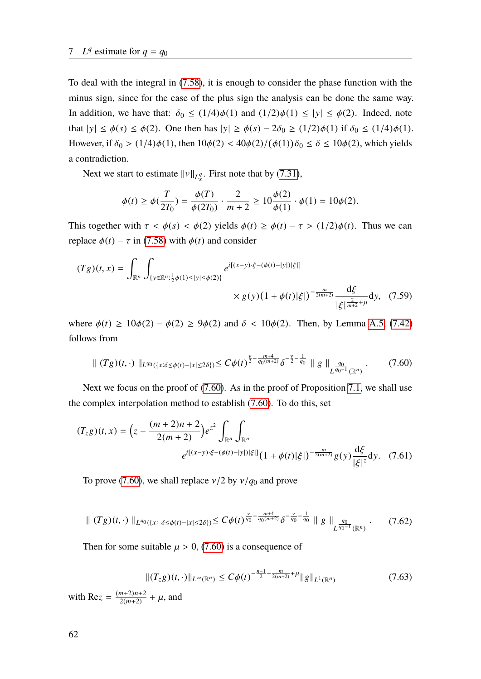To deal with the integral in [\(7.58\)](#page-68-1), it is enough to consider the phase function with the minus sign, since for the case of the plus sign the analysis can be done the same way. In addition, we have that:  $\delta_0 \leq (1/4)\phi(1)$  and  $(1/2)\phi(1) \leq |y| \leq \phi(2)$ . Indeed, note that  $|y| \le \phi(s) \le \phi(2)$ . One then has  $|y| \ge \phi(s) - 2\delta_0 \ge (1/2)\phi(1)$  if  $\delta_0 \le (1/4)\phi(1)$ . However, if  $\delta_0 > (1/4)\phi(1)$ , then  $10\phi(2) < 40\phi(2)/(\phi(1))\delta_0 \le \delta \le 10\phi(2)$ , which yields a contradiction.

Next we start to estimate  $||v||_{L_x^q}$ . First note that by [\(7.31\)](#page-61-3),

$$
\phi(t) \ge \phi(\frac{T}{2T_0}) = \frac{\phi(T)}{\phi(2T_0)} \cdot \frac{2}{m+2} \ge 10 \frac{\phi(2)}{\phi(1)} \cdot \phi(1) = 10\phi(2).
$$

This together with  $\tau < \phi(s) < \phi(2)$  yields  $\phi(t) \geq \phi(t) - \tau > (1/2)\phi(t)$ . Thus we can replace  $\phi(t) - \tau$  in [\(7.58\)](#page-68-1) with  $\phi(t)$  and consider

$$
(Tg)(t,x) = \int_{\mathbb{R}^n} \int_{\{y \in \mathbb{R}^n : \frac{1}{2}\phi(1) \le |y| \le \phi(2)\}} e^{i[(x-y)\cdot\xi - (\phi(t) - |y|)|\xi|]} \times g(y)(1 + \phi(t)|\xi|)^{-\frac{m}{2(m+2)}} \frac{d\xi}{|\xi|^{\frac{2}{m+2} + \mu}} dy, \quad (7.59)
$$

where  $\phi(t) \ge 10\phi(2) - \phi(2) \ge 9\phi(2)$  and  $\delta < 10\phi(2)$ . Then, by Lemma [A.5,](#page-84-2) [\(7.42\)](#page-64-0) follows from

<span id="page-69-0"></span>
$$
\| (Tg)(t, \cdot) \|_{L^{q_0}(\{x:\delta \le \phi(t) - |x| \le 2\delta\})} \le C\phi(t)^{\frac{\nu}{2} - \frac{m+4}{q_0(m+2)}} \delta^{-\frac{\nu}{2} - \frac{1}{q_0}} \| g \|_{L^{\frac{q_0}{q_0 - 1}}(\mathbb{R}^n)} \,. \tag{7.60}
$$

Next we focus on the proof of [\(7.60\)](#page-69-0). As in the proof of Proposition [7.1,](#page-54-4) we shall use the complex interpolation method to establish [\(7.60\)](#page-69-0). To do this, set

$$
(T_{z}g)(t,x) = \left(z - \frac{(m+2)n+2}{2(m+2)}\right)e^{z^2} \int_{\mathbb{R}^n} \int_{\mathbb{R}^n} \int_{\mathbb{R}^n} dx
$$

$$
e^{i[(x-y)\cdot\xi - (\phi(t) - |y|)|\xi|]} \left(1 + \phi(t)|\xi|\right)^{-\frac{m}{2(m+2)}} g(y) \frac{d\xi}{|\xi|^z} dy. \quad (7.61)
$$

To prove [\(7.60\)](#page-69-0), we shall replace  $v/2$  by  $v/q_0$  and prove

<span id="page-69-2"></span>
$$
\| (Tg)(t,\cdot) \|_{L^{q_0}(\{x\colon \delta \le \phi(t) - |x| \le 2\delta\})} \le C\phi(t)^{\frac{\nu}{q_0} - \frac{m+4}{q_0(m+2)}} \delta^{-\frac{\nu}{q_0} - \frac{1}{q_0}} \| g \|_{L^{\frac{q_0}{q_0 - 1}}(\mathbb{R}^n)} \,. \tag{7.62}
$$

Then for some suitable  $\mu > 0$ , [\(7.60\)](#page-69-0) is a consequence of

<span id="page-69-1"></span>
$$
||(T_{z}g)(t,\cdot)||_{L^{\infty}(\mathbb{R}^{n})} \leq C\phi(t)^{-\frac{n-1}{2}-\frac{m}{2(m+2)}+\mu}||g||_{L^{1}(\mathbb{R}^{n})}
$$
(7.63)

with Re*z* =  $\frac{(m+2)n+2}{2(m+2)}$  $\frac{m+2}{2(m+2)}$  +  $\mu$ , and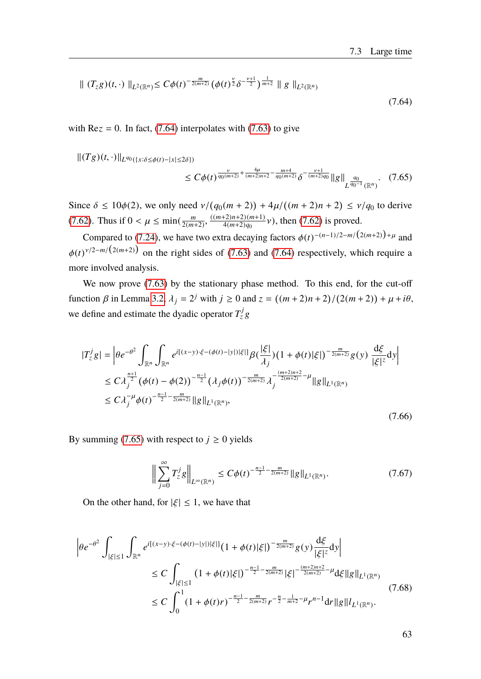$$
\| (T_z g)(t, \cdot) \|_{L^2(\mathbb{R}^n)} \le C\phi(t)^{-\frac{m}{2(m+2)}} \left(\phi(t)^{\frac{\nu}{2}} \delta^{-\frac{\nu+1}{2}}\right)^{\frac{1}{m+2}} \| g \|_{L^2(\mathbb{R}^n)}
$$
\n(7.64)

with  $\text{Re} z = 0$ . In fact, [\(7.64\)](#page-70-0) interpolates with [\(7.63\)](#page-69-1) to give

 $||(Tg)(t, ⋅)||_{L^{q_0}({x:\delta ≤ \phi(t) - |x| ≤ 2\delta})}$ 

<span id="page-70-1"></span><span id="page-70-0"></span>
$$
\leq C\phi(t)^{\frac{\nu}{q_0(m+2)}+\frac{4\mu}{(m+2)n+2}-\frac{m+4}{q_0(m+2)}}\delta^{-\frac{\nu+1}{(m+2)q_0}}\|g\|_{L^{\frac{q_0}{q_0-1}}(\mathbb{R}^n)}.\tag{7.65}
$$

Since  $\delta \le 10\phi(2)$ , we only need  $\nu/(q_0(m+2)) + 4\mu/((m+2)n+2) \le \nu/q_0$  to derive [\(7.62\)](#page-69-2). Thus if  $0 < \mu \le \min(\frac{m}{2(m - 1)})$ 2(*m*+2)  $\overline{a}$ ((*m*+2)*n*+2)(*m*+1)  $\frac{4^{(2)}(m+2)(m+1)}{4(m+2)q_0}$  v), then [\(7.62\)](#page-69-2) is proved.

Compared to [\(7.24\)](#page-58-3), we have two extra decaying factors  $\phi(t)^{-(n-1)/2-m/(2(m+2))+\mu}$  and  $\phi(t)^{\nu/2-m/(2(m+2))}$  on the right sides of [\(7.63\)](#page-69-1) and [\(7.64\)](#page-70-0) respectively, which require a more involved analysis.

We now prove  $(7.63)$  by the stationary phase method. To this end, for the cut-off function  $\beta$  in Lemma [3.2,](#page-22-0)  $\lambda_j = 2^j$  with  $j \ge 0$  and  $z = ((m + 2)n + 2)$ /  $(2(m+2))+\mu+i\theta,$ we define and estimate the dyadic operator  $T_z^j g$ 

$$
|T_z^j g| = \left| \theta e^{-\theta^2} \int_{\mathbb{R}^n} \int_{\mathbb{R}^n} e^{i[(x-y)\cdot\xi - (\phi(t) - |y|)|\xi|]} \beta(\frac{|\xi|}{\lambda_j}) (1 + \phi(t)|\xi|)^{-\frac{m}{2(m+2)}} g(y) \frac{d\xi}{|\xi|^z} dy \right|
$$
  
\n
$$
\leq C \lambda_j^{\frac{n+1}{2}} (\phi(t) - \phi(2))^{-\frac{n-1}{2}} (\lambda_j \phi(t))^{-\frac{m}{2(m+2)}} \lambda_j^{-\frac{(m+2)n+2}{2(m+2)} - \mu} ||g||_{L^1(\mathbb{R}^n)}
$$
  
\n
$$
\leq C \lambda_j^{-\mu} \phi(t)^{-\frac{n-1}{2} - \frac{m}{2(m+2)}} ||g||_{L^1(\mathbb{R}^n)},
$$
\n(7.66)

By summing [\(7.65\)](#page-70-1) with respect to  $j \ge 0$  yields

<span id="page-70-3"></span><span id="page-70-2"></span>
$$
\Big\|\sum_{j=0}^{\infty}T_{z}^{j}g\Big\|_{L^{\infty}(\mathbb{R}^{n})}\leq C\phi(t)^{-\frac{n-1}{2}-\frac{m}{2(m+2)}}\|g\|_{L^{1}(\mathbb{R}^{n})}.
$$
\n(7.67)

On the other hand, for  $|\xi| \leq 1$ , we have that

$$
\begin{split} \left| \theta e^{-\theta^{2}} \int_{|\xi| \leq 1} \int_{\mathbb{R}^{n}} e^{i[(x-y)\cdot\xi - (\phi(t)-|y|)|\xi|]} (1+\phi(t)|\xi|)^{-\frac{m}{2(m+2)}} g(y) \frac{d\xi}{|\xi|^{z}} dy \right| \\ &\leq C \int_{|\xi| \leq 1} (1+\phi(t)|\xi|)^{-\frac{n-1}{2} - \frac{m}{2(m+2)}} |\xi|^{-\frac{(m+2)n+2}{2(m+2)} - \mu} d\xi \|g\|_{L^{1}(\mathbb{R}^{n})} \\ &\leq C \int_{0}^{1} (1+\phi(t)r)^{-\frac{n-1}{2} - \frac{m}{2(m+2)}} r^{-\frac{n}{2} - \frac{1}{m+2} - \mu} r^{n-1} dr \|g\|_{L^{1}(\mathbb{R}^{n})} . \end{split} \tag{7.68}
$$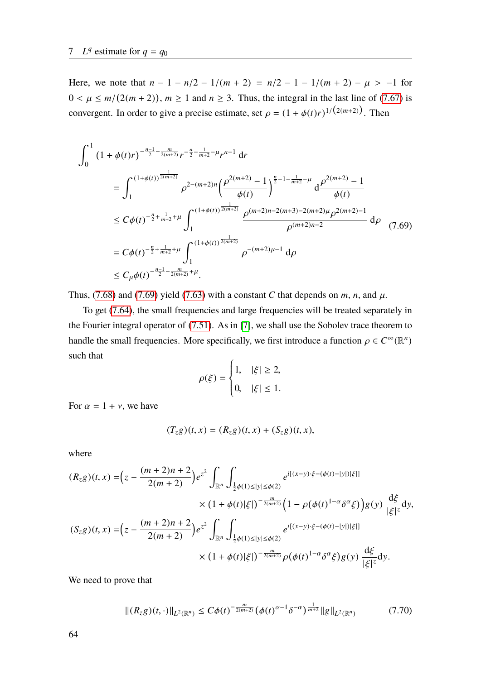Here, we note that  $n - 1 - n/2 - 1/(m + 2) = n/2 - 1 - 1/(m + 2) - \mu > -1$  for  $0 < \mu \le m/(2(m+2))$ ,  $m \ge 1$  and  $n \ge 3$ . Thus, the integral in the last line of [\(7.67\)](#page-70-2) is convergent. In order to give a precise estimate, set  $\rho = (1 + \phi(t)r)^{1/(2(m+2))}$ . Then

$$
\int_{0}^{1} (1+\phi(t)r)^{-\frac{n-1}{2}-\frac{m}{2(m+2)}} r^{-\frac{n}{2}-\frac{1}{m+2}-\mu} r^{n-1} dr
$$
\n
$$
= \int_{1}^{(1+\phi(t))^{\frac{1}{2(m+2)}}} \rho^{2-(m+2)n} \left(\frac{\rho^{2(m+2)}-1}{\phi(t)}\right)^{\frac{n}{2}-1-\frac{1}{m+2}-\mu} d\frac{\rho^{2(m+2)}-1}{\phi(t)}
$$
\n
$$
\leq C\phi(t)^{-\frac{n}{2}+\frac{1}{m+2}+\mu} \int_{1}^{(1+\phi(t))^{\frac{1}{2(m+2)}}} \frac{\rho^{(m+2)n-2(m+3)-2(m+2)\mu} \rho^{2(m+2)-1}}{\rho^{(m+2)n-2}} d\rho
$$
\n
$$
= C\phi(t)^{-\frac{n}{2}+\frac{1}{m+2}+\mu} \int_{1}^{(1+\phi(t))^{\frac{1}{2(m+2)}}} \rho^{-(m+2)\mu-1} d\rho
$$
\n
$$
\leq C_{\mu}\phi(t)^{-\frac{n-1}{2}-\frac{m}{2(m+2)}+\mu}.
$$
\n(7.69)

Thus, [\(7.68\)](#page-70-3) and [\(7.69\)](#page-71-0) yield [\(7.63\)](#page-69-1) with a constant *C* that depends on *m*, *n*, and  $\mu$ .

To get [\(7.64\)](#page-70-0), the small frequencies and large frequencies will be treated separately in the Fourier integral operator of [\(7.51\)](#page-66-0). As in [\[7\]](#page-88-0), we shall use the Sobolev trace theorem to handle the small frequencies. More specifically, we first introduce a function  $\rho \in C^{\infty}(\mathbb{R}^n)$ such that

<span id="page-71-0"></span>
$$
\rho(\xi) = \begin{cases} 1, & |\xi| \ge 2, \\ 0, & |\xi| \le 1. \end{cases}
$$

For  $\alpha = 1 + v$ , we have

$$
(T_{z}g)(t,x) = (R_{z}g)(t,x) + (S_{z}g)(t,x),
$$

where

$$
(R_{z}g)(t,x) = (z - \frac{(m+2)n+2}{2(m+2)})e^{z^{2}} \int_{\mathbb{R}^{n}} \int_{\frac{1}{2}\phi(1)\le|y|\le\phi(2)} e^{i[(x-y)\cdot\xi - (\phi(t)-|y|)|\xi|]} \times (1+\phi(t)|\xi|)^{-\frac{m}{2(m+2)}} \Big(1-\rho(\phi(t)^{1-\alpha}\delta^{\alpha}\xi)\Big)g(y) \frac{d\xi}{|\xi|^{z}}dy,
$$
  

$$
(S_{z}g)(t,x) = (z - \frac{(m+2)n+2}{2(m+2)})e^{z^{2}} \int_{\mathbb{R}^{n}} \int_{\frac{1}{2}\phi(1)\le|y|\le\phi(2)} e^{i[(x-y)\cdot\xi - (\phi(t)-|y|)|\xi|]} \times (1+\phi(t)|\xi|)^{-\frac{m}{2(m+2)}} \rho(\phi(t)^{1-\alpha}\delta^{\alpha}\xi)g(y) \frac{d\xi}{|\xi|^{z}}dy.
$$

We need to prove that

$$
\|(R_{z}g)(t,\cdot)\|_{L^{2}(\mathbb{R}^{n})} \leq C\phi(t)^{-\frac{m}{2(m+2)}}\left(\phi(t)^{\alpha-1}\delta^{-\alpha}\right)^{\frac{1}{m+2}}\|g\|_{L^{2}(\mathbb{R}^{n})}
$$
(7.70)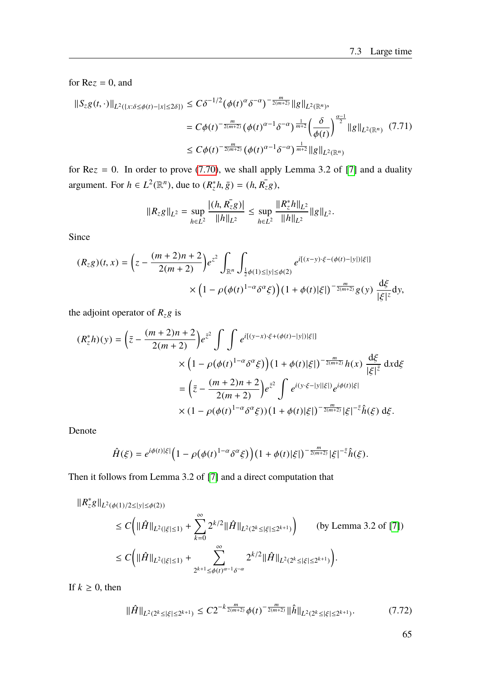for  $Re z = 0$ , and

<span id="page-72-0"></span>
$$
\begin{split} \|S_{z}g(t,\cdot)\|_{L^{2}(\{x:\delta\leq\phi(t)-|x|\leq2\delta\})} &\leq C\delta^{-1/2}\big(\phi(t)^{\alpha}\delta^{-\alpha}\big)^{-\frac{m}{2(m+2)}}\|g\|_{L^{2}(\mathbb{R}^{n})},\\ &=C\phi(t)^{-\frac{m}{2(m+2)}}\big(\phi(t)^{\alpha-1}\delta^{-\alpha}\big)^{\frac{1}{m+2}}\big(\frac{\delta}{\phi(t)}\big)^{\frac{\alpha-1}{2}}\|g\|_{L^{2}(\mathbb{R}^{n})}\end{split} \tag{7.71}
$$
\n
$$
\leq C\phi(t)^{-\frac{m}{2(m+2)}}\big(\phi(t)^{\alpha-1}\delta^{-\alpha}\big)^{\frac{1}{m+2}}\|g\|_{L^{2}(\mathbb{R}^{n})}
$$

for  $Re z = 0$ . In order to prove [\(7.70\)](#page-71-0), we shall apply Lemma 3.2 of [\[7\]](#page-88-0) and a duality argument. For  $h \in L^2(\mathbb{R}^n)$ , due to  $(R_z^*h, \bar{g}) = (h, R_z^*g)$ ,

$$
||R_{z}g||_{L^{2}} = \sup_{h \in L^{2}} \frac{|(h, R_{z}^{\top}g)|}{||h||_{L^{2}}} \leq \sup_{h \in L^{2}} \frac{||R_{z}^{*}h||_{L^{2}}}{||h||_{L^{2}}} ||g||_{L^{2}}.
$$

Since

$$
(R_{z}g)(t,x) = \left(z - \frac{(m+2)n+2}{2(m+2)}\right)e^{z^2} \int_{\mathbb{R}^n} \int_{\frac{1}{2}\phi(1)\le|y|\le\phi(2)} e^{i[(x-y)\cdot\xi - (\phi(t)-|y|)|\xi|]} \times \left(1 - \rho(\phi(t)^{1-\alpha}\delta^{\alpha}\xi)\right)\left(1 + \phi(t)|\xi|\right)^{-\frac{m}{2(m+2)}}g(y) \frac{\mathrm{d}\xi}{|\xi|^z} \mathrm{d}y,
$$

the adjoint operator of  $R_z$ g is

$$
(R_{z}^{*}h)(y) = \left(\bar{z} - \frac{(m+2)n+2}{2(m+2)}\right)e^{\bar{z}^{2}} \int \int e^{i[(y-x)\cdot\xi + (\phi(t)-|y|)|\xi|]} \times \left(1 - \rho(\phi(t)^{1-\alpha}\delta^{\alpha}\xi)\right) \left(1 + \phi(t)|\xi|\right)^{-\frac{m}{2(m+2)}}h(x) \frac{d\xi}{|\xi|^{\bar{z}}} dxd\xi
$$

$$
= \left(\bar{z} - \frac{(m+2)n+2}{2(m+2)}\right)e^{\bar{z}^{2}} \int e^{i(y\cdot\xi-|y||\xi|)}e^{i\phi(t)|\xi|} \times \left(1 - \rho(\phi(t)^{1-\alpha}\delta^{\alpha}\xi)\right) \left(1 + \phi(t)|\xi|\right)^{-\frac{m}{2(m+2)}}|\xi|^{-\bar{z}}\hat{h}(\xi) d\xi.
$$

Denote

$$
\hat{H}(\xi) = e^{i\phi(t)|\xi|} \Big(1 - \rho(\phi(t)^{1-\alpha}\delta^{\alpha}\xi)\Big) \big(1 + \phi(t)|\xi|\big)^{-\frac{m}{2(m+2)}}|\xi|^{-\bar{z}}\hat{h}(\xi).
$$

Then it follows from Lemma 3.2 of [\[7\]](#page-88-0) and a direct computation that

$$
\begin{split} \|R_{z}^{*}g\|_{L^{2}(\phi(1)/2\leq |y|\leq \phi(2))} &\leq C\bigg(\|\hat{H}\|_{L^{2}(|\xi|\leq 1)} + \sum_{k=0}^{\infty} 2^{k/2} \|\hat{H}\|_{L^{2}(2^{k}\leq |\xi|\leq 2^{k+1})}\bigg) \qquad \text{(by Lemma 3.2 of [7])} \\ &\leq C\bigg(\|\hat{H}\|_{L^{2}(|\xi|\leq 1)} + \sum_{2^{k+1}\leq \phi(t)^{\alpha-1}\delta^{-\alpha}}^{ \infty} 2^{k/2} \|\hat{H}\|_{L^{2}(2^{k}\leq |\xi|\leq 2^{k+1})}\bigg). \end{split}
$$

If  $k \geq 0$ , then

$$
\|\hat{H}\|_{L^2(2^k \le |\xi| \le 2^{k+1})} \le C2^{-k\frac{m}{2(m+2)}}\phi(t)^{-\frac{m}{2(m+2)}}\|\hat{h}\|_{L^2(2^k \le |\xi| \le 2^{k+1})}.\tag{7.72}
$$

65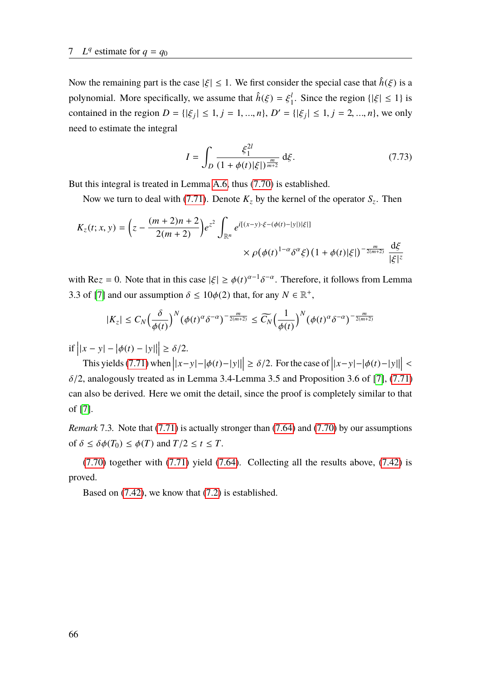Now the remaining part is the case  $|\xi| \leq 1$ . We first consider the special case that  $\hat{h}(\xi)$  is a polynomial. More specifically, we assume that  $\hat{h}(\xi) = \xi_1^l$ <sup>1</sup><sub>1</sub>. Since the region  $\{|\xi| \le 1\}$  is contained in the region  $D = \{ |\xi_j| \le 1, j = 1, ..., n \}, D' = \{ |\xi_j| \le 1, j = 2, ..., n \},$  we only need to estimate the integral

$$
I = \int_{D} \frac{\xi_1^{2l}}{(1 + \phi(t)|\xi|)^{\frac{m}{m+2}}} d\xi.
$$
 (7.73)

But this integral is treated in Lemma [A.6,](#page-85-0) thus [\(7.70\)](#page-71-0) is established.

Now we turn to deal with [\(7.71\)](#page-72-0). Denote  $K_z$  by the kernel of the operator  $S_z$ . Then

$$
K_{z}(t; x, y) = \left(z - \frac{(m+2)n + 2}{2(m+2)}\right)e^{z^{2}} \int_{\mathbb{R}^{n}} e^{i[(x-y)\cdot\xi - (\phi(t) - |y|)|\xi|]} \times \rho(\phi(t)^{1-\alpha}\delta^{\alpha}\xi)(1 + \phi(t)|\xi|)^{-\frac{m}{2(m+2)}} \frac{d\xi}{|\xi|^{z}}
$$

with Re*z* = 0. Note that in this case  $|\xi| \ge \phi(t)^{\alpha-1} \delta^{-\alpha}$ . Therefore, it follows from Lemma 3.3 of [\[7\]](#page-88-0) and our assumption  $\delta \le 10\phi(2)$  that, for any  $N \in \mathbb{R}^+$ ,

$$
|K_z| \leq C_N \Big(\frac{\delta}{\phi(t)}\Big)^N \big(\phi(t)^{\alpha} \delta^{-\alpha}\big)^{-\frac{m}{2(m+2)}} \leq \widetilde{C}_N \Big(\frac{1}{\phi(t)}\Big)^N \big(\phi(t)^{\alpha} \delta^{-\alpha}\big)^{-\frac{m}{2(m+2)}}
$$

if  $||x - y| - |\phi(t) - |y||$  $\geq \delta/2.$ 

This yields [\(7.71\)](#page-72-0) when  $||x-y|-|\phi(t)-|y||$  $\vert \ge \delta/2$ . For the case of  $\vert x-y \vert - \vert \phi(t) - \vert y \vert \vert$  $\vert$  <  $\delta/2$ , analogously treated as in Lemma 3.4-Lemma 3.5 and Proposition 3.6 of [\[7\]](#page-88-0), [\(7.71\)](#page-72-0) can also be derived. Here we omit the detail, since the proof is completely similar to that of [\[7\]](#page-88-0).

*Remark* 7.3. Note that [\(7.71\)](#page-72-0) is actually stronger than [\(7.64\)](#page-70-0) and [\(7.70\)](#page-71-0) by our assumptions of  $\delta \leq \delta \phi(T_0) \leq \phi(T)$  and  $T/2 \leq t \leq T$ .

[\(7.70\)](#page-71-0) together with [\(7.71\)](#page-72-0) yield [\(7.64\)](#page-70-0). Collecting all the results above, [\(7.42\)](#page-64-0) is proved.

Based on [\(7.42\)](#page-64-0), we know that [\(7.2\)](#page-54-0) is established.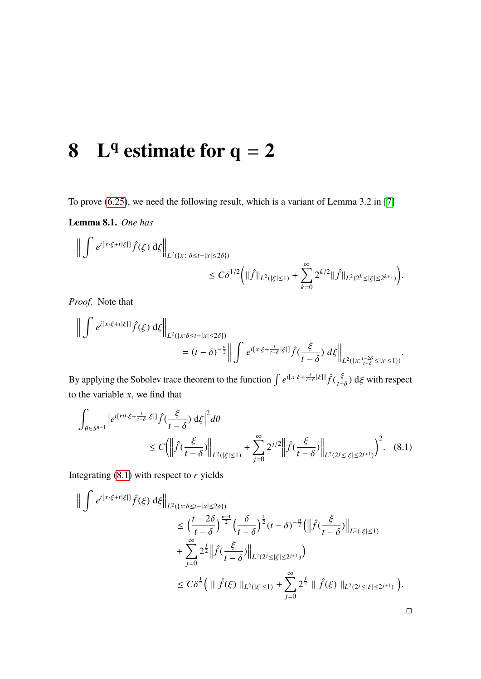#### **8 L**  $\frac{q}{q}$  estimate for  $q = 2$

To prove [\(6.25\)](#page-53-0), we need the following result, which is a variant of Lemma 3.2 in [\[7\]](#page-88-0)

<span id="page-74-1"></span>**Lemma 8.1.** *One has*

$$
\label{eq:21} \begin{split} \bigg\| \int \, e^{i [x\cdot \xi + t|\xi|]} \hat{f}(\xi) \, \mathrm{d} \xi \bigg\|_{L^2(\{x\colon \delta \leq t-|x| \leq 2\delta\})} \\ & \leq C \delta^{1/2} \bigg( \| \hat{f} \|_{L^2(|\xi| \leq 1)} + \sum_{k=0}^\infty 2^{k/2} \| \hat{f} \|_{L^2(2^k \leq |\xi| \leq 2^{k+1})} \bigg). \end{split}
$$

*Proof.* Note that

$$
\left\| \int e^{i[x\cdot\xi+t|\xi|]} \hat{f}(\xi) d\xi \right\|_{L^2(\{x:\delta\leq t-|x|\leq 2\delta\})} \\
= (t-\delta)^{-\frac{n}{2}} \left\| \int e^{i[x\cdot\xi+\frac{t}{t-\delta}|\xi|]} \hat{f}(\frac{\xi}{t-\delta}) d\xi \right\|_{L^2(\{x:\frac{t-2\delta}{t-\delta}\leq |x|\leq 1\})}.
$$

By applying the Sobolev trace theorem to the function  $\int e^{i[x\cdot\xi + \frac{t}{t-\delta}|\xi|]} \hat{f}(\frac{\xi}{t-\delta}) d\xi$  with respect to the variable *x*, we find that

$$
\int_{\theta \in S^{n-1}} \left| e^{i[r\theta \cdot \xi + \frac{t}{t-\delta}|\xi|]} \hat{f}(\frac{\xi}{t-\delta}) d\xi \right|^2 d\theta
$$
\n
$$
\leq C \left( \left\| \hat{f}(\frac{\xi}{t-\delta}) \right\|_{L^2(|\xi| \le 1)} + \sum_{j=0}^{\infty} 2^{j/2} \left\| \hat{f}(\frac{\xi}{t-\delta}) \right\|_{L^2(2^j \le |\xi| \le 2^{j+1})} \right)^2. \tag{8.1}
$$

Integrating [\(8.1\)](#page-74-0) with respect to *r* yields

$$
\begin{split} \Big\| \int e^{i[x\cdot\xi + t|\xi|]} \hat{f}(\xi) \, \mathrm{d}\xi \Big\|_{L^{2}(\{x:\delta \leq t - |x| \leq 2\delta\})} \\ &\leq \Big(\frac{t - 2\delta}{t - \delta}\Big)^{\frac{n-1}{2}} \Big(\frac{\delta}{t - \delta}\Big)^{\frac{1}{2}} (t - \delta)^{-\frac{n}{2}} \Big(\Big\|\hat{f}(\frac{\xi}{t - \delta})\Big\|_{L^{2}(|\xi| \leq 1)} \\ &+ \sum_{j=0}^{\infty} 2^{\frac{j}{2}} \Big\|\hat{f}(\frac{\xi}{t - \delta})\Big\|_{L^{2}(2^{j} \leq |\xi| \leq 2^{j+1})} \Big) \\ &\leq C\delta^{\frac{1}{2}} \Big(\parallel \hat{f}(\xi) \parallel_{L^{2}(|\xi| \leq 1)} + \sum_{j=0}^{\infty} 2^{\frac{j}{2}} \parallel \hat{f}(\xi) \parallel_{L^{2}(2^{j} \leq |\xi| \leq 2^{j+1})} \Big). \end{split}
$$

<span id="page-74-0"></span> $\Box$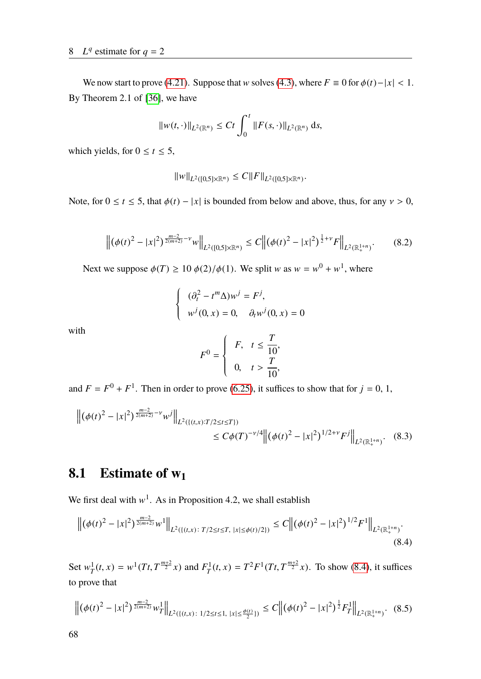We now start to prove [\(4.21\)](#page-30-0). Suppose that w solves [\(4.3\)](#page-26-0), where  $F \equiv 0$  for  $\phi(t) - |x| < 1$ . By Theorem 2.1 of [\[36\]](#page-90-0), we have

$$
||w(t,\cdot)||_{L^2(\mathbb{R}^n)} \leq Ct \int_0^t ||F(s,\cdot)||_{L^2(\mathbb{R}^n)} ds,
$$

which yields, for  $0 \le t \le 5$ ,

$$
||w||_{L^2([0,5]\times\mathbb{R}^n)} \leq C||F||_{L^2([0,5]\times\mathbb{R}^n)}.
$$

Note, for  $0 \le t \le 5$ , that  $\phi(t) - |x|$  is bounded from below and above, thus, for any  $v > 0$ ,

$$
\left\| \left( \phi(t)^2 - |x|^2 \right)^{\frac{m-2}{2(m+2)} - \nu} w \right\|_{L^2([0,5] \times \mathbb{R}^n)} \le C \left\| \left( \phi(t)^2 - |x|^2 \right)^{\frac{1}{2} + \nu} F \right\|_{L^2(\mathbb{R}^{1+n}_+)}.
$$
 (8.2)

Next we suppose  $\phi(T) \ge 10 \phi(2)/\phi(1)$ . We split w as  $w = w^0 + w^1$ , where

$$
\begin{cases}\n(\partial_t^2 - t^m \Delta) w^j = F^j, \\
w^j(0, x) = 0, \quad \partial_t w^j(0, x) = 0\n\end{cases}
$$

with

<span id="page-75-2"></span>
$$
F^{0} = \begin{cases} F, & t \leq \frac{T}{10}, \\ 0, & t > \frac{T}{10}, \end{cases}
$$

and  $F = F^0 + F^1$ . Then in order to prove [\(6.25\)](#page-53-0), it suffices to show that for  $j = 0, 1$ ,

$$
\left\| (\phi(t)^2 - |x|^2)^{\frac{m-2}{2(m+2)} - \nu} w^j \right\|_{L^2(\{(t,x):T/2 \le t \le T\})} \le C\phi(T)^{-\nu/4} \left\| (\phi(t)^2 - |x|^2)^{1/2 + \nu} F^j \right\|_{L^2(\mathbb{R}^{1+n}_+)}.
$$
 (8.3)

## **8.1 Estimate of w<sup>1</sup>**

We first deal with  $w^1$ . As in Proposition 4.2, we shall establish

<span id="page-75-0"></span>
$$
\left\| \left( \phi(t)^2 - |x|^2 \right)^{\frac{m-2}{2(m+2)}} w^1 \right\|_{L^2(\{(t,x)\colon T/2 \le t \le T, \ |x| \le \phi(t)/2\})} \le C \left\| \left( \phi(t)^2 - |x|^2 \right)^{1/2} F^1 \right\|_{L^2(\mathbb{R}^{1+n}_+)}.
$$
\n(8.4)

Set  $w_T^1$  $T_T^1(t, x) = w^1(Tt, T^{\frac{m+2}{2}}x)$  and  $F_T^1$  $T_T^{1}(t, x) = T^2 F^1(Tt, T^{\frac{m+2}{2}}x)$ . To show [\(8.4\)](#page-75-0), it suffices to prove that

<span id="page-75-1"></span>
$$
\left\| \left( \phi(t)^2 - |x|^2 \right)^{\frac{m-2}{2(m+2)}} w_T^1 \right\|_{L^2(\{(t,x)\,:\, 1/2 \le t \le 1,\, |x| \le \frac{\phi(t)}{2}\})} \le C \left\| \left( \phi(t)^2 - |x|^2 \right)^{\frac{1}{2}} F_T^1 \right\|_{L^2(\mathbb{R}^{1+n}_+)}.
$$
 (8.5)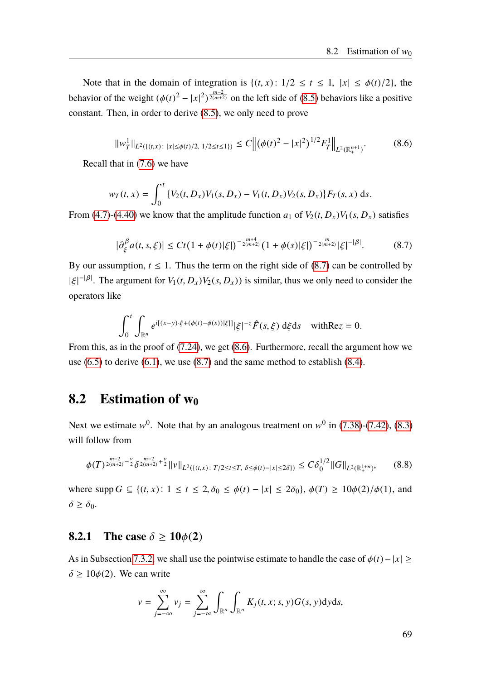Note that in the domain of integration is  $\{(t, x): 1/2 \le t \le 1, |x| \le \phi(t)/2\}$ , the behavior of the weight  $(\phi(t)^2 - |x|^2)^{\frac{m-2}{2(m+2)}}$  on the left side of [\(8.5\)](#page-75-1) behaviors like a positive constant. Then, in order to derive [\(8.5\)](#page-75-1), we only need to prove

<span id="page-76-1"></span>
$$
||w_T^1||_{L^2(\{(t,x)\colon |x|\leq \phi(t)/2, 1/2\leq t\leq 1\})} \leq C \left\| (\phi(t)^2 - |x|^2)^{1/2} F_T^1 \right\|_{L^2(\mathbb{R}^{n+1}_+)}.
$$
 (8.6)

Recall that in [\(7.6\)](#page-55-0) we have

$$
w_T(t,x) = \int_0^t \{V_2(t,D_x)V_1(s,D_x) - V_1(t,D_x)V_2(s,D_x)\} F_T(s,x) \, ds.
$$

From [\(4.7\)](#page-27-0)-[\(4.40\)](#page-34-0) we know that the amplitude function  $a_1$  of  $V_2(t, D_x)V_1(s, D_x)$  satisfies

<span id="page-76-0"></span>
$$
\left|\partial_{\xi}^{\beta} a(t,s,\xi)\right| \leq Ct\left(1+\phi(t)|\xi|\right)^{-\frac{m+4}{2(m+2)}}\left(1+\phi(s)|\xi|\right)^{-\frac{m}{2(m+2)}}|\xi|^{-|\beta|}.\tag{8.7}
$$

By our assumption,  $t \leq 1$ . Thus the term on the right side of [\(8.7\)](#page-76-0) can be controlled by  $|\xi|^{-|\beta|}$ . The argument for  $V_1(t, D_x)V_2(s, D_x)$  is similar, thus we only need to consider the operators like

$$
\int_0^t \int_{\mathbb{R}^n} e^{i[(x-y)\cdot\xi + (\phi(t)-\phi(s))|\xi|]} |\xi|^{-z} \hat{F}(s,\xi) d\xi ds \quad \text{with} \text{Re} z = 0.
$$

From this, as in the proof of [\(7.24\)](#page-58-0), we get [\(8.6\)](#page-76-1). Furthermore, recall the argument how we use  $(6.5)$  to derive  $(6.1)$ , we use  $(8.7)$  and the same method to establish  $(8.4)$ .

### **8.2 Estimation of w<sup>0</sup>**

Next we estimate  $w^0$ . Note that by an analogous treatment on  $w^0$  in [\(7.38\)](#page-63-0)-[\(7.42\)](#page-64-0), [\(8.3\)](#page-75-2) will follow from

<span id="page-76-2"></span>
$$
\phi(T)^{\frac{m-2}{2(m+2)}-\frac{\nu}{2}}\delta^{\frac{m-2}{2(m+2)}+\frac{\nu}{2}}\|\nu\|_{L^2(\{(t,x)\colon T/2\leq t\leq T,\ \delta\leq\phi(t)-|x|\leq2\delta\})}\leq C\delta_0^{1/2}\|G\|_{L^2(\mathbb{R}^{1+n}_+)},\tag{8.8}
$$

where  $\text{supp } G \subseteq \{(t, x): 1 \le t \le 2, \delta_0 \le \phi(t) - |x| \le 2\delta_0\}, \phi(T) \ge 10\phi(2)/\phi(1)$ , and  $\delta \geq \delta_0$ .

#### **8.2.1** The case  $\delta \ge 10\phi(2)$

As in Subsection [7.3.2,](#page-67-0) we shall use the pointwise estimate to handle the case of  $\phi(t) - |x| \ge$  $\delta \ge 10\phi(2)$ . We can write

$$
v = \sum_{j=-\infty}^{\infty} v_j = \sum_{j=-\infty}^{\infty} \int_{\mathbb{R}^n} \int_{\mathbb{R}^n} K_j(t, x; s, y) G(s, y) \, dy \, ds,
$$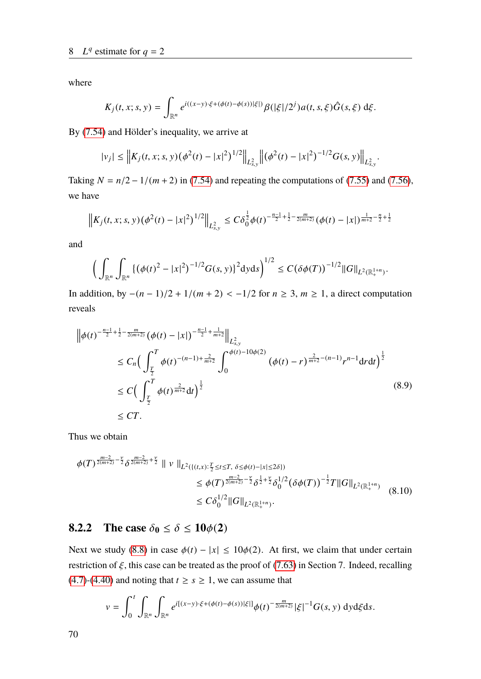where

$$
K_j(t, x; s, y) = \int_{\mathbb{R}^n} e^{i((x-y)\cdot \xi + (\phi(t) - \phi(s))|\xi|)} \beta(|\xi|/2^j) a(t, s, \xi) \hat{G}(s, \xi) d\xi.
$$

By [\(7.54\)](#page-67-1) and Hölder's inequality, we arrive at

$$
|v_j| \leq \left\| K_j(t,x;s,y) \big( \phi^2(t) - |x|^2 \big)^{1/2} \right\|_{L^2_{s,y}} \left\| \big( \phi^2(t) - |x|^2 \big)^{-1/2} G(s,y) \right\|_{L^2_{s,y}}
$$

Taking  $N = n/2 - 1/(m + 2)$  in [\(7.54\)](#page-67-1) and repeating the computations of [\(7.55\)](#page-67-2) and [\(7.56\)](#page-68-0), we have

$$
\left\|K_j(t, x; s, y) (\phi^2(t) - |x|^2)^{1/2}\right\|_{L^2_{s, y}} \leq C \delta_0^{\frac{1}{2}} \phi(t)^{-\frac{n-1}{2} + \frac{1}{2} - \frac{m}{2(m+2)}} (\phi(t) - |x|)^{\frac{1}{m+2} - \frac{n}{2} + \frac{1}{2}}
$$

and

$$
\Big(\int_{\mathbb{R}^n}\int_{\mathbb{R}^n} \{(\phi(t)^2-|x|^2)^{-1/2}G(s,y)\}^2\mathrm{d}y\mathrm{d}s\Big)^{1/2}\leq C\big(\delta\phi(T)\big)^{-1/2}\|G\|_{L^2(\mathbb{R}^{1+n}_+)}
$$

In addition, by  $-(n-1)/2 + 1/(m + 2) < -1/2$  for  $n \ge 3$ ,  $m \ge 1$ , a direct computation reveals

$$
\begin{split} \left\| \phi(t)^{-\frac{n-1}{2} + \frac{1}{2} - \frac{m}{2(m+2)}} (\phi(t) - |x|)^{-\frac{n-1}{2} + \frac{1}{m+2}} \right\|_{L^2_{s,y}} \\ &\leq C_n \Big( \int_{\frac{T}{2}}^T \phi(t)^{-(n-1) + \frac{2}{m+2}} \int_0^{\phi(t) - 10\phi(2)} (\phi(t) - r)^{\frac{2}{m+2} - (n-1)} r^{n-1} dr dt \Big)^{\frac{1}{2}} \\ &\leq C \Big( \int_{\frac{T}{2}}^T \phi(t)^{\frac{2}{m+2}} dt \Big)^{\frac{1}{2}} \\ &\leq CT. \end{split} \tag{8.9}
$$

Thus we obtain

$$
\begin{split} \phi(T)^{\frac{m-2}{2(m+2)}-\frac{\nu}{2}}\delta^{\frac{m-2}{2(m+2)}+\frac{\nu}{2}} \parallel \nu \parallel_{L^{2}(\{(t,x): \frac{T}{2} \leq t \leq T, \ \delta \leq \phi(t)-|x| \leq 2\delta\})} \\ &\leq \phi(T)^{\frac{m-2}{2(m+2)}-\frac{\nu}{2}}\delta^{\frac{1}{2}+\frac{\nu}{2}}\delta_{0}^{1/2}(\delta\phi(T))^{\frac{1}{2}}T\|G\|_{L^{2}(\mathbb{R}_{+}^{1+n})} \\ &\leq C\delta_{0}^{1/2}\|G\|_{L^{2}(\mathbb{R}_{+}^{1+n})}. \end{split} \tag{8.10}
$$

### **8.2.2** The case  $\delta_0 \leq \delta \leq 10\phi(2)$

Next we study [\(8.8\)](#page-76-2) in case  $\phi(t) - |x| \le 10\phi(2)$ . At first, we claim that under certain restriction of  $\xi$ , this case can be treated as the proof of [\(7.63\)](#page-69-0) in Section 7. Indeed, recalling [\(4.7\)](#page-27-0)-[\(4.40\)](#page-34-0) and noting that  $t \geq s \geq 1$ , we can assume that

$$
v = \int_0^t \int_{\mathbb{R}^n} \int_{\mathbb{R}^n} e^{i[(x-y)\cdot \xi + (\phi(t) - \phi(s))|\xi|]} \phi(t)^{-\frac{m}{2(m+2)}} |\xi|^{-1} G(s, y) \, dyd\xi ds.
$$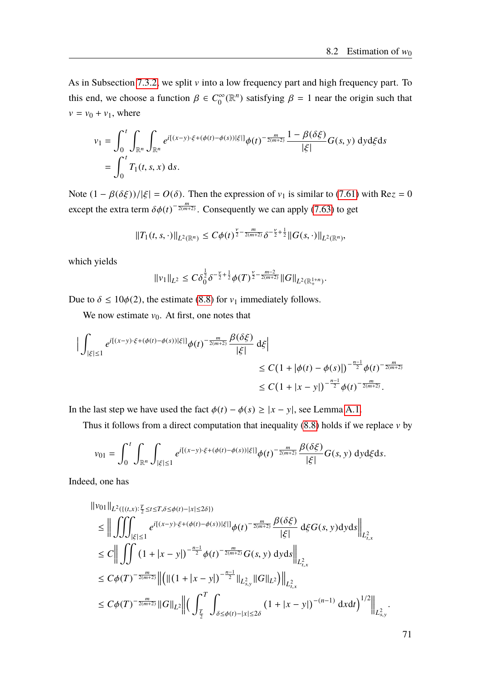As in Subsection [7.3.2,](#page-67-0) we split  $v$  into a low frequency part and high frequency part. To this end, we choose a function  $\beta \in C_0^{\infty}$  $\int_0^\infty (\mathbb{R}^n)$  satisfying  $\beta = 1$  near the origin such that  $v = v_0 + v_1$ , where

$$
v_1 = \int_0^t \int_{\mathbb{R}^n} \int_{\mathbb{R}^n} e^{i[(x-y)\cdot \xi + (\phi(t) - \phi(s))] \xi|} \phi(t)^{-\frac{m}{2(m+2)}} \frac{1 - \beta(\delta\xi)}{|\xi|} G(s, y) \, dyd\xi ds
$$
  
= 
$$
\int_0^t T_1(t, s, x) \, ds.
$$

Note  $(1 - \beta(\delta \xi))/|\xi| = O(\delta)$ . Then the expression of  $v_1$  is similar to [\(7.61\)](#page-69-1) with Re $z = 0$ except the extra term  $\delta\phi(t)^{-\frac{m}{2(m+2)}}$ . Consequently we can apply [\(7.63\)](#page-69-0) to get

$$
||T_1(t,s,\cdot)||_{L^2(\mathbb{R}^n)} \leq C\phi(t)^{\frac{\nu}{2}-\frac{m}{2(m+2)}}\delta^{-\frac{\nu}{2}+\frac{1}{2}}||G(s,\cdot)||_{L^2(\mathbb{R}^n)},
$$

which yields

$$
||v_1||_{L^2} \leq C \delta_0^{\frac{1}{2}} \delta^{-\frac{\nu}{2} + \frac{1}{2}} \phi(T)^{\frac{\nu}{2} - \frac{m-2}{2(m+2)}} ||G||_{L^2(\mathbb{R}^{1+n}_+)}
$$

Due to  $\delta \le 10\phi(2)$ , the estimate [\(8.8\)](#page-76-2) for  $v_1$  immediately follows.

We now estimate  $v_0$ . At first, one notes that

$$
\begin{aligned} \Big| \int_{|\xi| \le 1} e^{i[(x-y)\cdot \xi + (\phi(t) - \phi(s))|\xi|]} \phi(t)^{-\frac{m}{2(m+2)}} \frac{\beta(\delta\xi)}{|\xi|} \, \mathrm{d}\xi \Big| \\ &\le C \big( 1 + |\phi(t) - \phi(s)| \big)^{-\frac{n-1}{2}} \phi(t)^{-\frac{m}{2(m+2)}} \\ &\le C \big( 1 + |x-y| \big)^{-\frac{n-1}{2}} \phi(t)^{-\frac{m}{2(m+2)}}. \end{aligned}
$$

In the last step we have used the fact  $\phi(t) - \phi(s) \ge |x - y|$ , see Lemma [A.1.](#page-82-0)

Thus it follows from a direct computation that inequality  $(8.8)$  holds if we replace v by

$$
v_{01} = \int_0^t \int_{\mathbb{R}^n} \int_{|\xi| \le 1} e^{i[(x-y)\cdot \xi + (\phi(t) - \phi(s))|\xi|]} \phi(t)^{-\frac{m}{2(m+2)}} \frac{\beta(\delta \xi)}{|\xi|} G(s, y) \, dyd\xi ds.
$$

Indeed, one has

$$
\|v_{01}\|_{L^{2}(\{(t,x) : \frac{T}{2} \leq t \leq T, \delta \leq \phi(t) - |x| \leq 2\delta\})}\n\leq \Big\| \iiint_{|\xi| \leq 1} e^{i[(x-y) \cdot \xi + (\phi(t) - \phi(s))|\xi|]} \phi(t)^{-\frac{m}{2(m+2)}} \frac{\beta(\delta \xi)}{|\xi|} d\xi G(s, y) dy ds \Big\|_{L^{2}_{t,x}}\n\leq C \Big\| \iiint_{(1+|x-y|)^{-\frac{n-1}{2}}}\n(1+|x-y|)^{-\frac{n-1}{2}} \phi(t)^{-\frac{m}{2(m+2)}} G(s, y) dy ds \Big\|_{L^{2}_{t,x}}\n\leq C \phi(T)^{-\frac{m}{2(m+2)}} \Big\| \big( \|(1+|x-y|)^{-\frac{n-1}{2}}\|_{L^{2}_{s,y}} \|G\|_{L^{2}} \big) \Big\|_{L^{2}_{t,x}}\n\leq C \phi(T)^{-\frac{m}{2(m+2)}} \|G\|_{L^{2}} \Big\| \big( \int_{\frac{T}{2}}^{T} \int_{\delta \leq \phi(t) - |x| \leq 2\delta} (1+|x-y|)^{-(n-1)} dx dt \big)^{1/2} \Big\|_{L^{2}_{s,y}}.
$$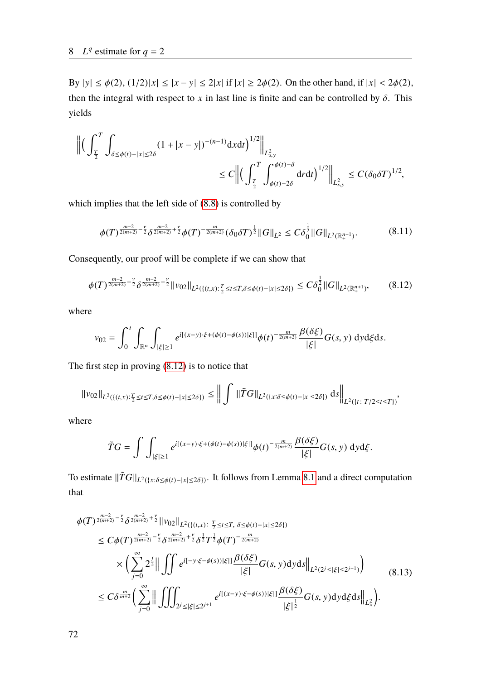By  $|y| \le \phi(2)$ ,  $(1/2)|x| \le |x - y| \le 2|x|$  if  $|x| \ge 2\phi(2)$ . On the other hand, if  $|x| < 2\phi(2)$ , then the integral with respect to *x* in last line is finite and can be controlled by  $\delta$ . This yields

$$
\begin{aligned} \left\| \Big( \int_{\frac{T}{2}}^T \int_{\delta \leq \phi(t) - |x| \leq 2\delta} (1+|x-y|)^{-(n-1)} \mathrm{d}x \mathrm{d}t \Big)^{1/2} \right\|_{L^2_{s,y}} \\ & \leq C \left\| \Big( \int_{\frac{T}{2}}^T \int_{\phi(t)-2\delta}^{\phi(t)-\delta} \mathrm{d}r \mathrm{d}t \Big)^{1/2} \right\|_{L^2_{s,y}} \leq C (\delta_0 \delta T)^{1/2}, \end{aligned}
$$

which implies that the left side of [\(8.8\)](#page-76-2) is controlled by

$$
\phi(T)^{\frac{m-2}{2(m+2)}-\frac{\nu}{2}}\delta^{\frac{m-2}{2(m+2)}+\frac{\nu}{2}}\phi(T)^{-\frac{m}{2(m+2)}}(\delta_0\delta T)^{\frac{1}{2}}\|G\|_{L^2}\leq C\delta_0^{\frac{1}{2}}\|G\|_{L^2(\mathbb{R}^{n+1}_+)}.\tag{8.11}
$$

Consequently, our proof will be complete if we can show that

<span id="page-79-0"></span>
$$
\phi(T)^{\frac{m-2}{2(m+2)}-\frac{\nu}{2}}\delta^{\frac{m-2}{2(m+2)}+\frac{\nu}{2}}\|\nu_{02}\|_{L^{2}(\{(t,x) : \frac{T}{2}\leq t\leq T,\delta\leq\phi(t)-|x|\leq2\delta\})}\leq C\delta_{0}^{\frac{1}{2}}\|G\|_{L^{2}(\mathbb{R}_{+}^{n+1})},\tag{8.12}
$$

where

$$
v_{02} = \int_0^t \int_{\mathbb{R}^n} \int_{|\xi| \ge 1} e^{i[(x-y)\cdot \xi + (\phi(t) - \phi(s))|\xi|]} \phi(t)^{-\frac{m}{2(m+2)}} \frac{\beta(\delta \xi)}{|\xi|} G(s, y) \, dyd\xi ds.
$$

The first step in proving [\(8.12\)](#page-79-0) is to notice that

$$
||v_{02}||_{L^{2}(\{(t,x) : \frac{T}{2} \leq t \leq T, \delta \leq \phi(t) - |x| \leq 2\delta\})} \leq ||\int ||\tilde{T}G||_{L^{2}(\{x : \delta \leq \phi(t) - |x| \leq 2\delta\})} ds ||_{L^{2}(\{t : T/2 \leq t \leq T\})},
$$

where

<span id="page-79-1"></span>
$$
\tilde{T}G = \int \int_{|\xi| \ge 1} e^{i[(x-y)\cdot \xi + (\phi(t) - \phi(s))|\xi|]} \phi(t)^{-\frac{m}{2(m+2)}} \frac{\beta(\delta\xi)}{|\xi|} G(s, y) \, dyd\xi.
$$

To estimate  $\|\tilde{T}G\|_{L^2(\{x:\delta\leq \phi(t)-|x|\leq 2\delta\})}$ . It follows from Lemma [8.1](#page-74-1) and a direct computation that

$$
\begin{split}\n\phi(T)^{\frac{m-2}{2(m+2)}-\frac{\nu}{2}} \delta^{\frac{m-2}{2(m+2)}+\frac{\nu}{2}} \|v_{02}\|_{L^{2}(\{(t,x):\frac{T}{2} \leq t \leq T,\ \delta \leq \phi(t)-|x| \leq 2\delta\})} \\
&\leq C \phi(T)^{\frac{m-2}{2(m+2)}-\frac{\nu}{2}} \delta^{\frac{m-2}{2(m+2)}+\frac{\nu}{2}} \delta^{\frac{1}{2}} T^{\frac{1}{2}} \phi(T)^{-\frac{m}{2(m+2)}} \\
&\times \left( \sum_{j=0}^{\infty} 2^{\frac{j}{2}} \Big\| \iint e^{i[-y \cdot \xi-\phi(s))|\xi|} \frac{\beta(\delta\xi)}{|\xi|} G(s, y) \mathrm{d}y \mathrm{d}s \Big\|_{L^{2}(2^{j} \leq |\xi| \leq 2^{j+1})} \right) \\
&\leq C \delta^{\frac{m}{m+2}} \left( \sum_{j=0}^{\infty} \Big\| \iiint_{2^{j} \leq |\xi| \leq 2^{j+1}} e^{i[(x-y) \cdot \xi-\phi(s))|\xi|} \frac{\beta(\delta\xi)}{|\xi|^{\frac{1}{2}}} G(s, y) \mathrm{d}y \mathrm{d}\xi \mathrm{d}s \Big\|_{L^{2}_{x}} \right). \n\end{split} \tag{8.13}
$$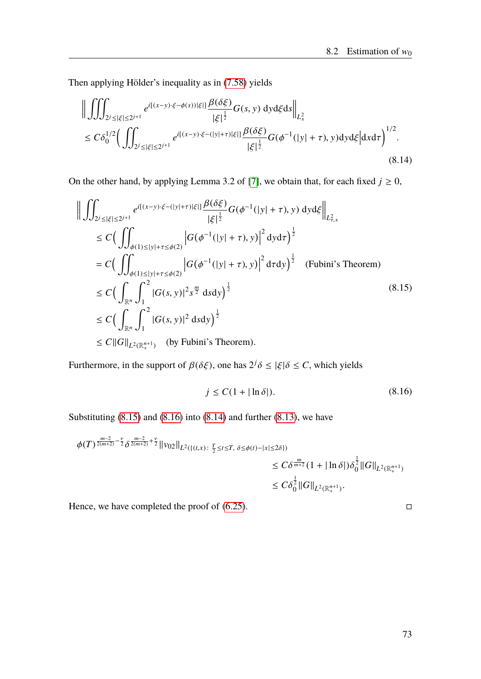Then applying Hölder's inequality as in [\(7.58\)](#page-68-1) yields

<span id="page-80-2"></span>
$$
\left\| \iiint_{2^{j} \leq |\xi| \leq 2^{j+1}} e^{i[(x-y)\cdot \xi - \phi(s))|\xi|} \frac{\beta(\delta \xi)}{|\xi|^{\frac{1}{2}}} G(s, y) \, dyd\xi ds \right\|_{L^{2}_{x}} \n\leq C\delta_{0}^{1/2} \Big( \iint_{2^{j} \leq |\xi| \leq 2^{j+1}} e^{i[(x-y)\cdot \xi - (|y|+\tau)|\xi|]} \frac{\beta(\delta \xi)}{|\xi|^{\frac{1}{2}}} G(\phi^{-1}(|y|+\tau), y) dyd\xi \Big| dx d\tau \Big)^{1/2}.
$$
\n(8.14)

On the other hand, by applying Lemma 3.2 of [\[7\]](#page-88-0), we obtain that, for each fixed  $j \ge 0$ ,

$$
\left\| \iint_{2^{j} \leq |\xi| \leq 2^{j+1}} e^{i[(x-y)\cdot\xi - (|y|+\tau)|\xi|]} \frac{\beta(\delta\xi)}{|\xi|^{\frac{1}{2}}} G(\phi^{-1}(|y|+\tau), y) \, dyd\xi \right\|_{L_{\tau,x}^{2}} \n\leq C \Big( \iint_{\phi(1) \leq |y|+\tau \leq \phi(2)} \left| G(\phi^{-1}(|y|+\tau), y) \right|^{2} dyd\tau \Big)^{\frac{1}{2}} \n= C \Big( \iint_{\phi(1) \leq |y|+\tau \leq \phi(2)} \left| G(\phi^{-1}(|y|+\tau), y) \right|^{2} d\tau dy \Big)^{\frac{1}{2}} \quad \text{(Fubini's Theorem)} \n\leq C \Big( \int_{\mathbb{R}^{n}} \int_{1}^{2} |G(s, y)|^{2} s^{\frac{m}{2}} ds dy \Big)^{\frac{1}{2}} \n\leq C \Big( \int_{\mathbb{R}^{n}} \int_{1}^{2} |G(s, y)|^{2} ds dy \Big)^{\frac{1}{2}} \n\leq C \|\mathcal{G}\|_{L^{2}(\mathbb{R}_{+}^{n+1})} \quad \text{(by Fubini's Theorem)}.
$$
\n(8.15)

<span id="page-80-1"></span>Furthermore, in the support of  $\beta(\delta \xi)$ , one has  $2^j \delta \le |\xi| \delta \le C$ , which yields

<span id="page-80-0"></span>
$$
j \le C(1 + |\ln \delta|). \tag{8.16}
$$

Substituting  $(8.15)$  and  $(8.16)$  into  $(8.14)$  and further  $(8.13)$ , we have

$$
\begin{split} \phi(T)^{\frac{m-2}{2(m+2)}-\frac{\nu}{2}}\delta^{\frac{m-2}{2(m+2)}+\frac{\nu}{2}}\|v_{02}\|_{L^{2}(\{(t,x):\ \frac{T}{2}\leq t\leq T,\ \delta\leq\phi(t)-|x|\leq2\delta\})}\\ &\leq C\delta^{\frac{m}{m+2}}(1+\|\ln\delta\|)\delta_{0}^{\frac{1}{2}}\|G\|_{L^{2}(\mathbb{R}_{+}^{n+1})}\\ &\leq C\delta_{0}^{\frac{1}{2}}\|G\|_{L^{2}(\mathbb{R}_{+}^{n+1})}. \end{split}
$$

Hence, we have completed the proof of  $(6.25)$ .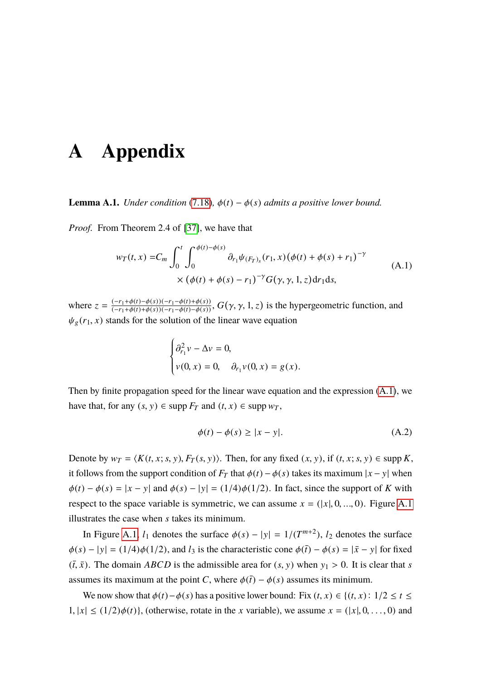# **A Appendix**

<span id="page-82-0"></span>**Lemma A.1.** *Under condition* [\(7.18\)](#page-58-1)*,*  $\phi(t) - \phi(s)$  *admits a positive lower bound.* 

*Proof.* From Theorem 2.4 of [\[37\]](#page-90-1), we have that

<span id="page-82-1"></span>
$$
w_T(t, x) = C_m \int_0^t \int_0^{\phi(t) - \phi(s)} \partial_{r_1} \psi_{(F_T)_s}(r_1, x) (\phi(t) + \phi(s) + r_1)^{-\gamma}
$$
  
 
$$
\times (\phi(t) + \phi(s) - r_1)^{-\gamma} G(\gamma, \gamma, 1, z) dr_1 ds,
$$
 (A.1)

where  $z = \frac{(-r_1 + \phi(t) - \phi(s))(-r_1 - \phi(t) + \phi(s))}{(-r_1 + \phi(t) + \phi(s))(-r_1 - \phi(t) - \phi(s))}$ ,  $G(\gamma, \gamma, 1, z)$  is the hypergeometric function, and  $\psi_g(r_1, x)$  stands for the solution of the linear wave equation

$$
\begin{cases} \partial_{r_1}^2 v - \Delta v = 0, \\ v(0, x) = 0, \quad \partial_{r_1} v(0, x) = g(x). \end{cases}
$$

Then by finite propagation speed for the linear wave equation and the expression [\(A.1\)](#page-82-1), we have that, for any  $(s, y) \in \text{supp } F_T$  and  $(t, x) \in \text{supp } w_T$ ,

<span id="page-82-2"></span>
$$
\phi(t) - \phi(s) \ge |x - y|.
$$
\n(A.2)

Denote by  $w_T = \langle K(t, x; s, y), F_T(s, y) \rangle$ . Then, for any fixed  $(x, y)$ , if  $(t, x; s, y) \in \text{supp } K$ , it follows from the support condition of  $F_T$  that  $\phi(t) - \phi(s)$  takes its maximum  $|x - y|$  when  $\phi(t) - \phi(s) = |x - y|$  and  $\phi(s) - |y| = (1/4)\phi(1/2)$ . In fact, since the support of *K* with respect to the space variable is symmetric, we can assume  $x = (x, 0, ..., 0)$ . Figure [A.1](#page-83-0) illustrates the case when *s* takes its minimum.

In Figure [A.1,](#page-83-0)  $l_1$  denotes the surface  $\phi(s) - |y| = 1/(T^{m+2})$ ,  $l_2$  denotes the surface  $\phi(s) - |y| = (1/4)\phi(1/2)$ , and  $l_3$  is the characteristic cone  $\phi(\bar{t}) - \phi(s) = |\bar{x} - y|$  for fixed  $(\bar{t}, \bar{x})$ . The domain *ABCD* is the admissible area for  $(s, y)$  when  $y_1 > 0$ . It is clear that *s* assumes its maximum at the point *C*, where  $\phi(\bar{t}) - \phi(s)$  assumes its minimum.

We now show that  $\phi(t) - \phi(s)$  has a positive lower bound: Fix  $(t, x) \in \{(t, x): 1/2 \le t \le t\}$  $1, |x| \leq (1/2)\phi(t)$ , (otherwise, rotate in the *x* variable), we assume  $x = (|x|, 0, \ldots, 0)$  and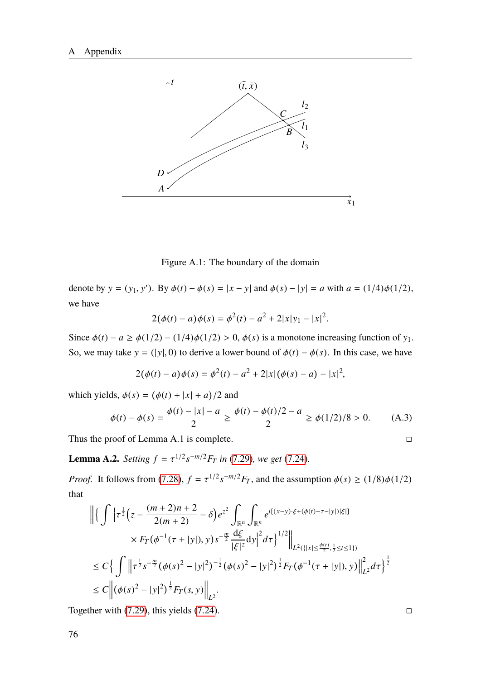

<span id="page-83-0"></span>Figure A.1: The boundary of the domain

denote by  $y = (y_1, y')$ . By  $\phi(t) - \phi(s) = |x - y|$  and  $\phi(s) - |y| = a$  with  $a = (1/4)\phi(1/2)$ , we have

$$
2(\phi(t) - a)\phi(s) = \phi^{2}(t) - a^{2} + 2|x|y_{1} - |x|^{2}.
$$

Since  $\phi(t) - a \ge \phi(1/2) - (1/4)\phi(1/2) > 0$ ,  $\phi(s)$  is a monotone increasing function of y<sub>1</sub>. So, we may take  $y = (|y|, 0)$  to derive a lower bound of  $\phi(t) - \phi(s)$ . In this case, we have

$$
2(\phi(t) - a)\phi(s) = \phi^{2}(t) - a^{2} + 2|x|(\phi(s) - a) - |x|^{2},
$$

which yields,  $\phi(s) = (\phi(t) + |x| + a)/2$  and

$$
\phi(t) - \phi(s) = \frac{\phi(t) - |x| - a}{2} \ge \frac{\phi(t) - \phi(t)/2 - a}{2} \ge \phi(1/2)/8 > 0.
$$
 (A.3)

Thus the proof of Lemma A.1 is complete.  $\Box$ 

**Lemma A.2.** *Setting*  $f = \tau^{1/2} s^{-m/2} F_T$  *in* [\(7.29\)](#page-59-0)*, we get* [\(7.24\)](#page-58-0)*.* 

*Proof.* It follows from [\(7.28\)](#page-59-1),  $f = \tau^{1/2} s^{-m/2} F_T$ , and the assumption  $\phi(s) \ge (1/8)\phi(1/2)$ that

$$
\begin{split} \left\| \left\{ \int \left| \tau^{\frac{1}{2}} \Big( z - \frac{(m+2)n + 2}{2(m+2)} - \delta \Big) e^{z^2} \int_{\mathbb{R}^n} \int_{\mathbb{R}^n} e^{i[(x-y)\cdot\xi + (\phi(t) - \tau - |y|)|\xi|]} \right. \right. \\ \left. \left. \times F_T \big( \phi^{-1}(\tau + |y|), y \big) s^{-\frac{m}{2}} \frac{\mathrm{d}\xi}{|\xi|^z} \mathrm{d}y \right|^2 d\tau \right\}^{1/2} \right\|_{L^2(\{|x| \le \frac{\phi(t)}{2}, \frac{1}{2} \le t \le 1\})} \\ &\le C \Big\{ \int_{-\infty}^{\infty} \left\| \tau^{\frac{1}{2}} s^{-\frac{m}{2}} \big( \phi(s)^2 - |y|^2 \big)^{-\frac{1}{2}} \big( \phi(s)^2 - |y|^2 \big)^{\frac{1}{2}} F_T \big( \phi^{-1}(\tau + |y|), y \big) \right\|_{L^2}^2 d\tau \Big\}^{\frac{1}{2}} \\ &\le C \Big\| \big( \phi(s)^2 - |y|^2 \big)^{\frac{1}{2}} F_T(s, y) \Big\|_{L^2} . \end{split}
$$

Together with  $(7.29)$ , this yields  $(7.24)$ .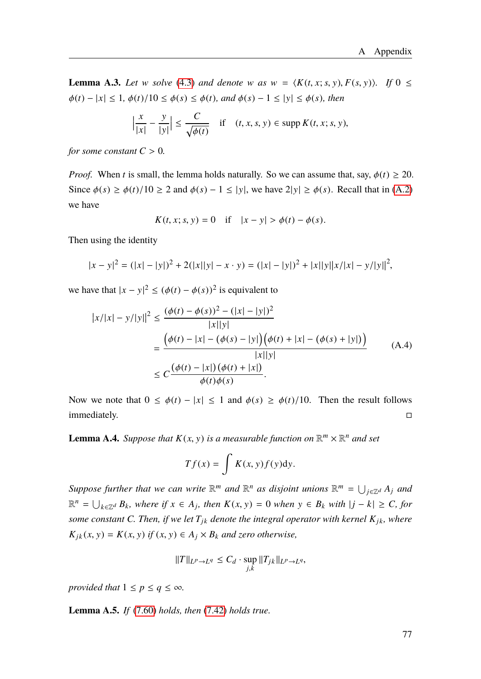**Lemma A.3.** Let w solve [\(4.3\)](#page-26-0) and denote w as  $w = \langle K(t, x; s, y), F(s, y) \rangle$ . If  $0 \leq$  $\phi(t) - |x| \leq 1, \, \phi(t)/10 \leq \phi(s) \leq \phi(t)$ *, and*  $\phi(s) - 1 \leq |y| \leq \phi(s)$ *, then* 

$$
\left|\frac{x}{|x|} - \frac{y}{|y|}\right| \le \frac{C}{\sqrt{\phi(t)}} \quad \text{if} \quad (t, x, s, y) \in \text{supp } K(t, x; s, y),
$$

*for some constant*  $C > 0$ *.* 

*Proof.* When *t* is small, the lemma holds naturally. So we can assume that, say,  $\phi(t) \geq 20$ . Since  $\phi(s) \ge \phi(t)/10 \ge 2$  and  $\phi(s) - 1 \le |y|$ , we have  $2|y| \ge \phi(s)$ . Recall that in [\(A.2\)](#page-82-2) we have

$$
K(t, x; s, y) = 0
$$
 if  $|x - y| > \phi(t) - \phi(s)$ .

Then using the identity

$$
|x - y|^2 = (|x| - |y|)^2 + 2(|x||y| - x \cdot y) = (|x| - |y|)^2 + |x||y||x/|x| - y/|y||^2,
$$

we have that  $|x - y|^2 \le (\phi(t) - \phi(s))^2$  is equivalent to

$$
|x/|x| - y/|y||^2 \le \frac{(\phi(t) - \phi(s))^2 - (|x| - |y|)^2}{|x||y|}
$$
  
= 
$$
\frac{(\phi(t) - |x| - (\phi(s) - |y|)(\phi(t) + |x| - (\phi(s) + |y|))}{|x||y|}
$$
  

$$
\le C \frac{(\phi(t) - |x|)(\phi(t) + |x|)}{\phi(t)\phi(s)}.
$$
 (A.4)

Now we note that  $0 \le \phi(t) - |x| \le 1$  and  $\phi(s) \ge \phi(t)/10$ . Then the result follows immediately. □ immediately.

**Lemma A.4.** *Suppose that*  $K(x, y)$  *is a measurable function on*  $\mathbb{R}^m \times \mathbb{R}^n$  *and set* 

$$
Tf(x) = \int K(x, y)f(y)dy.
$$

Suppose further that we can write  $\mathbb{R}^m$  and  $\mathbb{R}^n$  as disjoint unions  $\mathbb{R}^m = \bigcup_{j \in \mathbb{Z}^d} A_j$  and  $\mathbb{R}^n = \bigcup_{k \in \mathbb{Z}^d} B_k$ , where if  $x \in A_j$ , then  $K(x, y) = 0$  when  $y \in B_k$  with  $|j - k| \geq C$ , for *some constant C. Then, if we let*  $T_{jk}$  *denote the integral operator with kernel*  $K_{jk}$ *, where*  $K_{jk}(x, y) = K(x, y)$  *if*  $(x, y) \in A_j \times B_k$  *and zero otherwise*,

$$
||T||_{L^p \to L^q} \leq C_d \cdot \sup_{j,k} ||T_{jk}||_{L^p \to L^q},
$$

*provided that*  $1 \leq p \leq q \leq \infty$ *.* 

**Lemma A.5.** *If* [\(7.60\)](#page-69-2) *holds, then* [\(7.42\)](#page-64-0) *holds true.*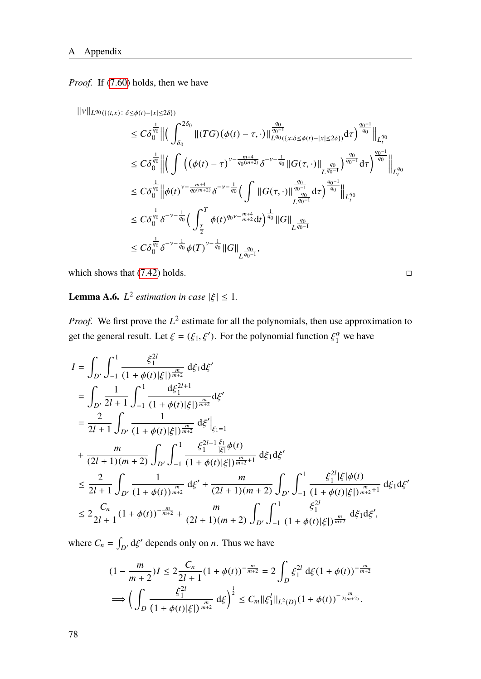*Proof.* If [\(7.60\)](#page-69-2) holds, then we have

 $||v||_{L^{q_0}(\{(t,x): \delta \leq \phi(t) - |x| \leq 2\delta\})}$ 

$$
\leq C\delta_0^{\frac{1}{q_0}} \left\| \left( \int_{\delta_0}^{2\delta_0} \|(TG)(\phi(t) - \tau, \cdot)\|_{L^{q_0}(\{x:\delta \leq \phi(t) - |x| \leq 2\delta\})}^{\frac{q_0}{q_0 - 1}} d\tau \right)^{\frac{q_0 - 1}{q_0}} \right\|_{L^{q_0}(\{\infty, t\in \mathcal{A}(t) - |x| \leq 2\delta\})} d\tau
$$
\n
$$
\leq C\delta_0^{\frac{1}{q_0}} \left\| \left( \int \left( (\phi(t) - \tau)^{\nu - \frac{m+4}{q_0(m+2)}} \delta^{-\nu - \frac{1}{q_0}} \|G(\tau, \cdot)\|_{L^{\frac{q_0}{q_0 - 1}}} \right)^{\frac{q_0}{q_0 - 1}} d\tau \right)^{\frac{q_0 - 1}{q_0}} \right\|_{L^{q_0}_t}
$$
\n
$$
\leq C\delta_0^{\frac{1}{q_0}} \left\| \phi(t)^{\nu - \frac{m+4}{q_0(m+2)}} \delta^{-\nu - \frac{1}{q_0}} \left( \int \|G(\tau, \cdot)\|_{L^{\frac{q_0}{q_0 - 1}}}^{\frac{q_0}{q_0 - 1}} d\tau \right)^{\frac{q_0 - 1}{q_0}} \right\|_{L^{q_0}_t}
$$
\n
$$
\leq C\delta_0^{\frac{1}{q_0}} \delta^{-\nu - \frac{1}{q_0}} \left( \int_{\frac{T}{2}}^T \phi(t)^{q_0 \nu - \frac{m+4}{m+2}} dt \right)^{\frac{1}{q_0}} \|G\|_{L^{\frac{q_0}{q_0 - 1}}}
$$
\n
$$
\leq C\delta_0^{\frac{1}{q_0}} \delta^{-\nu - \frac{1}{q_0}} \phi(T)^{\nu - \frac{1}{q_0}} \|G\|_{L^{\frac{q_0}{q_0 - 1}}},
$$

which shows that  $(7.42)$  holds.

<span id="page-85-0"></span>**Lemma A.6.**  $L^2$  estimation in case  $|\xi| \leq 1$ .

*Proof.* We first prove the  $L^2$  estimate for all the polynomials, then use approximation to get the general result. Let  $\xi = (\xi_1, \xi')$ . For the polynomial function  $\xi_1^{\alpha}$  we have

$$
I = \int_{D'} \int_{-1}^{1} \frac{\xi_1^{2l}}{(1+\phi(t)|\xi|)^{\frac{m}{m+2}}} d\xi_1 d\xi'
$$
  
\n
$$
= \int_{D'} \frac{1}{2l+1} \int_{-1}^{1} \frac{d\xi_1^{2l+1}}{(1+\phi(t)|\xi|)^{\frac{m}{m+2}}} d\xi'
$$
  
\n
$$
= \frac{2}{2l+1} \int_{D'} \frac{1}{(1+\phi(t)|\xi|)^{\frac{m}{m+2}}} d\xi' \Big|_{\xi_1=1}
$$
  
\n+  $\frac{m}{(2l+1)(m+2)} \int_{D'} \int_{-1}^{1} \frac{\xi_1^{2l+1} \frac{\xi_1}{|\xi|} \phi(t)}{(1+\phi(t)|\xi|)^{\frac{m}{m+2}+1}} d\xi_1 d\xi'$   
\n
$$
\leq \frac{2}{2l+1} \int_{D'} \frac{1}{(1+\phi(t))^{\frac{m}{m+2}}} d\xi' + \frac{m}{(2l+1)(m+2)} \int_{D'} \int_{-1}^{1} \frac{\xi_1^{2l} |\xi| \phi(t)}{(1+\phi(t)|\xi|)^{\frac{m}{m+2}+1}} d\xi_1 d\xi'
$$
  
\n
$$
\leq 2 \frac{C_n}{2l+1} (1+\phi(t))^{\frac{m}{m+2}} + \frac{m}{(2l+1)(m+2)} \int_{D'} \int_{-1}^{1} \frac{\xi_1^{2l}}{(1+\phi(t)|\xi|)^{\frac{m}{m+2}+1}} d\xi_1 d\xi',
$$

where  $C_n = \int_{D'} d\xi'$  depends only on *n*. Thus we have

$$
(1 - \frac{m}{m+2})I \le 2\frac{C_n}{2l+1}(1+\phi(t))^{-\frac{m}{m+2}} = 2\int_D \xi_1^{2l} d\xi (1+\phi(t))^{-\frac{m}{m+2}}
$$
  

$$
\implies \left(\int_D \frac{\xi_1^{2l}}{(1+\phi(t)|\xi|)^{\frac{m}{m+2}}} d\xi\right)^{\frac{1}{2}} \le C_m \|\xi_1^l\|_{L^2(D)} (1+\phi(t))^{-\frac{m}{2(m+2)}}.
$$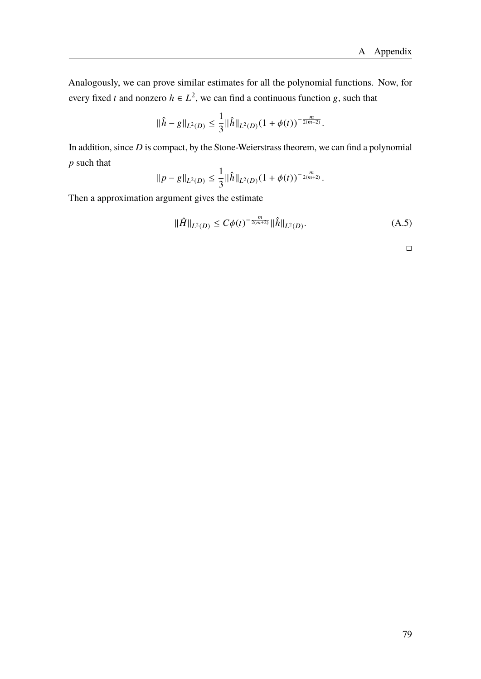Analogously, we can prove similar estimates for all the polynomial functions. Now, for every fixed *t* and nonzero  $h \in L^2$ , we can find a continuous function g, such that

$$
\|\hat{h} - g\|_{L^2(D)} \le \frac{1}{3} \|\hat{h}\|_{L^2(D)} (1 + \phi(t))^{-\frac{m}{2(m+2)}}.
$$

In addition, since *D* is compact, by the Stone-Weierstrass theorem, we can find a polynomial *p* such that

$$
||p - g||_{L^{2}(D)} \leq \frac{1}{3} ||\hat{h}||_{L^{2}(D)} (1 + \phi(t))^{-\frac{m}{2(m+2)}}.
$$

Then a approximation argument gives the estimate

$$
\|\hat{H}\|_{L^{2}(D)} \leq C\phi(t)^{-\frac{m}{2(m+2)}}\|\hat{h}\|_{L^{2}(D)}.
$$
\n(A.5)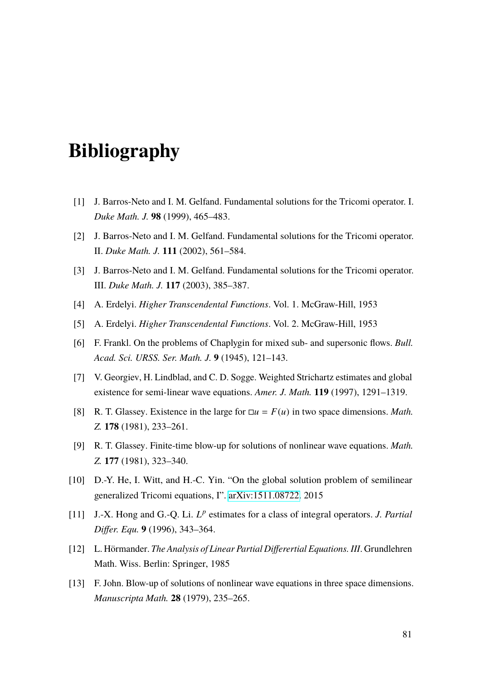# **Bibliography**

- [1] J. Barros-Neto and I. M. Gelfand. Fundamental solutions for the Tricomi operator. I. *Duke Math. J.* **98** (1999), 465–483.
- [2] J. Barros-Neto and I. M. Gelfand. Fundamental solutions for the Tricomi operator. II. *Duke Math. J.* **111** (2002), 561–584.
- [3] J. Barros-Neto and I. M. Gelfand. Fundamental solutions for the Tricomi operator. III. *Duke Math. J.* **117** (2003), 385–387.
- [4] A. Erdelyi. *Higher Transcendental Functions*. Vol. 1. McGraw-Hill, 1953
- [5] A. Erdelyi. *Higher Transcendental Functions*. Vol. 2. McGraw-Hill, 1953
- [6] F. Frankl. On the problems of Chaplygin for mixed sub- and supersonic flows. *Bull. Acad. Sci. URSS. Ser. Math. J.* **9** (1945), 121–143.
- <span id="page-88-0"></span>[7] V. Georgiev, H. Lindblad, and C. D. Sogge. Weighted Strichartz estimates and global existence for semi-linear wave equations. *Amer. J. Math.* **119** (1997), 1291–1319.
- [8] R. T. Glassey. Existence in the large for  $\Box u = F(u)$  in two space dimensions. *Math. Z.* **178** (1981), 233–261.
- [9] R. T. Glassey. Finite-time blow-up for solutions of nonlinear wave equations. *Math. Z.* **177** (1981), 323–340.
- [10] D.-Y. He, I. Witt, and H.-C. Yin. "On the global solution problem of semilinear generalized Tricomi equations, I". [arXiv:1511.08722.](http://www.arxiv.org/abs/1511.08722) 2015
- [11] J.-X. Hong and G.-Q. Li. *L p* estimates for a class of integral operators. *J. Partial Differ. Equ.* **9** (1996), 343–364.
- [12] L. Hörmander. *The Analysis of Linear Partial Differertial Equations. III*. Grundlehren Math. Wiss. Berlin: Springer, 1985
- [13] F. John. Blow-up of solutions of nonlinear wave equations in three space dimensions. *Manuscripta Math.* **28** (1979), 235–265.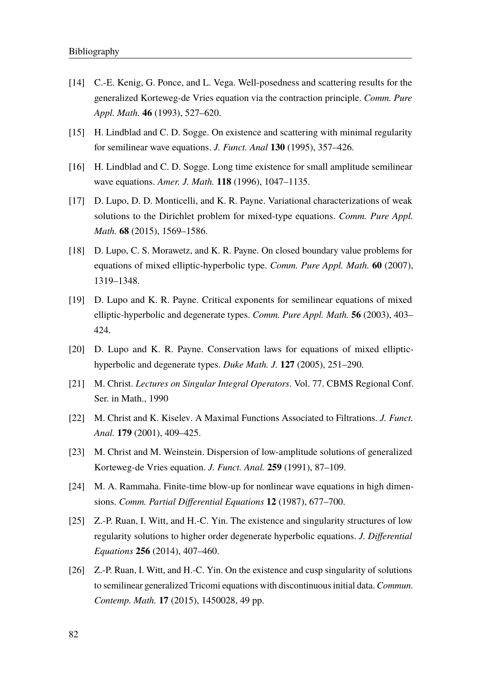- [14] C.-E. Kenig, G. Ponce, and L. Vega. Well-posedness and scattering results for the generalized Korteweg-de Vries equation via the contraction principle. *Comm. Pure Appl. Math.* **46** (1993), 527–620.
- [15] H. Lindblad and C. D. Sogge. On existence and scattering with minimal regularity for semilinear wave equations. *J. Funct. Anal* **130** (1995), 357–426.
- [16] H. Lindblad and C. D. Sogge. Long time existence for small amplitude semilinear wave equations. *Amer. J. Math.* **118** (1996), 1047–1135.
- [17] D. Lupo, D. D. Monticelli, and K. R. Payne. Variational characterizations of weak solutions to the Dirichlet problem for mixed-type equations. *Comm. Pure Appl. Math.* **68** (2015), 1569–1586.
- [18] D. Lupo, C. S. Morawetz, and K. R. Payne. On closed boundary value problems for equations of mixed elliptic-hyperbolic type. *Comm. Pure Appl. Math.* **60** (2007), 1319–1348.
- [19] D. Lupo and K. R. Payne. Critical exponents for semilinear equations of mixed elliptic-hyperbolic and degenerate types. *Comm. Pure Appl. Math.* **56** (2003), 403– 424.
- [20] D. Lupo and K. R. Payne. Conservation laws for equations of mixed elliptichyperbolic and degenerate types. *Duke Math. J.* **127** (2005), 251–290.
- [21] M. Christ. *Lectures on Singular Integral Operators*. Vol. 77. CBMS Regional Conf. Ser. in Math., 1990
- [22] M. Christ and K. Kiselev. A Maximal Functions Associated to Filtrations. *J. Funct. Anal.* **179** (2001), 409–425.
- [23] M. Christ and M. Weinstein. Dispersion of low-amplitude solutions of generalized Korteweg-de Vries equation. *J. Funct. Anal.* **259** (1991), 87–109.
- [24] M. A. Rammaha. Finite-time blow-up for nonlinear wave equations in high dimensions. *Comm. Partial Differential Equations* **12** (1987), 677–700.
- [25] Z.-P. Ruan, I. Witt, and H.-C. Yin. The existence and singularity structures of low regularity solutions to higher order degenerate hyperbolic equations. *J. Differential Equations* **256** (2014), 407–460.
- [26] Z.-P. Ruan, I. Witt, and H.-C. Yin. On the existence and cusp singularity of solutions to semilinear generalized Tricomi equations with discontinuous initial data. *Commun. Contemp. Math.* **17** (2015), 1450028, 49 pp.